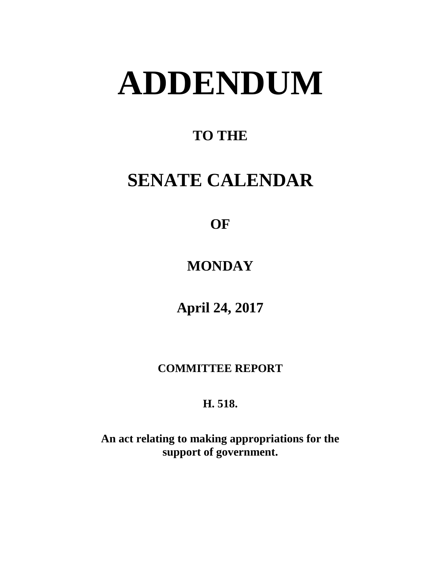# **ADDENDUM**

# **TO THE**

# **SENATE CALENDAR**

# **OF**

# **MONDAY**

# **April 24, 2017**

### **COMMITTEE REPORT**

## **H. 518.**

**An act relating to making appropriations for the support of government.**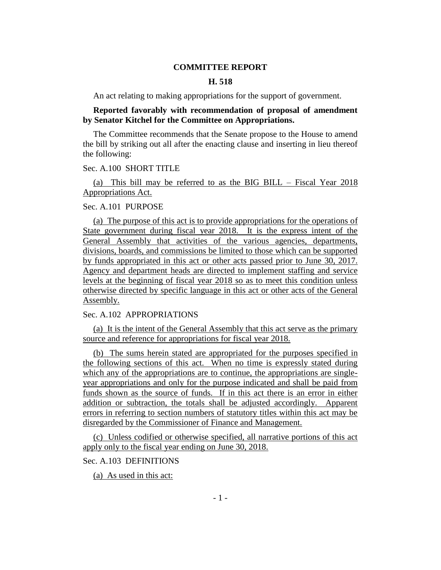#### **COMMITTEE REPORT**

#### **H. 518**

An act relating to making appropriations for the support of government.

#### **Reported favorably with recommendation of proposal of amendment by Senator Kitchel for the Committee on Appropriations.**

The Committee recommends that the Senate propose to the House to amend the bill by striking out all after the enacting clause and inserting in lieu thereof the following:

#### Sec. A.100 SHORT TITLE

(a) This bill may be referred to as the BIG BILL – Fiscal Year 2018 Appropriations Act.

#### Sec. A.101 PURPOSE

(a) The purpose of this act is to provide appropriations for the operations of State government during fiscal year 2018. It is the express intent of the General Assembly that activities of the various agencies, departments, divisions, boards, and commissions be limited to those which can be supported by funds appropriated in this act or other acts passed prior to June 30, 2017. Agency and department heads are directed to implement staffing and service levels at the beginning of fiscal year 2018 so as to meet this condition unless otherwise directed by specific language in this act or other acts of the General Assembly.

#### Sec. A.102 APPROPRIATIONS

(a) It is the intent of the General Assembly that this act serve as the primary source and reference for appropriations for fiscal year 2018.

(b) The sums herein stated are appropriated for the purposes specified in the following sections of this act. When no time is expressly stated during which any of the appropriations are to continue, the appropriations are singleyear appropriations and only for the purpose indicated and shall be paid from funds shown as the source of funds. If in this act there is an error in either addition or subtraction, the totals shall be adjusted accordingly. Apparent errors in referring to section numbers of statutory titles within this act may be disregarded by the Commissioner of Finance and Management.

(c) Unless codified or otherwise specified, all narrative portions of this act apply only to the fiscal year ending on June 30, 2018.

Sec. A.103 DEFINITIONS

(a) As used in this act: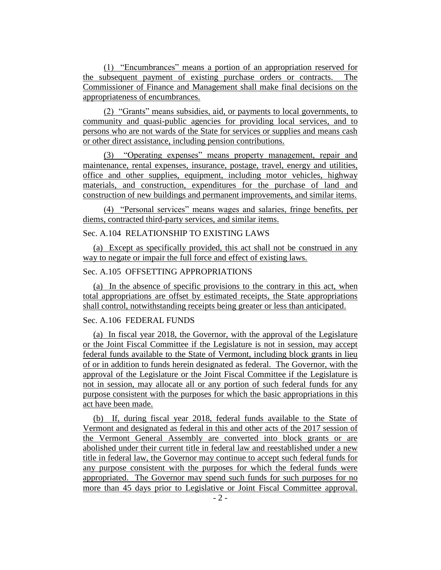(1) "Encumbrances" means a portion of an appropriation reserved for the subsequent payment of existing purchase orders or contracts. The Commissioner of Finance and Management shall make final decisions on the appropriateness of encumbrances.

(2) "Grants" means subsidies, aid, or payments to local governments, to community and quasi-public agencies for providing local services, and to persons who are not wards of the State for services or supplies and means cash or other direct assistance, including pension contributions.

(3) "Operating expenses" means property management, repair and maintenance, rental expenses, insurance, postage, travel, energy and utilities, office and other supplies, equipment, including motor vehicles, highway materials, and construction, expenditures for the purchase of land and construction of new buildings and permanent improvements, and similar items.

(4) "Personal services" means wages and salaries, fringe benefits, per diems, contracted third-party services, and similar items.

#### Sec. A.104 RELATIONSHIP TO EXISTING LAWS

(a) Except as specifically provided, this act shall not be construed in any way to negate or impair the full force and effect of existing laws.

#### Sec. A.105 OFFSETTING APPROPRIATIONS

(a) In the absence of specific provisions to the contrary in this act, when total appropriations are offset by estimated receipts, the State appropriations shall control, notwithstanding receipts being greater or less than anticipated.

#### Sec. A.106 FEDERAL FUNDS

(a) In fiscal year 2018, the Governor, with the approval of the Legislature or the Joint Fiscal Committee if the Legislature is not in session, may accept federal funds available to the State of Vermont, including block grants in lieu of or in addition to funds herein designated as federal. The Governor, with the approval of the Legislature or the Joint Fiscal Committee if the Legislature is not in session, may allocate all or any portion of such federal funds for any purpose consistent with the purposes for which the basic appropriations in this act have been made.

(b) If, during fiscal year 2018, federal funds available to the State of Vermont and designated as federal in this and other acts of the 2017 session of the Vermont General Assembly are converted into block grants or are abolished under their current title in federal law and reestablished under a new title in federal law, the Governor may continue to accept such federal funds for any purpose consistent with the purposes for which the federal funds were appropriated. The Governor may spend such funds for such purposes for no more than 45 days prior to Legislative or Joint Fiscal Committee approval.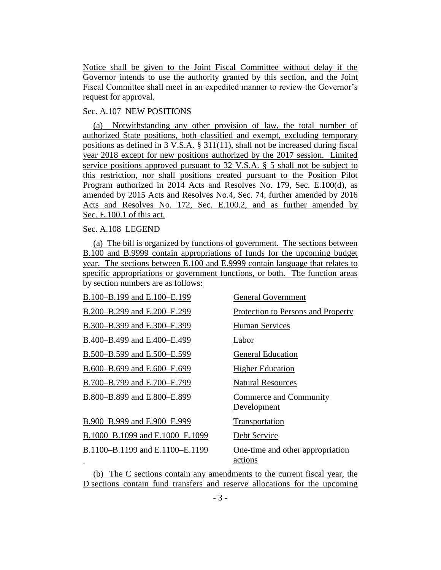Notice shall be given to the Joint Fiscal Committee without delay if the Governor intends to use the authority granted by this section, and the Joint Fiscal Committee shall meet in an expedited manner to review the Governor's request for approval.

#### Sec. A.107 NEW POSITIONS

(a) Notwithstanding any other provision of law, the total number of authorized State positions, both classified and exempt, excluding temporary positions as defined in 3 V.S.A. § 311(11), shall not be increased during fiscal year 2018 except for new positions authorized by the 2017 session. Limited service positions approved pursuant to 32 V.S.A. § 5 shall not be subject to this restriction, nor shall positions created pursuant to the Position Pilot Program authorized in 2014 Acts and Resolves No. 179, Sec. E.100(d), as amended by 2015 Acts and Resolves No.4, Sec. 74, further amended by 2016 Acts and Resolves No. 172, Sec. E.100.2, and as further amended by Sec. E.100.1 of this act.

#### Sec. A.108 LEGEND

(a) The bill is organized by functions of government. The sections between B.100 and B.9999 contain appropriations of funds for the upcoming budget year. The sections between E.100 and E.9999 contain language that relates to specific appropriations or government functions, or both. The function areas by section numbers are as follows:

| B.100-B.199 and E.100-E.199     | <b>General Government</b>                   |
|---------------------------------|---------------------------------------------|
| B.200-B.299 and E.200-E.299     | Protection to Persons and Property          |
| B.300–B.399 and E.300–E.399     | <b>Human Services</b>                       |
| B.400-B.499 and E.400-E.499     | Labor                                       |
| B.500–B.599 and E.500–E.599     | <b>General Education</b>                    |
| B.600–B.699 and E.600–E.699     | <b>Higher Education</b>                     |
| B.700–B.799 and E.700–E.799     | <b>Natural Resources</b>                    |
| B.800-B.899 and E.800-E.899     | Commerce and Community<br>Development       |
| B.900-B.999 and E.900-E.999     | Transportation                              |
| B.1000–B.1099 and E.1000–E.1099 | Debt Service                                |
| B.1100–B.1199 and E.1100–E.1199 | One-time and other appropriation<br>actions |

(b) The C sections contain any amendments to the current fiscal year, the D sections contain fund transfers and reserve allocations for the upcoming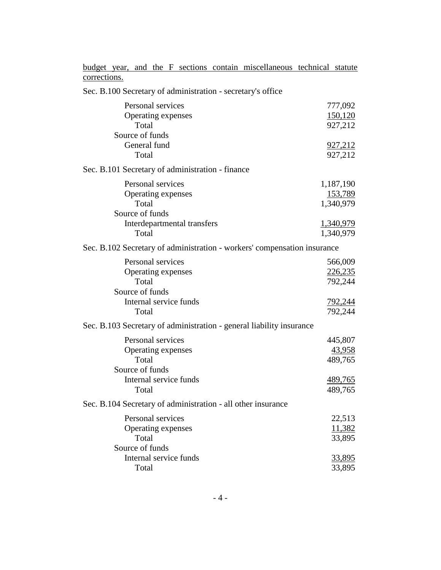budget year, and the F sections contain miscellaneous technical statute corrections.

Sec. B.100 Secretary of administration - secretary's office

| Personal services<br>Operating expenses                                  | 777,092<br>150,120        |
|--------------------------------------------------------------------------|---------------------------|
| Total<br>Source of funds<br>General fund                                 | 927,212<br><u>927,212</u> |
| Total                                                                    | 927,212                   |
| Sec. B.101 Secretary of administration - finance                         |                           |
| Personal services                                                        | 1,187,190                 |
| Operating expenses                                                       | 153,789                   |
| Total                                                                    | 1,340,979                 |
| Source of funds                                                          |                           |
| Interdepartmental transfers                                              | 1,340,979                 |
| Total                                                                    | 1,340,979                 |
| Sec. B.102 Secretary of administration - workers' compensation insurance |                           |
| Personal services                                                        | 566,009                   |
| Operating expenses                                                       | 226,235                   |
| Total                                                                    | 792,244                   |
| Source of funds                                                          |                           |
| Internal service funds                                                   | <u>792,244</u>            |
| Total                                                                    | 792,244                   |
| Sec. B.103 Secretary of administration - general liability insurance     |                           |
| Personal services                                                        | 445,807                   |
| Operating expenses                                                       | 43,958                    |
| Total                                                                    | 489,765                   |
| Source of funds                                                          |                           |
| Internal service funds                                                   | 489,765                   |
| Total                                                                    | 489,765                   |
| Sec. B.104 Secretary of administration - all other insurance             |                           |
| Personal services                                                        | 22,513                    |
| Operating expenses                                                       | 11,382                    |
| Total                                                                    | 33,895                    |
| Source of funds                                                          |                           |
| Internal service funds                                                   | <u>33,895</u>             |
| Total                                                                    | 33,895                    |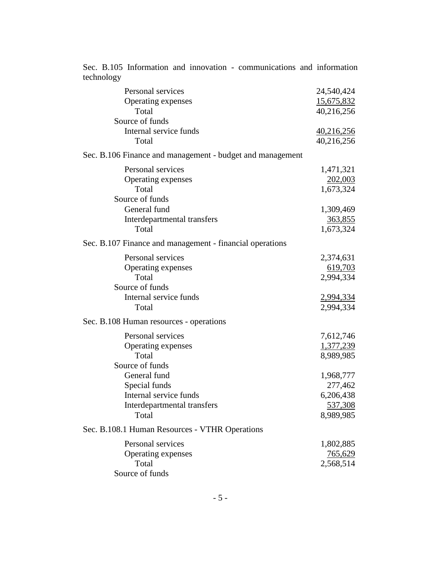| technology                                                |                   |
|-----------------------------------------------------------|-------------------|
| Personal services                                         | 24,540,424        |
| Operating expenses                                        | 15,675,832        |
| Total                                                     | 40,216,256        |
| Source of funds                                           |                   |
| Internal service funds                                    | <u>40,216,256</u> |
| Total                                                     | 40,216,256        |
| Sec. B.106 Finance and management - budget and management |                   |
| Personal services                                         | 1,471,321         |
| Operating expenses                                        | 202,003           |
| Total                                                     | 1,673,324         |
| Source of funds                                           |                   |
| General fund                                              | 1,309,469         |
| Interdepartmental transfers                               | 363,855           |
| Total                                                     | 1,673,324         |
| Sec. B.107 Finance and management - financial operations  |                   |
| Personal services                                         | 2,374,631         |
| Operating expenses                                        | 619,703           |
| Total                                                     | 2,994,334         |
| Source of funds                                           |                   |
| Internal service funds                                    | 2,994,334         |
| Total                                                     | 2,994,334         |
| Sec. B.108 Human resources - operations                   |                   |
| Personal services                                         | 7,612,746         |
| Operating expenses                                        | 1,377,239         |
| Total                                                     | 8,989,985         |
| Source of funds                                           |                   |
| General fund                                              | 1,968,777         |
| Special funds                                             | 277,462           |
| Internal service funds                                    | 6,206,438         |
| Interdepartmental transfers                               | 537,308           |
| Total                                                     | 8,989,985         |
| Sec. B.108.1 Human Resources - VTHR Operations            |                   |
| Personal services                                         | 1,802,885         |
| Operating expenses                                        | <u>765,629</u>    |
| Total                                                     | 2,568,514         |
| Source of funds                                           |                   |

Sec. B.105 Information and innovation - communications and information technology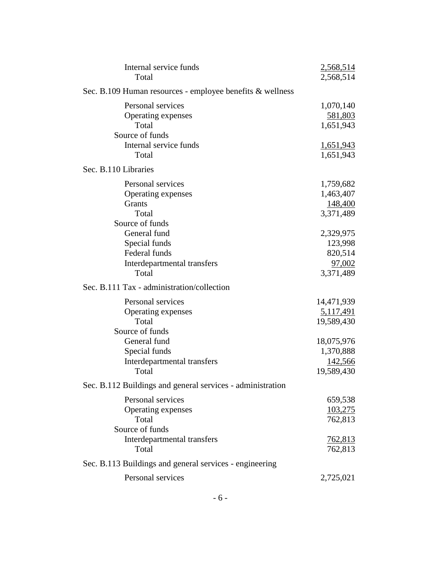| Internal service funds<br>Total                                                                                                                                           | 2,568,514<br>2,568,514                                                             |
|---------------------------------------------------------------------------------------------------------------------------------------------------------------------------|------------------------------------------------------------------------------------|
| Sec. B.109 Human resources - employee benefits & wellness                                                                                                                 |                                                                                    |
| Personal services<br>Operating expenses<br>Total<br>Source of funds                                                                                                       | 1,070,140<br>581,803<br>1,651,943                                                  |
| Internal service funds<br>Total                                                                                                                                           | <u>1,651,943</u><br>1,651,943                                                      |
| Sec. B.110 Libraries                                                                                                                                                      |                                                                                    |
| Personal services<br>Operating expenses<br><b>Grants</b><br>Total                                                                                                         | 1,759,682<br>1,463,407<br>148,400<br>3,371,489                                     |
| Source of funds<br>General fund<br>Special funds<br>Federal funds<br>Interdepartmental transfers<br>Total                                                                 | 2,329,975<br>123,998<br>820,514<br>97,002<br>3,371,489                             |
| Sec. B.111 Tax - administration/collection                                                                                                                                |                                                                                    |
| Personal services<br>Operating expenses<br>Total<br>Source of funds<br>General fund<br>Special funds<br>Interdepartmental transfers                                       | 14,471,939<br><u>5,117,491</u><br>19,589,430<br>18,075,976<br>1,370,888<br>142,566 |
| Total                                                                                                                                                                     | 19,589,430                                                                         |
| Sec. B.112 Buildings and general services - administration<br>Personal services<br>Operating expenses<br>Total<br>Source of funds<br>Interdepartmental transfers<br>Total | 659,538<br>103,275<br>762,813<br><u>762,813</u><br>762,813                         |
| Sec. B.113 Buildings and general services - engineering                                                                                                                   |                                                                                    |
| Personal services                                                                                                                                                         | 2,725,021                                                                          |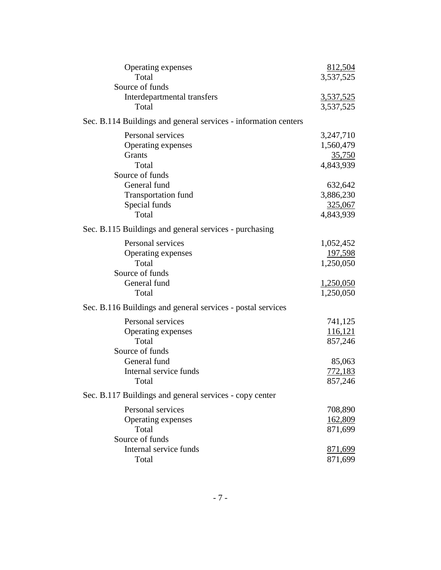| Operating expenses                                              | 812,504          |
|-----------------------------------------------------------------|------------------|
| Total                                                           | 3,537,525        |
| Source of funds                                                 |                  |
| Interdepartmental transfers                                     | <u>3,537,525</u> |
| Total                                                           | 3,537,525        |
| Sec. B.114 Buildings and general services - information centers |                  |
| Personal services                                               | 3,247,710        |
| Operating expenses                                              | 1,560,479        |
| Grants                                                          | <u>35,750</u>    |
| Total                                                           | 4,843,939        |
| Source of funds                                                 |                  |
| General fund                                                    | 632,642          |
| <b>Transportation fund</b>                                      | 3,886,230        |
| Special funds                                                   | 325,067          |
| Total                                                           | 4,843,939        |
| Sec. B.115 Buildings and general services - purchasing          |                  |
| Personal services                                               | 1,052,452        |
| Operating expenses                                              | 197,598          |
| Total                                                           | 1,250,050        |
| Source of funds                                                 |                  |
| General fund                                                    | <u>1,250,050</u> |
| Total                                                           | 1,250,050        |
| Sec. B.116 Buildings and general services - postal services     |                  |
| Personal services                                               | 741,125          |
| Operating expenses                                              | 116,121          |
| Total                                                           | 857,246          |
| Source of funds                                                 |                  |
| General fund                                                    | 85,063           |
| Internal service funds                                          | 772,183          |
| Total                                                           | 857,246          |
| Sec. B.117 Buildings and general services - copy center         |                  |
| Personal services                                               | 708,890          |
| Operating expenses                                              | 162,809          |
| Total                                                           | 871,699          |
| Source of funds                                                 |                  |
| Internal service funds                                          | 871,699          |
| Total                                                           | 871,699          |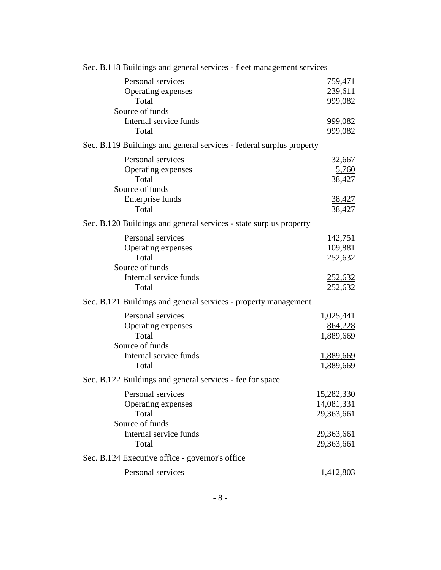| Sec. B.118 Buildings and general services - fleet management services                                  |                                                             |
|--------------------------------------------------------------------------------------------------------|-------------------------------------------------------------|
| Personal services<br>Operating expenses<br>Total                                                       | 759,471<br>239,611<br>999,082                               |
| Source of funds<br>Internal service funds<br>Total                                                     | <u>999,082</u><br>999,082                                   |
| Sec. B.119 Buildings and general services - federal surplus property                                   |                                                             |
| Personal services<br>Operating expenses<br>Total<br>Source of funds<br>Enterprise funds                | 32,667<br>5,760<br>38,427<br><u>38,427</u>                  |
| Total                                                                                                  | 38,427                                                      |
| Sec. B.120 Buildings and general services - state surplus property                                     |                                                             |
| Personal services<br>Operating expenses<br>Total<br>Source of funds<br>Internal service funds<br>Total | 142,751<br>109,881<br>252,632<br><u>252,632</u><br>252,632  |
| Sec. B.121 Buildings and general services - property management                                        |                                                             |
| Personal services<br>Operating expenses<br>Total<br>Source of funds<br>Internal service funds<br>Total | 1,025,441<br>864,228<br>1,889,669<br>1,889,669<br>1,889,669 |
| Sec. B.122 Buildings and general services - fee for space                                              |                                                             |
| Personal services<br>Operating expenses<br>Total<br>Source of funds<br>Internal service funds          | 15,282,330<br>14,081,331<br>29,363,661<br><u>29,363,661</u> |
| Total                                                                                                  | 29,363,661                                                  |
| Sec. B.124 Executive office - governor's office<br>Personal services                                   | 1,412,803                                                   |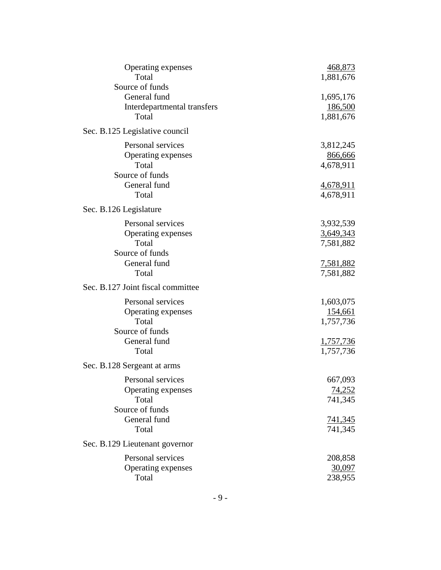| Operating expenses<br>Total                                                                  | 468,873<br>1,881,676                                               |
|----------------------------------------------------------------------------------------------|--------------------------------------------------------------------|
| Source of funds<br>General fund                                                              | 1,695,176                                                          |
| Interdepartmental transfers<br>Total                                                         | 186,500<br>1,881,676                                               |
| Sec. B.125 Legislative council                                                               |                                                                    |
| Personal services<br>Operating expenses<br>Total<br>Source of funds                          | 3,812,245<br>866,666<br>4,678,911                                  |
| General fund<br>Total                                                                        | <u>4,678,911</u><br>4,678,911                                      |
| Sec. B.126 Legislature                                                                       |                                                                    |
| Personal services<br>Operating expenses<br>Total<br>Source of funds                          | 3,932,539<br>3,649,343<br>7,581,882                                |
| General fund<br>Total                                                                        | <u>7,581,882</u><br>7,581,882                                      |
| Sec. B.127 Joint fiscal committee                                                            |                                                                    |
| Personal services<br>Operating expenses<br>Total<br>Source of funds<br>General fund<br>Total | 1,603,075<br>154,661<br>1,757,736<br><u>1,757,736</u><br>1,757,736 |
| Sec. B.128 Sergeant at arms                                                                  |                                                                    |
| Personal services<br>Operating expenses<br>Total<br>Source of funds<br>General fund<br>Total | 667,093<br><u>74,252</u><br>741,345<br><u>741,345</u><br>741,345   |
| Sec. B.129 Lieutenant governor                                                               |                                                                    |
| Personal services<br>Operating expenses<br>Total                                             | 208,858<br>30,097<br>238,955                                       |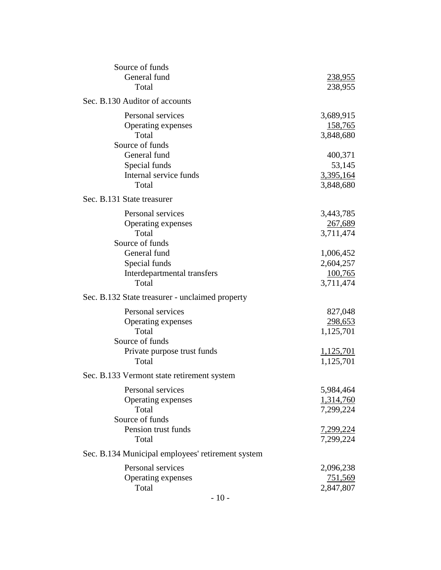| Source of funds                                   |                |
|---------------------------------------------------|----------------|
| General fund                                      | <u>238,955</u> |
| Total                                             | 238,955        |
| Sec. B.130 Auditor of accounts                    |                |
| Personal services                                 | 3,689,915      |
| Operating expenses                                | <u>158,765</u> |
| Total                                             | 3,848,680      |
| Source of funds                                   |                |
| General fund                                      | 400,371        |
| Special funds                                     | 53,145         |
| Internal service funds                            | 3,395,164      |
| Total                                             | 3,848,680      |
| Sec. B.131 State treasurer                        |                |
| Personal services                                 | 3,443,785      |
| Operating expenses                                | 267,689        |
| Total                                             | 3,711,474      |
| Source of funds                                   |                |
| General fund                                      | 1,006,452      |
| Special funds                                     | 2,604,257      |
| Interdepartmental transfers                       | 100,765        |
| Total                                             | 3,711,474      |
| Sec. B.132 State treasurer - unclaimed property   |                |
| Personal services                                 | 827,048        |
| Operating expenses                                | 298,653        |
| Total                                             | 1,125,701      |
| Source of funds                                   |                |
| Private purpose trust funds                       | 1,125,701      |
| Total                                             | 1,125,701      |
| Sec. B.133 Vermont state retirement system        |                |
| Personal services                                 | 5,984,464      |
| Operating expenses                                | 1,314,760      |
| Total                                             | 7,299,224      |
| Source of funds                                   |                |
| Pension trust funds                               | 7,299,224      |
| Total                                             | 7,299,224      |
| Sec. B.134 Municipal employees' retirement system |                |
| Personal services                                 | 2,096,238      |
| Operating expenses                                | <u>751,569</u> |
| Total                                             | 2,847,807      |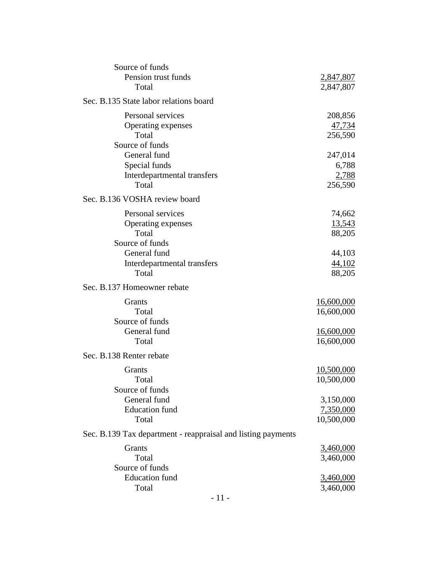| Source of funds                                              |                   |
|--------------------------------------------------------------|-------------------|
| Pension trust funds                                          | <u>2,847,807</u>  |
| Total                                                        | 2,847,807         |
| Sec. B.135 State labor relations board                       |                   |
| Personal services                                            | 208,856           |
| Operating expenses                                           | 47,734            |
| Total                                                        | 256,590           |
| Source of funds                                              |                   |
| General fund                                                 | 247,014           |
| Special funds                                                | 6,788             |
| Interdepartmental transfers                                  | 2,788             |
| Total                                                        | 256,590           |
| Sec. B.136 VOSHA review board                                |                   |
| Personal services                                            | 74,662            |
| Operating expenses                                           | <u>13,543</u>     |
| Total                                                        | 88,205            |
| Source of funds                                              |                   |
| General fund                                                 | 44,103            |
| Interdepartmental transfers                                  | 44,102            |
| Total                                                        | 88,205            |
| Sec. B.137 Homeowner rebate                                  |                   |
| Grants                                                       | <u>16,600,000</u> |
| Total                                                        | 16,600,000        |
| Source of funds                                              |                   |
| General fund                                                 | <u>16,600,000</u> |
| Total                                                        | 16,600,000        |
| Sec. B.138 Renter rebate                                     |                   |
| <b>Grants</b>                                                | 10,500,000        |
| Total                                                        | 10,500,000        |
| Source of funds                                              |                   |
| General fund                                                 | 3,150,000         |
| <b>Education</b> fund                                        | 7,350,000         |
| Total                                                        | 10,500,000        |
| Sec. B.139 Tax department - reappraisal and listing payments |                   |
| Grants                                                       | <u>3,460,000</u>  |
| Total                                                        | 3,460,000         |
| Source of funds                                              |                   |
| <b>Education</b> fund                                        | 3,460,000         |
| Total                                                        | 3,460,000         |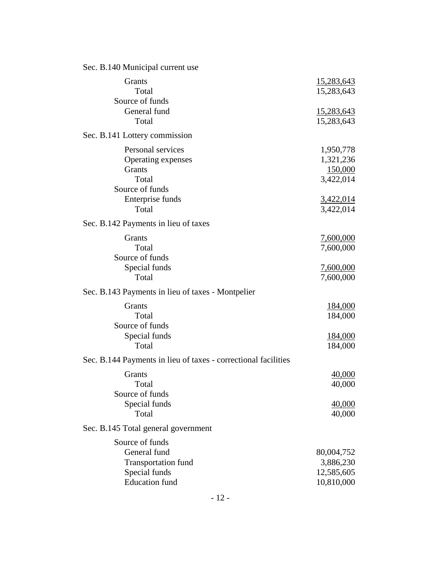| Sec. B.140 Municipal current use                                                                        |                                                     |
|---------------------------------------------------------------------------------------------------------|-----------------------------------------------------|
| Grants<br>Total                                                                                         | 15,283,643<br>15,283,643                            |
| Source of funds<br>General fund<br>Total                                                                | 15,283,643<br>15,283,643                            |
| Sec. B.141 Lottery commission                                                                           |                                                     |
| Personal services<br>Operating expenses<br>Grants<br>Total<br>Source of funds                           | 1,950,778<br>1,321,236<br>150,000<br>3,422,014      |
| Enterprise funds<br>Total                                                                               | 3,422,014<br>3,422,014                              |
| Sec. B.142 Payments in lieu of taxes                                                                    |                                                     |
| Grants<br>Total<br>Source of funds                                                                      | 7,600,000<br>7,600,000                              |
| Special funds<br>Total                                                                                  | 7,600,000<br>7,600,000                              |
| Sec. B.143 Payments in lieu of taxes - Montpelier                                                       |                                                     |
| Grants<br>Total<br>Source of funds<br>Special funds<br>Total                                            | <u>184,000</u><br>184,000<br><u>184,000</u>         |
| Sec. B.144 Payments in lieu of taxes - correctional facilities                                          | 184,000                                             |
| Grants<br>Total<br>Source of funds<br>Special funds<br>Total                                            | 40,000<br>40,000<br>40,000<br>40,000                |
| Sec. B.145 Total general government                                                                     |                                                     |
| Source of funds<br>General fund<br><b>Transportation fund</b><br>Special funds<br><b>Education</b> fund | 80,004,752<br>3,886,230<br>12,585,605<br>10,810,000 |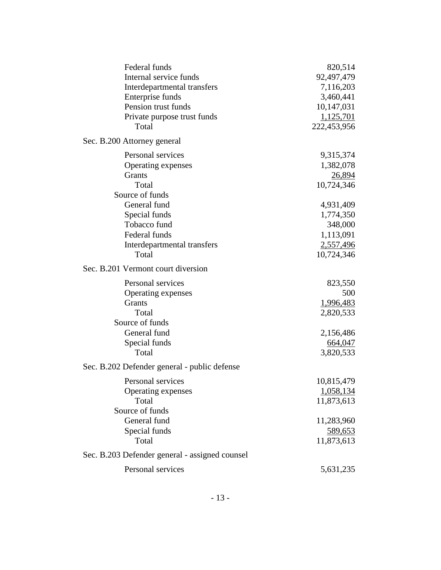| Federal funds                                  | 820,514       |
|------------------------------------------------|---------------|
| Internal service funds                         | 92,497,479    |
| Interdepartmental transfers                    | 7,116,203     |
| Enterprise funds                               | 3,460,441     |
| Pension trust funds                            | 10,147,031    |
| Private purpose trust funds                    | 1,125,701     |
| Total                                          | 222,453,956   |
| Sec. B.200 Attorney general                    |               |
| Personal services                              | 9,315,374     |
| Operating expenses                             | 1,382,078     |
| Grants                                         | <u>26,894</u> |
| Total                                          | 10,724,346    |
| Source of funds                                |               |
| General fund                                   | 4,931,409     |
| Special funds                                  | 1,774,350     |
| Tobacco fund                                   | 348,000       |
| Federal funds                                  | 1,113,091     |
| Interdepartmental transfers                    | 2,557,496     |
| Total                                          | 10,724,346    |
| Sec. B.201 Vermont court diversion             |               |
| Personal services                              | 823,550       |
| Operating expenses                             | 500           |
| Grants                                         | 1,996,483     |
| Total                                          | 2,820,533     |
| Source of funds                                |               |
| General fund                                   | 2,156,486     |
| Special funds                                  | 664,047       |
| Total                                          | 3,820,533     |
| Sec. B.202 Defender general - public defense   |               |
| Personal services                              | 10,815,479    |
| Operating expenses                             | 1,058,134     |
| Total                                          | 11,873,613    |
| Source of funds                                |               |
| General fund                                   | 11,283,960    |
| Special funds                                  | 589,653       |
| Total                                          | 11,873,613    |
| Sec. B.203 Defender general - assigned counsel |               |
| Personal services                              | 5,631,235     |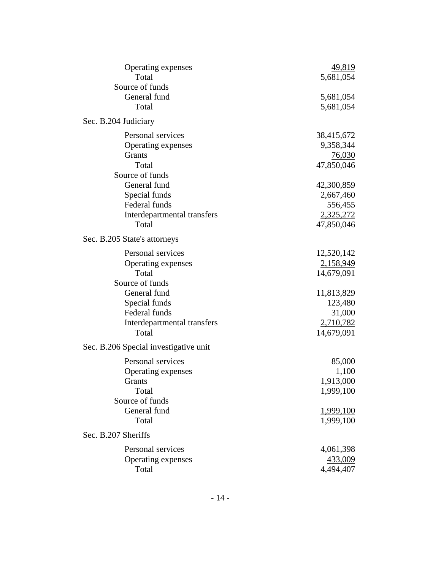| Operating expenses                    | 49,819     |
|---------------------------------------|------------|
| Total                                 | 5,681,054  |
| Source of funds                       |            |
| General fund                          | 5,681,054  |
| Total                                 | 5,681,054  |
| Sec. B.204 Judiciary                  |            |
| Personal services                     | 38,415,672 |
| Operating expenses                    | 9,358,344  |
| Grants                                | 76,030     |
| Total                                 | 47,850,046 |
| Source of funds                       |            |
| General fund                          | 42,300,859 |
| Special funds                         | 2,667,460  |
| Federal funds                         | 556,455    |
| Interdepartmental transfers           | 2,325,272  |
| Total                                 | 47,850,046 |
| Sec. B.205 State's attorneys          |            |
| Personal services                     | 12,520,142 |
| Operating expenses                    | 2,158,949  |
| Total                                 | 14,679,091 |
| Source of funds                       |            |
| General fund                          | 11,813,829 |
| Special funds                         | 123,480    |
| Federal funds                         | 31,000     |
| Interdepartmental transfers           | 2,710,782  |
| Total                                 | 14,679,091 |
| Sec. B.206 Special investigative unit |            |
| Personal services                     | 85,000     |
| Operating expenses                    | 1,100      |
| Grants                                | 1,913,000  |
| Total                                 | 1,999,100  |
| Source of funds                       |            |
| General fund                          | 1,999,100  |
| Total                                 | 1,999,100  |
| Sec. B.207 Sheriffs                   |            |
| Personal services                     | 4,061,398  |
| Operating expenses                    | 433,009    |
| Total                                 | 4,494,407  |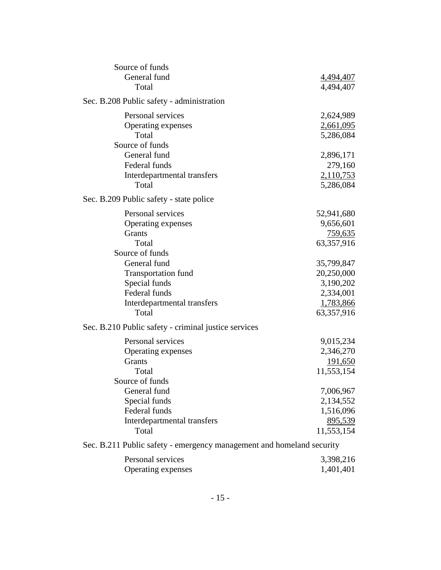| Source of funds                                                       |                  |
|-----------------------------------------------------------------------|------------------|
| General fund                                                          | <u>4,494,407</u> |
| Total                                                                 | 4,494,407        |
| Sec. B.208 Public safety - administration                             |                  |
| Personal services                                                     | 2,624,989        |
| Operating expenses                                                    | 2,661,095        |
| Total                                                                 | 5,286,084        |
| Source of funds                                                       |                  |
| General fund                                                          | 2,896,171        |
| Federal funds                                                         | 279,160          |
| Interdepartmental transfers                                           | 2,110,753        |
| Total                                                                 | 5,286,084        |
| Sec. B.209 Public safety - state police                               |                  |
| Personal services                                                     | 52,941,680       |
| Operating expenses                                                    | 9,656,601        |
| Grants                                                                | <u>759,635</u>   |
| Total                                                                 | 63,357,916       |
| Source of funds                                                       |                  |
| General fund                                                          | 35,799,847       |
| <b>Transportation fund</b>                                            | 20,250,000       |
| Special funds                                                         | 3,190,202        |
| Federal funds                                                         | 2,334,001        |
| Interdepartmental transfers                                           | 1,783,866        |
| Total                                                                 | 63,357,916       |
| Sec. B.210 Public safety - criminal justice services                  |                  |
| Personal services                                                     | 9,015,234        |
| Operating expenses                                                    | 2,346,270        |
| Grants                                                                | 191,650          |
| Total                                                                 | 11,553,154       |
| Source of funds                                                       |                  |
| General fund                                                          | 7,006,967        |
| Special funds                                                         | 2,134,552        |
| Federal funds                                                         | 1,516,096        |
| Interdepartmental transfers                                           | 895,539          |
| Total                                                                 | 11,553,154       |
| Sec. B.211 Public safety - emergency management and homeland security |                  |
| Personal services                                                     |                  |
|                                                                       | 3,398,216        |
| Operating expenses                                                    | 1,401,401        |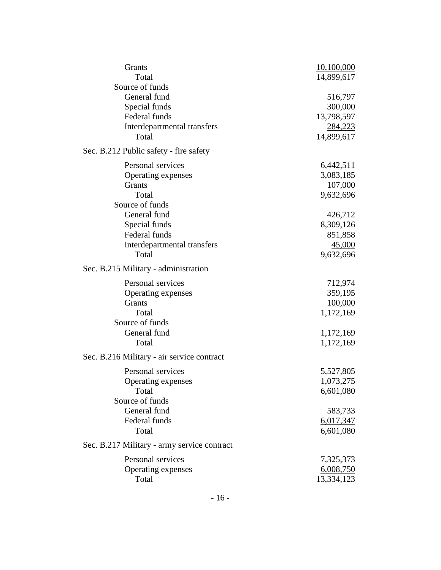| Grants                                      | 10,100,000       |
|---------------------------------------------|------------------|
| Total                                       | 14,899,617       |
| Source of funds                             |                  |
| General fund                                | 516,797          |
| Special funds                               | 300,000          |
| Federal funds                               | 13,798,597       |
| Interdepartmental transfers                 | <u>284,223</u>   |
| Total                                       | 14,899,617       |
| Sec. B.212 Public safety - fire safety      |                  |
| Personal services                           | 6,442,511        |
| Operating expenses                          | 3,083,185        |
| <b>Grants</b>                               | 107,000          |
| Total                                       | 9,632,696        |
| Source of funds                             |                  |
| General fund                                | 426,712          |
| Special funds                               | 8,309,126        |
| Federal funds                               | 851,858          |
| Interdepartmental transfers                 | 45,000           |
| Total                                       | 9,632,696        |
| Sec. B.215 Military - administration        |                  |
| Personal services                           | 712,974          |
| Operating expenses                          | 359,195          |
| Grants                                      | 100,000          |
| Total                                       | 1,172,169        |
| Source of funds                             |                  |
| General fund                                | <u>1,172,169</u> |
| Total                                       | 1,172,169        |
| Sec. B.216 Military - air service contract  |                  |
| Personal services                           | 5,527,805        |
| Operating expenses                          | 1,073,275        |
| Total                                       | 6,601,080        |
| Source of funds                             |                  |
| General fund                                | 583,733          |
| Federal funds                               | 6,017,347        |
| Total                                       | 6,601,080        |
| Sec. B.217 Military - army service contract |                  |
| Personal services                           | 7,325,373        |
| Operating expenses                          | 6,008,750        |
| Total                                       | 13,334,123       |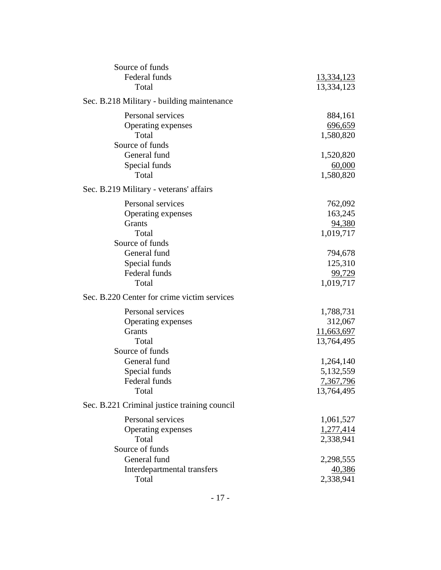| Source of funds<br>Federal funds             | 13,334,123  |
|----------------------------------------------|-------------|
| Total                                        | 13,334,123  |
| Sec. B.218 Military - building maintenance   |             |
| Personal services                            | 884,161     |
| Operating expenses                           | 696,659     |
| Total                                        | 1,580,820   |
| Source of funds                              |             |
| General fund                                 | 1,520,820   |
| Special funds                                | 60,000      |
| Total                                        | 1,580,820   |
| Sec. B.219 Military - veterans' affairs      |             |
| Personal services                            | 762,092     |
| Operating expenses                           | 163,245     |
| Grants                                       | 94,380      |
| Total                                        | 1,019,717   |
| Source of funds                              |             |
| General fund                                 | 794,678     |
| Special funds                                | 125,310     |
| Federal funds                                | 99,729      |
| Total                                        | 1,019,717   |
| Sec. B.220 Center for crime victim services  |             |
| Personal services                            | 1,788,731   |
| Operating expenses                           | 312,067     |
| Grants                                       | 11,663,697  |
| Total                                        | 13,764,495  |
| Source of funds                              |             |
| General fund                                 | 1,264,140   |
| Special funds                                | 5, 132, 559 |
| Federal funds                                | 7,367,796   |
| Total                                        | 13,764,495  |
| Sec. B.221 Criminal justice training council |             |
| Personal services                            | 1,061,527   |
| Operating expenses                           | 1,277,414   |
| Total                                        | 2,338,941   |
| Source of funds                              |             |
| General fund                                 | 2,298,555   |
| Interdepartmental transfers                  | 40,386      |
| Total                                        | 2,338,941   |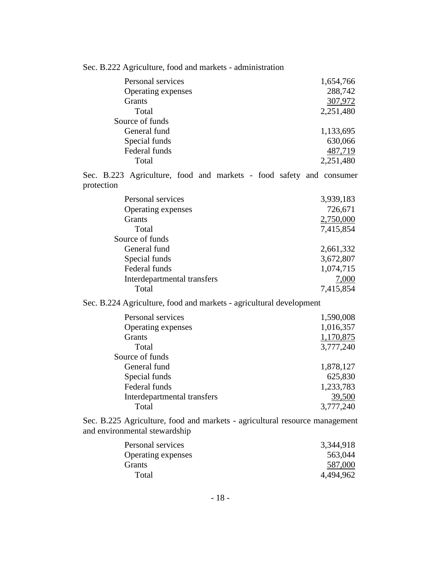|  |  |  |  |  |  | Sec. B.222 Agriculture, food and markets - administration |
|--|--|--|--|--|--|-----------------------------------------------------------|
|--|--|--|--|--|--|-----------------------------------------------------------|

| Personal services  | 1,654,766 |
|--------------------|-----------|
| Operating expenses | 288,742   |
| <b>Grants</b>      | 307,972   |
| Total              | 2,251,480 |
| Source of funds    |           |
| General fund       | 1,133,695 |
| Special funds      | 630,066   |
| Federal funds      | 487,719   |
| Total              | 2,251,480 |
|                    |           |

Sec. B.223 Agriculture, food and markets - food safety and consumer protection

| Personal services           | 3,939,183 |
|-----------------------------|-----------|
| Operating expenses          | 726,671   |
| <b>Grants</b>               | 2,750,000 |
| Total                       | 7,415,854 |
| Source of funds             |           |
| General fund                | 2,661,332 |
| Special funds               | 3,672,807 |
| Federal funds               | 1,074,715 |
| Interdepartmental transfers | 7,000     |
| Total                       | 7,415,854 |

Sec. B.224 Agriculture, food and markets - agricultural development

| Personal services           | 1,590,008 |
|-----------------------------|-----------|
| Operating expenses          | 1,016,357 |
| Grants                      | 1,170,875 |
| Total                       | 3,777,240 |
| Source of funds             |           |
| General fund                | 1,878,127 |
| Special funds               | 625,830   |
| Federal funds               | 1,233,783 |
| Interdepartmental transfers | 39,500    |
| Total                       | 3,777,240 |

Sec. B.225 Agriculture, food and markets - agricultural resource management and environmental stewardship

| 3,344,918 |
|-----------|
| 563,044   |
| 587,000   |
| 4,494,962 |
|           |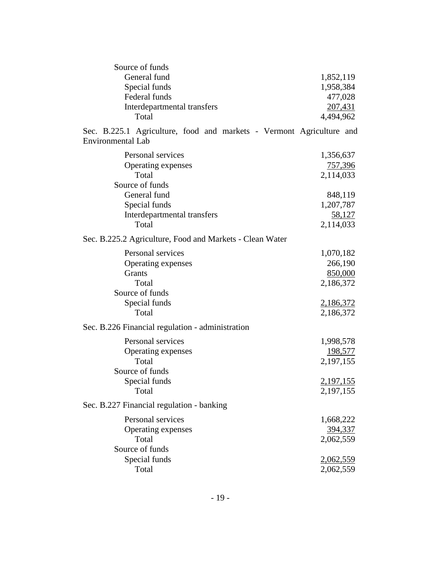| Source of funds                                                                                  |                        |
|--------------------------------------------------------------------------------------------------|------------------------|
| General fund                                                                                     | 1,852,119              |
| Special funds                                                                                    | 1,958,384              |
| Federal funds                                                                                    | 477,028                |
| Interdepartmental transfers                                                                      | 207,431                |
| Total                                                                                            | 4,494,962              |
|                                                                                                  |                        |
| Sec. B.225.1 Agriculture, food and markets - Vermont Agriculture and<br><b>Environmental Lab</b> |                        |
| Personal services                                                                                | 1,356,637              |
| Operating expenses                                                                               | <u>757,396</u>         |
| Total                                                                                            | 2,114,033              |
| Source of funds                                                                                  |                        |
| General fund                                                                                     | 848,119                |
| Special funds                                                                                    | 1,207,787              |
|                                                                                                  |                        |
| Interdepartmental transfers<br>Total                                                             | 58,127                 |
|                                                                                                  | 2,114,033              |
| Sec. B.225.2 Agriculture, Food and Markets - Clean Water                                         |                        |
| Personal services                                                                                | 1,070,182              |
| Operating expenses                                                                               | 266,190                |
| <b>Grants</b>                                                                                    | 850,000                |
| Total                                                                                            | 2,186,372              |
| Source of funds                                                                                  |                        |
| Special funds                                                                                    | 2,186,372              |
| Total                                                                                            | 2,186,372              |
| Sec. B.226 Financial regulation - administration                                                 |                        |
| Personal services                                                                                | 1,998,578              |
| Operating expenses                                                                               | <u>198,577</u>         |
| Total                                                                                            | 2,197,155              |
| Source of funds                                                                                  |                        |
|                                                                                                  |                        |
| Special funds<br>Total                                                                           | 2,197,155<br>2,197,155 |
|                                                                                                  |                        |
| Sec. B.227 Financial regulation - banking                                                        |                        |
| Personal services                                                                                | 1,668,222              |
| Operating expenses                                                                               | <u>394,337</u>         |
| Total                                                                                            | 2,062,559              |
| Source of funds                                                                                  |                        |
| Special funds                                                                                    | <u>2,062,559</u>       |
| Total                                                                                            | 2,062,559              |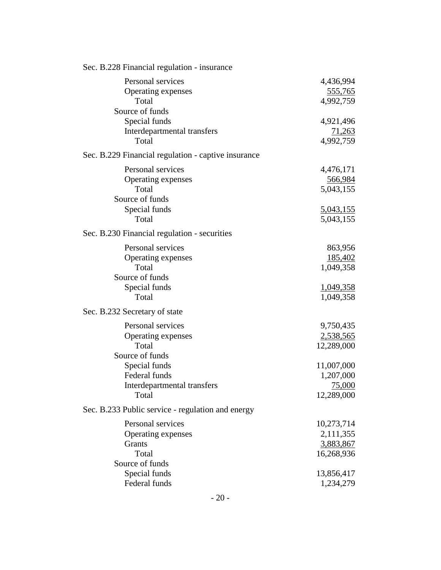| Sec. B.228 Financial regulation - insurance         |                             |
|-----------------------------------------------------|-----------------------------|
| Personal services<br>Operating expenses             | 4,436,994<br><u>555,765</u> |
| Total<br>Source of funds                            | 4,992,759                   |
| Special funds                                       | 4,921,496                   |
| Interdepartmental transfers                         | 71,263                      |
| Total                                               | 4,992,759                   |
| Sec. B.229 Financial regulation - captive insurance |                             |
| Personal services                                   | 4,476,171                   |
| Operating expenses                                  | 566,984                     |
| Total<br>Source of funds                            | 5,043,155                   |
| Special funds                                       | 5,043,155                   |
| Total                                               | 5,043,155                   |
| Sec. B.230 Financial regulation - securities        |                             |
| Personal services                                   | 863,956                     |
| Operating expenses                                  | 185,402                     |
| Total                                               | 1,049,358                   |
| Source of funds                                     |                             |
| Special funds<br>Total                              | 1,049,358                   |
|                                                     | 1,049,358                   |
| Sec. B.232 Secretary of state                       |                             |
| Personal services                                   | 9,750,435                   |
| Operating expenses                                  | 2,538,565                   |
| Total<br>Source of funds                            | 12,289,000                  |
| Special funds                                       | 11,007,000                  |
| Federal funds                                       | 1,207,000                   |
| Interdepartmental transfers                         | 75,000                      |
| Total                                               | 12,289,000                  |
| Sec. B.233 Public service - regulation and energy   |                             |
| Personal services                                   | 10,273,714                  |
| Operating expenses                                  | 2,111,355                   |
| Grants                                              | 3,883,867                   |
| Total                                               | 16,268,936                  |
| Source of funds<br>Special funds                    | 13,856,417                  |
| Federal funds                                       | 1,234,279                   |
|                                                     |                             |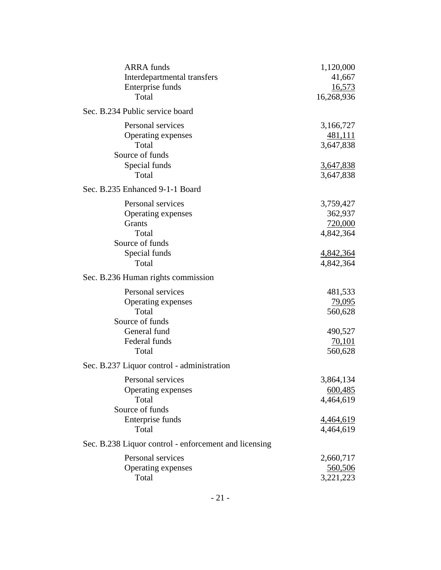| <b>ARRA</b> funds                                     | 1,120,000        |
|-------------------------------------------------------|------------------|
| Interdepartmental transfers                           | 41,667           |
| Enterprise funds                                      | 16,573           |
| Total                                                 | 16,268,936       |
| Sec. B.234 Public service board                       |                  |
| Personal services                                     | 3,166,727        |
| Operating expenses                                    | 481,111          |
| Total                                                 | 3,647,838        |
| Source of funds                                       |                  |
| Special funds                                         | 3,647,838        |
| Total                                                 | 3,647,838        |
| Sec. B.235 Enhanced 9-1-1 Board                       |                  |
| Personal services                                     | 3,759,427        |
| Operating expenses                                    | 362,937          |
| Grants                                                | 720,000          |
| Total                                                 | 4,842,364        |
| Source of funds                                       |                  |
| Special funds                                         | 4,842,364        |
| Total                                                 | 4,842,364        |
| Sec. B.236 Human rights commission                    |                  |
| Personal services                                     | 481,533          |
| Operating expenses                                    | <u>79,095</u>    |
| Total                                                 | 560,628          |
| Source of funds                                       |                  |
| General fund                                          | 490,527          |
| Federal funds                                         | 70,101           |
| Total                                                 | 560,628          |
| Sec. B.237 Liquor control - administration            |                  |
| Personal services                                     | 3,864,134        |
| Operating expenses                                    | 600,485          |
| Total                                                 | 4,464,619        |
| Source of funds                                       |                  |
| Enterprise funds                                      | <u>4,464,619</u> |
| Total                                                 | 4,464,619        |
| Sec. B.238 Liquor control - enforcement and licensing |                  |
| Personal services                                     | 2,660,717        |
| Operating expenses                                    | 560,506          |
| Total                                                 | 3,221,223        |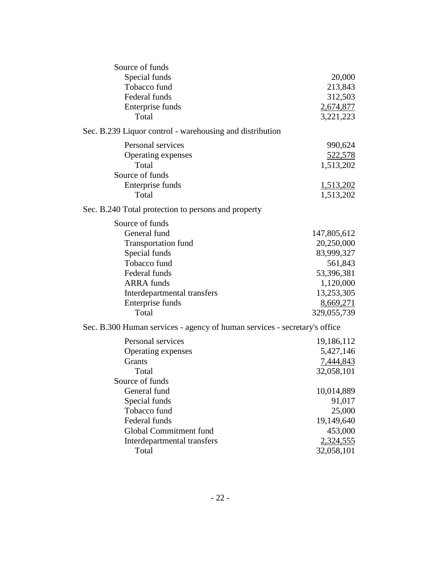| Source of funds                                                           |                  |
|---------------------------------------------------------------------------|------------------|
| Special funds                                                             | 20,000           |
| Tobacco fund                                                              | 213,843          |
| Federal funds                                                             | 312,503          |
| Enterprise funds                                                          | 2,674,877        |
| Total                                                                     | 3,221,223        |
| Sec. B.239 Liquor control - warehousing and distribution                  |                  |
| Personal services                                                         | 990,624          |
| Operating expenses                                                        | 522,578          |
| Total                                                                     | 1,513,202        |
| Source of funds                                                           |                  |
| Enterprise funds                                                          | <u>1,513,202</u> |
| Total                                                                     | 1,513,202        |
| Sec. B.240 Total protection to persons and property                       |                  |
| Source of funds                                                           |                  |
| General fund                                                              | 147,805,612      |
| <b>Transportation fund</b>                                                | 20,250,000       |
| Special funds                                                             | 83,999,327       |
| Tobacco fund                                                              | 561,843          |
| Federal funds                                                             | 53,396,381       |
| <b>ARRA</b> funds                                                         | 1,120,000        |
| Interdepartmental transfers                                               | 13,253,305       |
| Enterprise funds                                                          | 8,669,271        |
| Total                                                                     | 329,055,739      |
| Sec. B.300 Human services - agency of human services - secretary's office |                  |
| Personal services                                                         | 19,186,112       |
| Operating expenses                                                        | 5,427,146        |
| Grants                                                                    | <u>7,444,843</u> |
| Total                                                                     | 32,058,101       |
| Source of funds                                                           |                  |
| General fund                                                              | 10,014,889       |
| Special funds                                                             | 91,017           |
| Tobacco fund                                                              | 25,000           |
| Federal funds                                                             | 19,149,640       |
| Global Commitment fund                                                    | 453,000          |
| Interdepartmental transfers                                               | 2,324,555        |
| Total                                                                     | 32,058,101       |
|                                                                           |                  |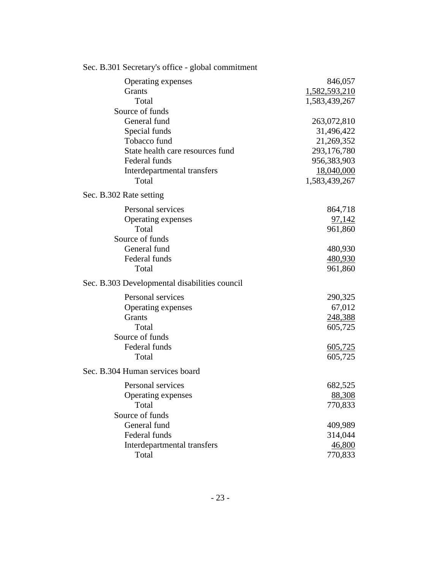| $\text{SCL}$ . D.301 Secretary's UTHC - groval communicity |               |
|------------------------------------------------------------|---------------|
| Operating expenses                                         | 846,057       |
| Grants                                                     | 1,582,593,210 |
| Total                                                      | 1,583,439,267 |
| Source of funds                                            |               |
| General fund                                               | 263,072,810   |
| Special funds                                              | 31,496,422    |
| Tobacco fund                                               | 21,269,352    |
| State health care resources fund                           | 293,176,780   |
| Federal funds                                              | 956,383,903   |
| Interdepartmental transfers                                | 18,040,000    |
| Total                                                      | 1,583,439,267 |
| Sec. B.302 Rate setting                                    |               |
| Personal services                                          | 864,718       |
| Operating expenses                                         | 97,142        |
| Total                                                      | 961,860       |
| Source of funds                                            |               |
| General fund                                               | 480,930       |
| Federal funds                                              | 480,930       |
| Total                                                      | 961,860       |
| Sec. B.303 Developmental disabilities council              |               |
| Personal services                                          | 290,325       |
| Operating expenses                                         | 67,012        |
| Grants                                                     | 248,388       |
| Total                                                      | 605,725       |
| Source of funds                                            |               |
| Federal funds                                              | 605,725       |
| Total                                                      | 605,725       |
| Sec. B.304 Human services board                            |               |
| Personal services                                          | 682,525       |
| Operating expenses                                         | 88,308        |
| Total                                                      | 770,833       |
| Source of funds                                            |               |
| General fund                                               | 409,989       |
| Federal funds                                              | 314,044       |
| Interdepartmental transfers                                | 46,800        |
| Total                                                      | 770,833       |

Sec. B.301 Secretary's office - global commitment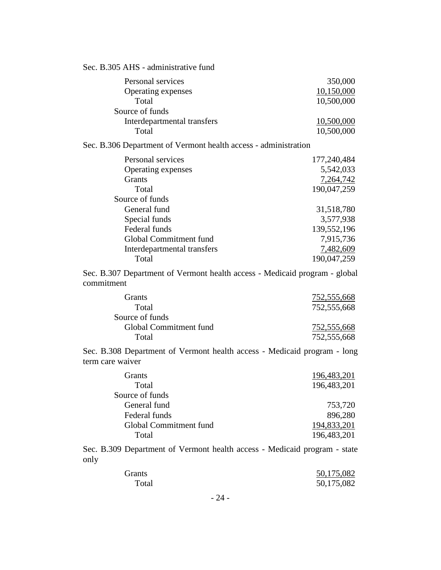| Sec. B.305 AHS - administrative fund                                                         |                    |
|----------------------------------------------------------------------------------------------|--------------------|
| Personal services                                                                            | 350,000            |
| Operating expenses                                                                           | 10,150,000         |
| Total                                                                                        | 10,500,000         |
| Source of funds                                                                              |                    |
| Interdepartmental transfers                                                                  | 10,500,000         |
| Total                                                                                        | 10,500,000         |
| Sec. B.306 Department of Vermont health access - administration                              |                    |
| Personal services                                                                            | 177,240,484        |
| Operating expenses                                                                           | 5,542,033          |
| Grants                                                                                       | 7,264,742          |
| Total                                                                                        | 190,047,259        |
| Source of funds                                                                              |                    |
| General fund                                                                                 | 31,518,780         |
| Special funds                                                                                | 3,577,938          |
| Federal funds                                                                                | 139,552,196        |
| Global Commitment fund                                                                       | 7,915,736          |
| Interdepartmental transfers                                                                  | 7,482,609          |
| Total                                                                                        | 190,047,259        |
| Sec. B.307 Department of Vermont health access - Medicaid program - global<br>commitment     |                    |
| Grants                                                                                       | 752,555,668        |
| Total                                                                                        | 752,555,668        |
| Source of funds                                                                              |                    |
| Global Commitment fund                                                                       | <u>752,555,668</u> |
| Total                                                                                        | 752,555,668        |
| Sec. B.308 Department of Vermont health access - Medicaid program - long<br>term care waiver |                    |
| Grants                                                                                       | 196, 483, 201      |

| Grants                 | 196,483,201 |
|------------------------|-------------|
| Total                  | 196,483,201 |
| Source of funds        |             |
| General fund           | 753,720     |
| Federal funds          | 896,280     |
| Global Commitment fund | 194,833,201 |
| Total                  | 196,483,201 |
|                        |             |

Sec. B.309 Department of Vermont health access - Medicaid program - state only

| Grants | 50,175,082 |
|--------|------------|
| Total  | 50,175,082 |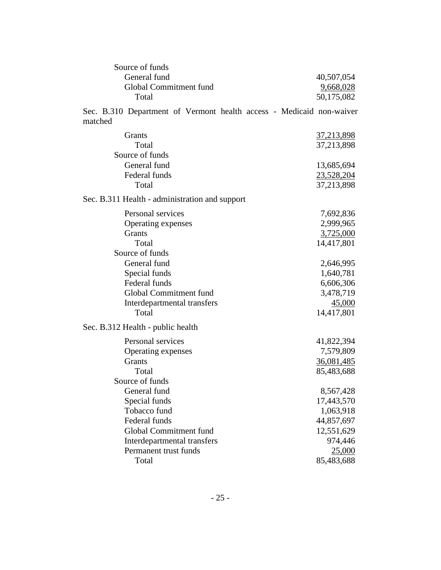| Source of funds        |            |
|------------------------|------------|
| General fund           | 40,507,054 |
| Global Commitment fund | 9,668,028  |
| Total                  | 50,175,082 |

Sec. B.310 Department of Vermont health access - Medicaid non-waiver matched

| Grants                                         | 37,213,898 |
|------------------------------------------------|------------|
| Total                                          |            |
| Source of funds                                | 37,213,898 |
|                                                |            |
| General fund                                   | 13,685,694 |
| Federal funds                                  | 23,528,204 |
| Total                                          | 37,213,898 |
| Sec. B.311 Health - administration and support |            |
| Personal services                              | 7,692,836  |
| Operating expenses                             | 2,999,965  |
| Grants                                         | 3,725,000  |
| Total                                          | 14,417,801 |
| Source of funds                                |            |
| General fund                                   | 2,646,995  |
| Special funds                                  | 1,640,781  |
| Federal funds                                  | 6,606,306  |
| Global Commitment fund                         | 3,478,719  |
| Interdepartmental transfers                    | 45,000     |
| Total                                          | 14,417,801 |
| Sec. B.312 Health - public health              |            |
| Personal services                              | 41,822,394 |
| Operating expenses                             | 7,579,809  |
| Grants                                         | 36,081,485 |
| Total                                          | 85,483,688 |
| Source of funds                                |            |
| General fund                                   | 8,567,428  |
| Special funds                                  | 17,443,570 |
| Tobacco fund                                   | 1,063,918  |
| Federal funds                                  | 44,857,697 |
| Global Commitment fund                         | 12,551,629 |
| Interdepartmental transfers                    | 974,446    |
| Permanent trust funds                          | 25,000     |
| Total                                          | 85,483,688 |
|                                                |            |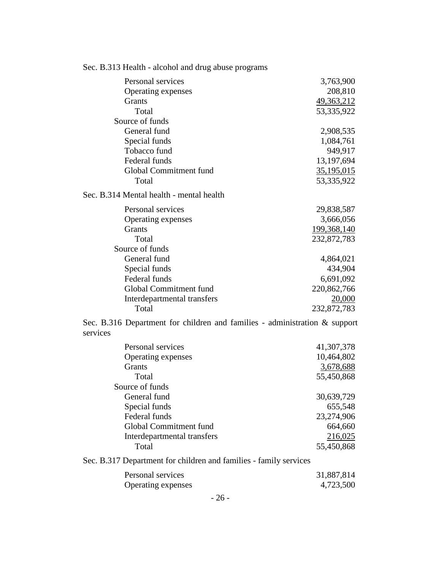| Sec. B.313 Health - alcohol and drug abuse programs                                       |               |
|-------------------------------------------------------------------------------------------|---------------|
| Personal services                                                                         | 3,763,900     |
| Operating expenses                                                                        | 208,810       |
| Grants                                                                                    | 49,363,212    |
| Total                                                                                     | 53,335,922    |
| Source of funds                                                                           |               |
| General fund                                                                              | 2,908,535     |
| Special funds                                                                             | 1,084,761     |
| Tobacco fund                                                                              | 949,917       |
| Federal funds                                                                             | 13,197,694    |
| Global Commitment fund                                                                    | 35,195,015    |
| Total                                                                                     | 53,335,922    |
| Sec. B.314 Mental health - mental health                                                  |               |
| Personal services                                                                         | 29,838,587    |
| Operating expenses                                                                        | 3,666,056     |
| Grants                                                                                    | 199, 368, 140 |
| Total                                                                                     | 232,872,783   |
| Source of funds                                                                           |               |
| General fund                                                                              | 4,864,021     |
| Special funds                                                                             | 434,904       |
| Federal funds                                                                             | 6,691,092     |
| Global Commitment fund                                                                    | 220,862,766   |
| Interdepartmental transfers                                                               | 20,000        |
| Total                                                                                     | 232,872,783   |
| Sec. B.316 Department for children and families - administration $\&$ support<br>services |               |
| Personal services                                                                         | 41,307,378    |
| Operating expenses                                                                        | 10,464,802    |
| Grants                                                                                    | 3,678,688     |
| Total                                                                                     | 55,450,868    |
| Source of funds                                                                           |               |
| General fund                                                                              | 30,639,729    |
| Special funds                                                                             | 655,548       |
| Federal funds                                                                             | 23,274,906    |
| Global Commitment fund                                                                    | 664,660       |
| Interdepartmental transfers                                                               | 216,025       |
| Total                                                                                     | 55,450,868    |
| Sec. B.317 Department for children and families - family services                         |               |
| Personal services                                                                         | 31,887,814    |
| Operating expenses                                                                        | 4,723,500     |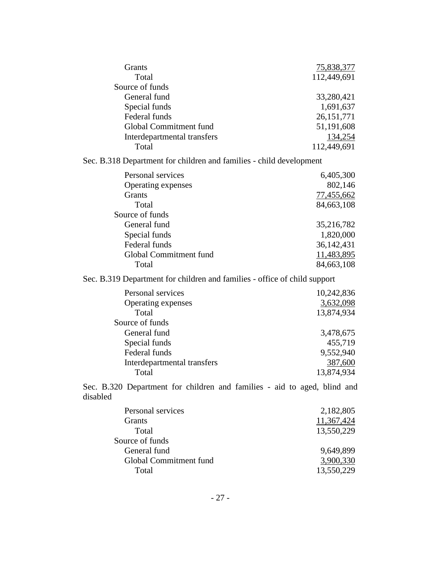| Grants                                                                               | 75,838,377              |
|--------------------------------------------------------------------------------------|-------------------------|
| Total                                                                                | 112,449,691             |
| Source of funds                                                                      |                         |
| General fund                                                                         | 33,280,421              |
| Special funds                                                                        | 1,691,637               |
| Federal funds                                                                        | 26, 151, 771            |
| Global Commitment fund                                                               | 51,191,608              |
| Interdepartmental transfers                                                          | 134,254                 |
| Total                                                                                | 112,449,691             |
| Sec. B.318 Department for children and families - child development                  |                         |
| Personal services                                                                    | 6,405,300               |
| Operating expenses                                                                   | 802,146                 |
| <b>Grants</b>                                                                        | 77,455,662              |
| Total                                                                                | 84,663,108              |
| Source of funds                                                                      |                         |
| General fund                                                                         | 35,216,782              |
| Special funds                                                                        | 1,820,000               |
| Federal funds                                                                        | 36, 142, 431            |
| Global Commitment fund                                                               | 11,483,895              |
| Total                                                                                | 84,663,108              |
|                                                                                      |                         |
| Sec. B.319 Department for children and families - office of child support            |                         |
| Personal services                                                                    | 10,242,836              |
| Operating expenses                                                                   | 3,632,098               |
| Total                                                                                | 13,874,934              |
| Source of funds                                                                      |                         |
| General fund                                                                         | 3,478,675               |
| Special funds                                                                        | 455,719                 |
| Federal funds                                                                        | 9,552,940               |
| Interdepartmental transfers                                                          | 387,600                 |
| Total                                                                                | 13,874,934              |
| Sec. B.320 Department for children and families - aid to aged, blind and<br>disabled |                         |
|                                                                                      |                         |
| Personal services                                                                    | 2,182,805               |
| Grants                                                                               | 11,367,424              |
| Total                                                                                | 13,550,229              |
| Source of funds                                                                      |                         |
| General fund                                                                         | 9,649,899               |
| Global Commitment fund<br>Total                                                      | 3,900,330<br>13,550,229 |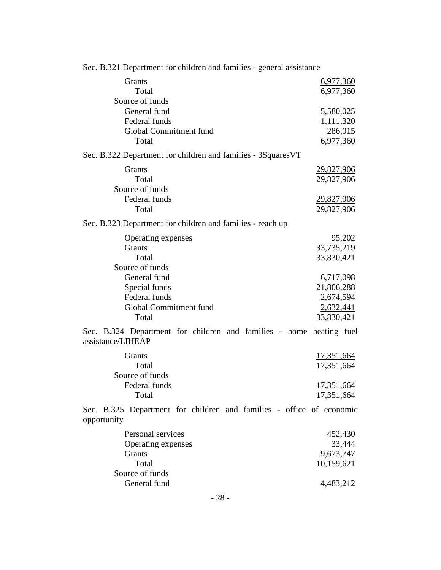| Grants                          |                                                                      | 6,977,360                       |
|---------------------------------|----------------------------------------------------------------------|---------------------------------|
| Total                           |                                                                      | 6,977,360                       |
| Source of funds<br>General fund |                                                                      | 5,580,025                       |
| Federal funds                   |                                                                      | 1,111,320                       |
| Global Commitment fund          |                                                                      | 286,015                         |
| Total                           |                                                                      | 6,977,360                       |
|                                 | Sec. B.322 Department for children and families - 3Squares VT        |                                 |
| Grants                          |                                                                      | <u>29,827,906</u>               |
| Total                           |                                                                      | 29,827,906                      |
| Source of funds                 |                                                                      |                                 |
| Federal funds<br>Total          |                                                                      | <u>29,827,906</u><br>29,827,906 |
|                                 |                                                                      |                                 |
|                                 | Sec. B.323 Department for children and families - reach up           |                                 |
| Operating expenses              |                                                                      | 95,202                          |
| Grants                          |                                                                      | 33,735,219                      |
| Total<br>Source of funds        |                                                                      | 33,830,421                      |
| General fund                    |                                                                      | 6,717,098                       |
| Special funds                   |                                                                      | 21,806,288                      |
| Federal funds                   |                                                                      | 2,674,594                       |
| Global Commitment fund          |                                                                      | 2,632,441                       |
| Total                           |                                                                      | 33,830,421                      |
| assistance/LIHEAP               | Sec. B.324 Department for children and families - home heating fuel  |                                 |
| Grants                          |                                                                      | 17,351,664                      |
| Total                           |                                                                      | 17,351,664                      |
| Source of funds                 |                                                                      |                                 |
| Federal funds                   |                                                                      | 17,351,664                      |
| Total                           |                                                                      | 17,351,664                      |
| opportunity                     | Sec. B.325 Department for children and families - office of economic |                                 |
| Personal services               |                                                                      | 452,430                         |
| Operating expenses              |                                                                      | 33,444                          |
| Grants                          |                                                                      | 9,673,747                       |
| Total                           |                                                                      | 10,159,621                      |
| Source of funds<br>General fund |                                                                      | 4,483,212                       |
|                                 |                                                                      |                                 |
|                                 | 28                                                                   |                                 |

Sec. B.321 Department for children and families - general assistance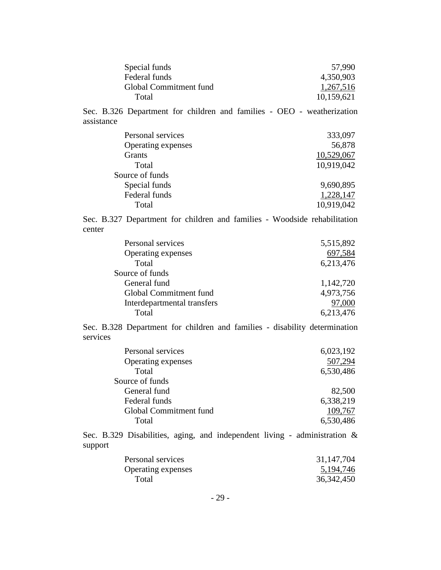| Special funds          | 57,990     |
|------------------------|------------|
| Federal funds          | 4,350,903  |
| Global Commitment fund | 1,267,516  |
| Total                  | 10,159,621 |

Sec. B.326 Department for children and families - OEO - weatherization assistance

| Personal services  | 333,097    |
|--------------------|------------|
| Operating expenses | 56,878     |
| <b>Grants</b>      | 10,529,067 |
| Total              | 10,919,042 |
| Source of funds    |            |
| Special funds      | 9,690,895  |
| Federal funds      | 1,228,147  |
| Total              | 10,919,042 |
|                    |            |

Sec. B.327 Department for children and families - Woodside rehabilitation center

| Personal services           | 5,515,892 |
|-----------------------------|-----------|
| Operating expenses          | 697,584   |
| Total                       | 6,213,476 |
| Source of funds             |           |
| General fund                | 1,142,720 |
| Global Commitment fund      | 4,973,756 |
| Interdepartmental transfers | 97,000    |
| Total                       | 6,213,476 |
|                             |           |

Sec. B.328 Department for children and families - disability determination services

| Personal services      | 6,023,192 |
|------------------------|-----------|
| Operating expenses     | 507,294   |
| Total                  | 6,530,486 |
| Source of funds        |           |
| General fund           | 82,500    |
| Federal funds          | 6,338,219 |
| Global Commitment fund | 109,767   |
| Total                  | 6,530,486 |

Sec. B.329 Disabilities, aging, and independent living - administration & support

| Personal services  | 31, 147, 704 |
|--------------------|--------------|
| Operating expenses | 5, 194, 746  |
| Total              | 36, 342, 450 |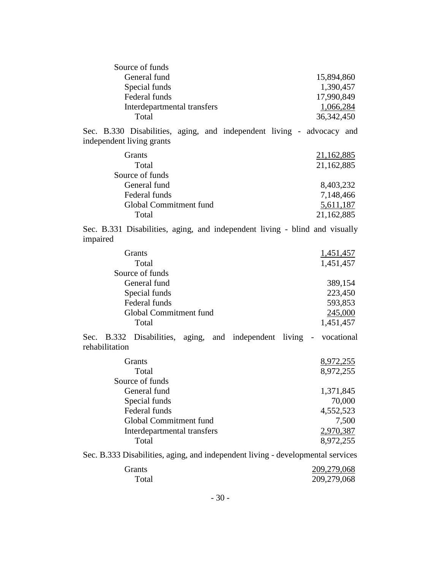| Source of funds             |              |
|-----------------------------|--------------|
| General fund                | 15,894,860   |
| Special funds               | 1,390,457    |
| Federal funds               | 17,990,849   |
| Interdepartmental transfers | 1,066,284    |
| Total                       | 36, 342, 450 |

Sec. B.330 Disabilities, aging, and independent living - advocacy and independent living grants

| <b>Grants</b>          | 21,162,885 |
|------------------------|------------|
| Total                  | 21,162,885 |
| Source of funds        |            |
| General fund           | 8,403,232  |
| Federal funds          | 7,148,466  |
| Global Commitment fund | 5,611,187  |
| Total                  | 21,162,885 |
|                        |            |

Sec. B.331 Disabilities, aging, and independent living - blind and visually impaired

| 1,451,457 |
|-----------|
| 1,451,457 |
|           |
| 389,154   |
| 223,450   |
| 593,853   |
| 245,000   |
| 1,451,457 |
|           |

Sec. B.332 Disabilities, aging, and independent living - vocational rehabilitation

| <b>Grants</b>               | 8,972,255 |
|-----------------------------|-----------|
| Total                       | 8,972,255 |
| Source of funds             |           |
| General fund                | 1,371,845 |
| Special funds               | 70,000    |
| Federal funds               | 4,552,523 |
| Global Commitment fund      | 7,500     |
| Interdepartmental transfers | 2,970,387 |
| Total                       | 8.972.255 |

Sec. B.333 Disabilities, aging, and independent living - developmental services

| Grants | 209,279,068 |
|--------|-------------|
| Total  | 209,279,068 |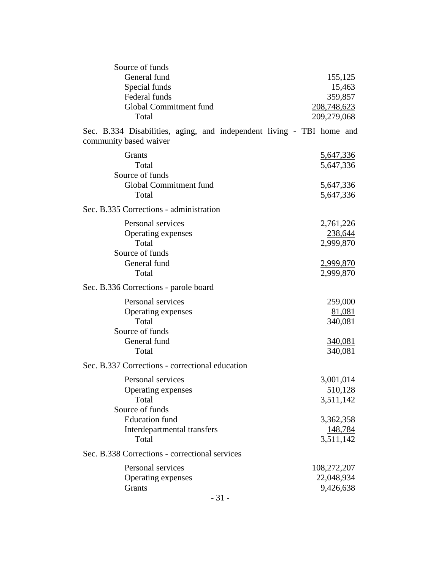| Source of funds                                                                                 |                               |
|-------------------------------------------------------------------------------------------------|-------------------------------|
| General fund<br>Special funds                                                                   | 155,125<br>15,463             |
| Federal funds                                                                                   | 359,857                       |
| Global Commitment fund                                                                          | 208,748,623                   |
| Total                                                                                           | 209,279,068                   |
|                                                                                                 |                               |
| Sec. B.334 Disabilities, aging, and independent living - TBI home and<br>community based waiver |                               |
| Grants                                                                                          | 5,647,336                     |
| Total                                                                                           | 5,647,336                     |
| Source of funds                                                                                 |                               |
| Global Commitment fund                                                                          | 5,647,336                     |
| Total                                                                                           | 5,647,336                     |
| Sec. B.335 Corrections - administration                                                         |                               |
| Personal services                                                                               | 2,761,226                     |
| Operating expenses                                                                              | 238,644                       |
| Total                                                                                           | 2,999,870                     |
| Source of funds                                                                                 |                               |
| General fund<br>Total                                                                           | <u>2,999,870</u><br>2,999,870 |
|                                                                                                 |                               |
| Sec. B.336 Corrections - parole board                                                           |                               |
| Personal services                                                                               | 259,000                       |
| Operating expenses                                                                              | 81,081                        |
| Total                                                                                           | 340,081                       |
| Source of funds                                                                                 |                               |
| General fund                                                                                    | 340,081                       |
| Total                                                                                           | 340,081                       |
| Sec. B.337 Corrections - correctional education                                                 |                               |
| Personal services                                                                               | 3,001,014                     |
| Operating expenses                                                                              | 510,128                       |
| Total                                                                                           | 3,511,142                     |
| Source of funds                                                                                 |                               |
| <b>Education</b> fund                                                                           | 3,362,358                     |
| Interdepartmental transfers<br>Total                                                            | 148,784<br>3,511,142          |
|                                                                                                 |                               |
| Sec. B.338 Corrections - correctional services                                                  |                               |
| Personal services                                                                               | 108,272,207                   |
| Operating expenses                                                                              | 22,048,934                    |
| Grants                                                                                          | 9,426,638                     |
| $-31-$                                                                                          |                               |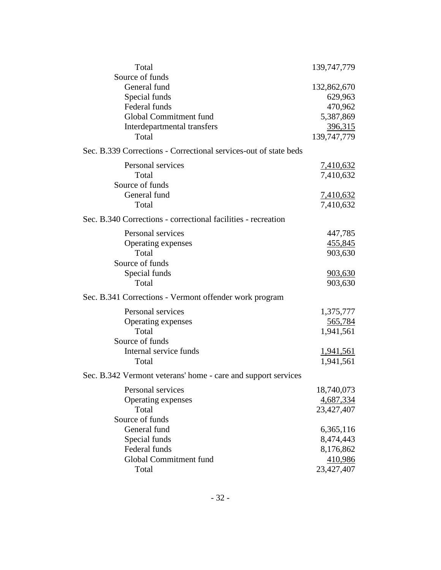| Total                                                            | 139, 747, 779    |
|------------------------------------------------------------------|------------------|
| Source of funds                                                  |                  |
| General fund                                                     | 132,862,670      |
| Special funds                                                    | 629,963          |
| Federal funds                                                    | 470,962          |
| Global Commitment fund                                           | 5,387,869        |
| Interdepartmental transfers                                      | 396,315          |
| Total                                                            | 139,747,779      |
| Sec. B.339 Corrections - Correctional services-out of state beds |                  |
| Personal services                                                | <u>7,410,632</u> |
| Total                                                            | 7,410,632        |
| Source of funds                                                  |                  |
| General fund                                                     | <u>7,410,632</u> |
| Total                                                            | 7,410,632        |
| Sec. B.340 Corrections - correctional facilities - recreation    |                  |
| Personal services                                                | 447,785          |
| Operating expenses                                               | 455,845          |
| Total                                                            | 903,630          |
| Source of funds                                                  |                  |
| Special funds                                                    | <u>903,630</u>   |
| Total                                                            | 903,630          |
| Sec. B.341 Corrections - Vermont offender work program           |                  |
| Personal services                                                | 1,375,777        |
| Operating expenses                                               | 565,784          |
| Total                                                            | 1,941,561        |
| Source of funds                                                  |                  |
| Internal service funds                                           | 1,941,561        |
| Total                                                            | 1,941,561        |
| Sec. B.342 Vermont veterans' home - care and support services    |                  |
| Personal services                                                | 18,740,073       |
| Operating expenses                                               | 4,687,334        |
| Total                                                            | 23,427,407       |
| Source of funds                                                  |                  |
| General fund                                                     | 6,365,116        |
| Special funds                                                    | 8,474,443        |
| Federal funds                                                    | 8,176,862        |
| Global Commitment fund                                           | 410,986          |
| Total                                                            | 23,427,407       |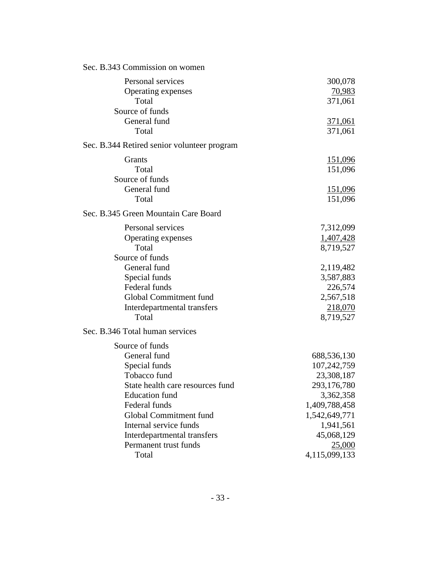| 300,078<br><u>70,983</u><br>371,061<br><u>371,061</u><br>371,061<br><u>151,096</u><br>151,096<br><u>151,096</u><br>151,096                                   |
|--------------------------------------------------------------------------------------------------------------------------------------------------------------|
|                                                                                                                                                              |
|                                                                                                                                                              |
|                                                                                                                                                              |
|                                                                                                                                                              |
|                                                                                                                                                              |
|                                                                                                                                                              |
| 7,312,099<br>1,407,428<br>8,719,527                                                                                                                          |
| 2,119,482<br>3,587,883<br>226,574<br>2,567,518<br><u>218,070</u><br>8,719,527                                                                                |
|                                                                                                                                                              |
| 688,536,130<br>107,242,759<br>23,308,187<br>293,176,780<br>3,362,358<br>1,409,788,458<br>1,542,649,771<br>1,941,561<br>45,068,129<br>25,000<br>4,115,099,133 |
|                                                                                                                                                              |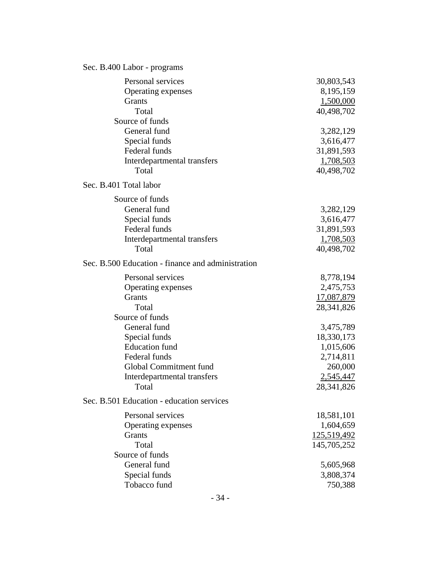| Sec. B.400 Labor - programs                                                                                                                                                                                                       |                                                                                                                                                 |
|-----------------------------------------------------------------------------------------------------------------------------------------------------------------------------------------------------------------------------------|-------------------------------------------------------------------------------------------------------------------------------------------------|
| Personal services<br>Operating expenses<br>Grants<br>Total<br>Source of funds<br>General fund<br>Special funds<br>Federal funds<br>Interdepartmental transfers<br>Total                                                           | 30,803,543<br>8,195,159<br>1,500,000<br>40,498,702<br>3,282,129<br>3,616,477<br>31,891,593<br>1,708,503<br>40,498,702                           |
| Sec. B.401 Total labor                                                                                                                                                                                                            |                                                                                                                                                 |
| Source of funds<br>General fund<br>Special funds<br>Federal funds<br>Interdepartmental transfers<br>Total                                                                                                                         | 3,282,129<br>3,616,477<br>31,891,593<br>1,708,503<br>40,498,702                                                                                 |
| Sec. B.500 Education - finance and administration                                                                                                                                                                                 |                                                                                                                                                 |
| Personal services<br>Operating expenses<br><b>Grants</b><br>Total<br>Source of funds<br>General fund<br>Special funds<br><b>Education</b> fund<br>Federal funds<br>Global Commitment fund<br>Interdepartmental transfers<br>Total | 8,778,194<br>2,475,753<br>17,087,879<br>28, 341, 826<br>3,475,789<br>18,330,173<br>1,015,606<br>2,714,811<br>260,000<br>2,545,447<br>28,341,826 |
| Sec. B.501 Education - education services                                                                                                                                                                                         |                                                                                                                                                 |
| Personal services<br>Operating expenses<br><b>Grants</b><br>Total<br>Source of funds<br>General fund                                                                                                                              | 18,581,101<br>1,604,659<br>125,519,492<br>145,705,252<br>5,605,968                                                                              |
| Special funds<br>Tobacco fund                                                                                                                                                                                                     | 3,808,374<br>750,388                                                                                                                            |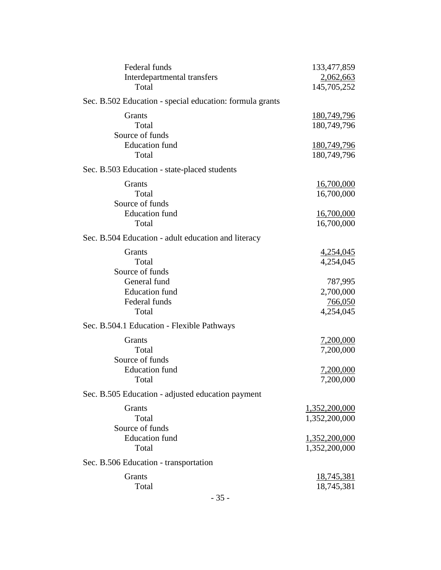| Federal funds                                            | 133,477,859        |
|----------------------------------------------------------|--------------------|
| Interdepartmental transfers                              | 2,062,663          |
| Total                                                    | 145,705,252        |
| Sec. B.502 Education - special education: formula grants |                    |
| Grants                                                   | 180,749,796        |
| Total                                                    | 180,749,796        |
| Source of funds                                          |                    |
| <b>Education</b> fund                                    | <u>180,749,796</u> |
| Total                                                    | 180,749,796        |
| Sec. B.503 Education - state-placed students             |                    |
| Grants                                                   | 16,700,000         |
| Total                                                    | 16,700,000         |
| Source of funds                                          |                    |
| <b>Education</b> fund                                    | <u>16,700,000</u>  |
| Total                                                    | 16,700,000         |
| Sec. B.504 Education - adult education and literacy      |                    |
| Grants                                                   | 4,254,045          |
| Total                                                    | 4,254,045          |
| Source of funds                                          |                    |
| General fund                                             | 787,995            |
| <b>Education</b> fund                                    | 2,700,000          |
| Federal funds                                            | <u>766,050</u>     |
| Total                                                    | 4,254,045          |
| Sec. B.504.1 Education - Flexible Pathways               |                    |
| Grants                                                   | <u>7,200,000</u>   |
| Total                                                    | 7,200,000          |
| Source of funds                                          |                    |
| <b>Education</b> fund                                    | <u>7,200,000</u>   |
| Total                                                    | 7,200,000          |
| Sec. B.505 Education - adjusted education payment        |                    |
| Grants                                                   | 1,352,200,000      |
| Total                                                    | 1,352,200,000      |
| Source of funds                                          |                    |
| <b>Education</b> fund                                    | 1,352,200,000      |
| Total                                                    | 1,352,200,000      |
| Sec. B.506 Education - transportation                    |                    |
| <b>Grants</b>                                            | <u>18,745,381</u>  |
| Total                                                    | 18,745,381         |
|                                                          |                    |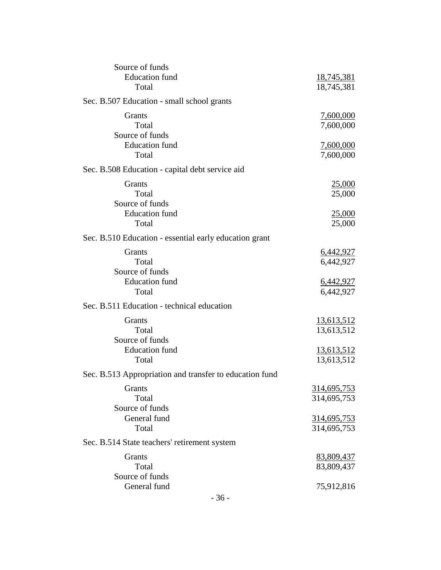| Source of funds                                         |                    |
|---------------------------------------------------------|--------------------|
| <b>Education</b> fund                                   | <u>18,745,381</u>  |
| Total                                                   | 18,745,381         |
| Sec. B.507 Education - small school grants              |                    |
| Grants                                                  | 7,600,000          |
| Total                                                   | 7,600,000          |
| Source of funds                                         |                    |
| <b>Education</b> fund                                   | 7,600,000          |
| Total                                                   | 7,600,000          |
| Sec. B.508 Education - capital debt service aid         |                    |
| Grants                                                  | <u>25,000</u>      |
| Total                                                   | 25,000             |
| Source of funds                                         |                    |
| <b>Education</b> fund                                   |                    |
| Total                                                   | <u>25,000</u>      |
|                                                         | 25,000             |
| Sec. B.510 Education - essential early education grant  |                    |
| Grants                                                  | <u>6,442,927</u>   |
| Total                                                   | 6,442,927          |
| Source of funds                                         |                    |
| <b>Education</b> fund                                   | <u>6,442,927</u>   |
| Total                                                   | 6,442,927          |
| Sec. B.511 Education - technical education              |                    |
| Grants                                                  | 13,613,512         |
| Total                                                   | 13,613,512         |
| Source of funds                                         |                    |
| <b>Education</b> fund                                   | <u>13,613,512</u>  |
| Total                                                   | 13,613,512         |
| Sec. B.513 Appropriation and transfer to education fund |                    |
| Grants                                                  | <u>314,695,753</u> |
| Total                                                   | 314,695,753        |
| Source of funds                                         |                    |
| General fund                                            | <u>314,695,753</u> |
| Total                                                   | 314,695,753        |
| Sec. B.514 State teachers' retirement system            |                    |
| Grants                                                  | 83,809,437         |
| Total                                                   | 83,809,437         |
| Source of funds                                         |                    |
| General fund                                            |                    |
|                                                         | 75,912,816         |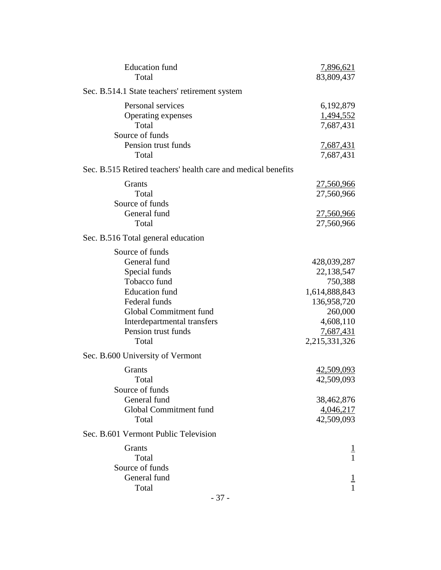| <b>Education</b> fund<br>Total                                                                                                                                                                      | 7,896,621<br>83,809,437                                                                                                    |
|-----------------------------------------------------------------------------------------------------------------------------------------------------------------------------------------------------|----------------------------------------------------------------------------------------------------------------------------|
| Sec. B.514.1 State teachers' retirement system                                                                                                                                                      |                                                                                                                            |
| Personal services<br>Operating expenses<br>Total<br>Source of funds                                                                                                                                 | 6,192,879<br>1,494,552<br>7,687,431                                                                                        |
| Pension trust funds<br>Total                                                                                                                                                                        | <u>7,687,431</u><br>7,687,431                                                                                              |
| Sec. B.515 Retired teachers' health care and medical benefits                                                                                                                                       |                                                                                                                            |
| Grants<br>Total<br>Source of funds<br>General fund                                                                                                                                                  | 27,560,966<br>27,560,966<br><u>27,560,966</u>                                                                              |
| Total                                                                                                                                                                                               | 27,560,966                                                                                                                 |
| Sec. B.516 Total general education                                                                                                                                                                  |                                                                                                                            |
| Source of funds<br>General fund<br>Special funds<br>Tobacco fund<br><b>Education</b> fund<br>Federal funds<br>Global Commitment fund<br>Interdepartmental transfers<br>Pension trust funds<br>Total | 428,039,287<br>22,138,547<br>750,388<br>1,614,888,843<br>136,958,720<br>260,000<br>4,608,110<br>7,687,431<br>2,215,331,326 |
| Sec. B.600 University of Vermont                                                                                                                                                                    |                                                                                                                            |
| Grants<br>Total<br>Source of funds                                                                                                                                                                  | 42,509,093<br>42,509,093                                                                                                   |
| General fund<br>Global Commitment fund<br>Total                                                                                                                                                     | 38,462,876<br>4,046,217<br>42,509,093                                                                                      |
| Sec. B.601 Vermont Public Television                                                                                                                                                                |                                                                                                                            |
| Grants<br>Total<br>Source of funds                                                                                                                                                                  | $\mathbf{1}$                                                                                                               |
| General fund<br>Total                                                                                                                                                                               | $\overline{1}$<br>1                                                                                                        |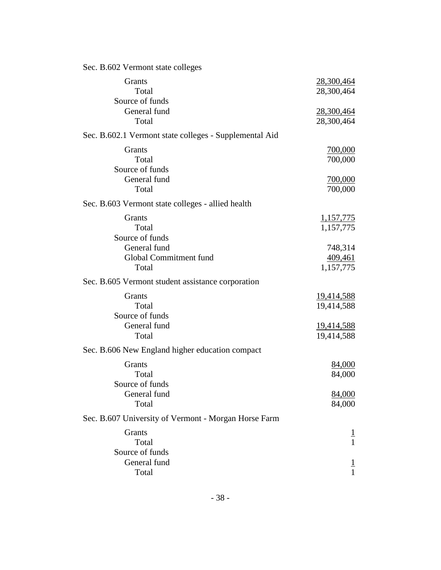| Sec. B.602 Vermont state colleges                           |                                                                    |
|-------------------------------------------------------------|--------------------------------------------------------------------|
| Grants<br>Total<br>Source of funds                          | 28,300,464<br>28,300,464                                           |
| General fund<br>Total                                       | 28,300,464<br>28,300,464                                           |
| Sec. B.602.1 Vermont state colleges - Supplemental Aid      |                                                                    |
| Grants<br>Total<br>Source of funds                          | <u>700,000</u><br>700,000                                          |
| General fund<br>Total                                       | 700,000<br>700,000                                                 |
| Sec. B.603 Vermont state colleges - allied health           |                                                                    |
| Grants<br>Total<br>Source of funds                          | <u>1,157,775</u><br>1,157,775                                      |
| General fund<br>Global Commitment fund<br>Total             | 748,314<br>409,461<br>1,157,775                                    |
| Sec. B.605 Vermont student assistance corporation           |                                                                    |
| Grants<br>Total<br>Source of funds<br>General fund<br>Total | <u>19,414,588</u><br>19,414,588<br><u>19,414,588</u><br>19,414,588 |
| Sec. B.606 New England higher education compact             |                                                                    |
| Grants<br>Total<br>Source of funds<br>General fund          | 84,000<br>84,000<br>84,000                                         |
| Total                                                       | 84,000                                                             |
| Sec. B.607 University of Vermont - Morgan Horse Farm        |                                                                    |
| Grants<br>Total<br>Source of funds                          | T<br>$\mathbf{1}$                                                  |
| General fund<br>Total                                       |                                                                    |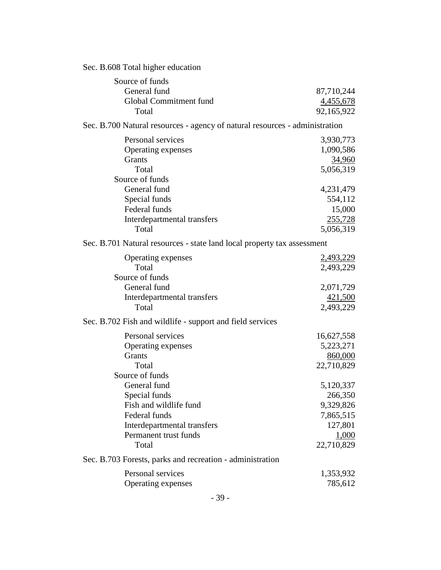| Sec. B.608 Total higher education                                           |               |  |
|-----------------------------------------------------------------------------|---------------|--|
| Source of funds                                                             |               |  |
| General fund                                                                | 87,710,244    |  |
| Global Commitment fund                                                      | 4,455,678     |  |
| Total                                                                       | 92,165,922    |  |
| Sec. B.700 Natural resources - agency of natural resources - administration |               |  |
| Personal services                                                           | 3,930,773     |  |
| Operating expenses                                                          | 1,090,586     |  |
| Grants                                                                      | <u>34,960</u> |  |
| Total                                                                       | 5,056,319     |  |
| Source of funds                                                             |               |  |
| General fund                                                                | 4,231,479     |  |
| Special funds                                                               | 554,112       |  |
| Federal funds                                                               | 15,000        |  |
| Interdepartmental transfers                                                 | 255,728       |  |
| Total                                                                       | 5,056,319     |  |
| Sec. B.701 Natural resources - state land local property tax assessment     |               |  |
| Operating expenses                                                          | 2,493,229     |  |
| Total                                                                       | 2,493,229     |  |
| Source of funds                                                             |               |  |
| General fund                                                                | 2,071,729     |  |
| Interdepartmental transfers                                                 | 421,500       |  |
| Total                                                                       | 2,493,229     |  |
| Sec. B.702 Fish and wildlife - support and field services                   |               |  |
| Personal services                                                           | 16,627,558    |  |
| Operating expenses                                                          | 5,223,271     |  |
| Grants                                                                      | 860,000       |  |
| Total                                                                       | 22,710,829    |  |
| Source of funds                                                             |               |  |
| General fund                                                                | 5,120,337     |  |
| Special funds                                                               | 266,350       |  |
| Fish and wildlife fund                                                      | 9,329,826     |  |
| Federal funds                                                               | 7,865,515     |  |
| Interdepartmental transfers                                                 | 127,801       |  |
| Permanent trust funds                                                       | 1,000         |  |
| Total                                                                       | 22,710,829    |  |
| Sec. B.703 Forests, parks and recreation - administration                   |               |  |
| Personal services                                                           | 1,353,932     |  |
| Operating expenses                                                          | 785,612       |  |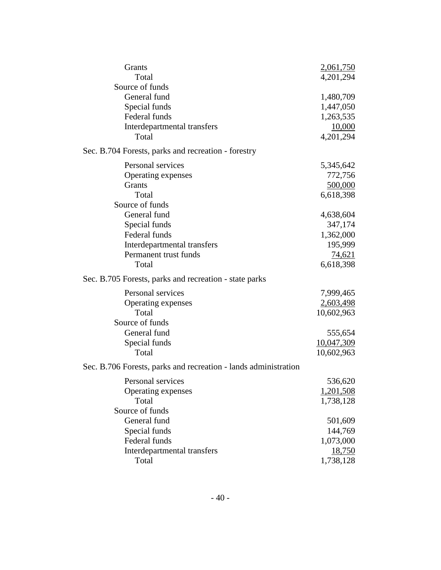| Grants                                                          | 2,061,750  |
|-----------------------------------------------------------------|------------|
| Total                                                           | 4,201,294  |
| Source of funds                                                 |            |
| General fund                                                    | 1,480,709  |
| Special funds                                                   | 1,447,050  |
| Federal funds                                                   | 1,263,535  |
| Interdepartmental transfers                                     | 10,000     |
| Total                                                           | 4,201,294  |
| Sec. B.704 Forests, parks and recreation - forestry             |            |
| Personal services                                               | 5,345,642  |
| Operating expenses                                              | 772,756    |
| Grants                                                          | 500,000    |
| Total                                                           | 6,618,398  |
| Source of funds                                                 |            |
| General fund                                                    | 4,638,604  |
| Special funds                                                   | 347,174    |
| Federal funds                                                   | 1,362,000  |
| Interdepartmental transfers                                     | 195,999    |
| Permanent trust funds                                           | 74,621     |
| Total                                                           | 6,618,398  |
| Sec. B.705 Forests, parks and recreation - state parks          |            |
| Personal services                                               | 7,999,465  |
| Operating expenses                                              | 2,603,498  |
| Total                                                           | 10,602,963 |
| Source of funds                                                 |            |
| General fund                                                    | 555,654    |
| Special funds                                                   | 10,047,309 |
| Total                                                           | 10,602,963 |
| Sec. B.706 Forests, parks and recreation - lands administration |            |
| Personal services                                               | 536,620    |
| Operating expenses                                              | 1,201,508  |
| Total                                                           | 1,738,128  |
| Source of funds                                                 |            |
| General fund                                                    | 501,609    |
| Special funds                                                   | 144,769    |
| Federal funds                                                   | 1,073,000  |
| Interdepartmental transfers                                     | 18,750     |
| Total                                                           | 1,738,128  |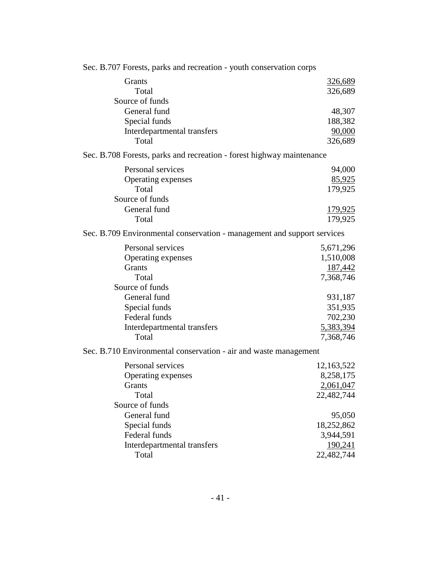| Sec. B.707 Forests, parks and recreation - youth conservation corps     |                           |
|-------------------------------------------------------------------------|---------------------------|
| <b>Grants</b>                                                           | <u>326,689</u>            |
| Total                                                                   | 326,689                   |
| Source of funds                                                         |                           |
| General fund                                                            | 48,307                    |
| Special funds                                                           | 188,382                   |
| Interdepartmental transfers                                             | 90,000                    |
| Total                                                                   | 326,689                   |
| Sec. B.708 Forests, parks and recreation - forest highway maintenance   |                           |
| Personal services                                                       | 94,000                    |
| Operating expenses                                                      | 85,925                    |
| Total                                                                   | 179,925                   |
| Source of funds<br>General fund                                         |                           |
| Total                                                                   | <u>179,925</u><br>179,925 |
|                                                                         |                           |
| Sec. B.709 Environmental conservation - management and support services |                           |
| Personal services                                                       | 5,671,296                 |
| Operating expenses                                                      | 1,510,008                 |
| Grants                                                                  | 187,442                   |
| Total                                                                   | 7,368,746                 |
| Source of funds                                                         |                           |
| General fund                                                            | 931,187                   |
| Special funds<br>Federal funds                                          | 351,935                   |
| Interdepartmental transfers                                             | 702,230<br>5,383,394      |
| Total                                                                   | 7,368,746                 |
|                                                                         |                           |
| Sec. B.710 Environmental conservation - air and waste management        |                           |
| Personal services                                                       | 12,163,522                |
| Operating expenses                                                      | 8,258,175                 |
| Grants                                                                  | 2,061,047                 |
| Total                                                                   | 22,482,744                |
| Source of funds<br>General fund                                         |                           |
| Special funds                                                           | 95,050                    |
| Federal funds                                                           | 18,252,862<br>3,944,591   |
| Interdepartmental transfers                                             | 190,241                   |
| Total                                                                   | 22,482,744                |
|                                                                         |                           |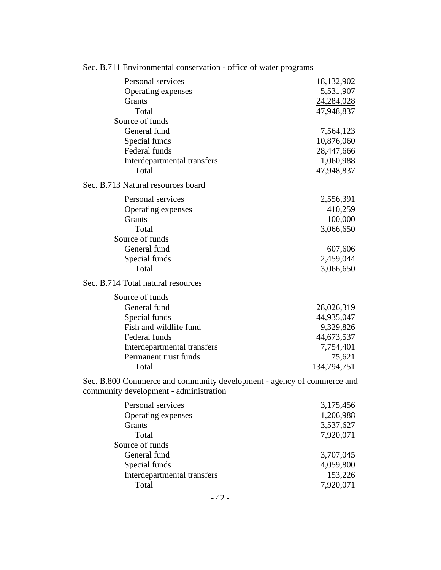| Sec. D./11 Environmental conservation - orrier of water programs                                                 |                        |
|------------------------------------------------------------------------------------------------------------------|------------------------|
| Personal services                                                                                                | 18,132,902             |
| Operating expenses                                                                                               | 5,531,907              |
| Grants                                                                                                           | 24,284,028             |
| Total                                                                                                            | 47,948,837             |
| Source of funds                                                                                                  |                        |
| General fund                                                                                                     | 7,564,123              |
| Special funds                                                                                                    | 10,876,060             |
| Federal funds                                                                                                    | 28,447,666             |
| Interdepartmental transfers                                                                                      | 1,060,988              |
| Total                                                                                                            | 47,948,837             |
| Sec. B.713 Natural resources board                                                                               |                        |
| Personal services                                                                                                | 2,556,391              |
| Operating expenses                                                                                               | 410,259                |
| Grants                                                                                                           | 100,000                |
| Total                                                                                                            | 3,066,650              |
| Source of funds                                                                                                  |                        |
| General fund                                                                                                     | 607,606                |
| Special funds                                                                                                    | 2,459,044              |
| Total                                                                                                            | 3,066,650              |
| Sec. B.714 Total natural resources                                                                               |                        |
| Source of funds                                                                                                  |                        |
| General fund                                                                                                     | 28,026,319             |
| Special funds                                                                                                    | 44,935,047             |
| Fish and wildlife fund                                                                                           | 9,329,826              |
| Federal funds                                                                                                    | 44,673,537             |
| Interdepartmental transfers                                                                                      | 7,754,401              |
| Permanent trust funds                                                                                            | 75,621                 |
| Total                                                                                                            | 134,794,751            |
| Sec. B.800 Commerce and community development - agency of commerce and<br>community development - administration |                        |
| Personal services                                                                                                |                        |
|                                                                                                                  | 3,175,456<br>1,206,988 |
| Operating expenses<br>Grants                                                                                     |                        |
| Total                                                                                                            | 3,537,627<br>7,920,071 |
| Source of funds                                                                                                  |                        |
| General fund                                                                                                     | 3,707,045              |
|                                                                                                                  |                        |
| Special funds                                                                                                    | 4,059,800              |
| Interdepartmental transfers                                                                                      | 153,226                |
| Total                                                                                                            | 7,920,071              |

# Sec. B.711 Environmental conservation - office of water programs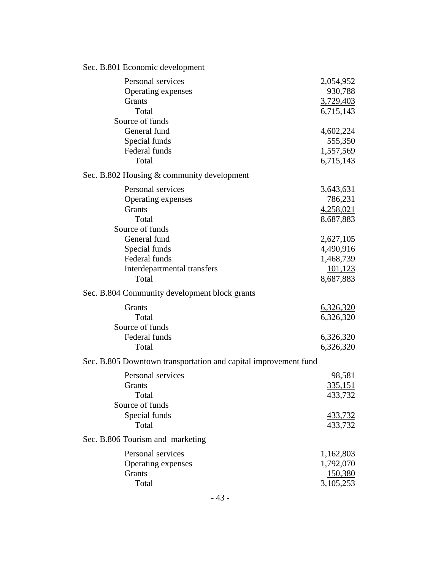# Sec. B.801 Economic development

| Personal services                                               | 2,054,952        |
|-----------------------------------------------------------------|------------------|
| Operating expenses                                              | 930,788          |
| <b>Grants</b>                                                   | 3,729,403        |
| Total                                                           | 6,715,143        |
| Source of funds                                                 |                  |
| General fund                                                    | 4,602,224        |
| Special funds                                                   | 555,350          |
| Federal funds                                                   | 1,557,569        |
| Total                                                           | 6,715,143        |
| Sec. B.802 Housing & community development                      |                  |
| Personal services                                               | 3,643,631        |
| Operating expenses                                              | 786,231          |
| Grants                                                          | 4,258,021        |
| Total                                                           | 8,687,883        |
| Source of funds                                                 |                  |
| General fund                                                    | 2,627,105        |
| Special funds                                                   | 4,490,916        |
| Federal funds                                                   | 1,468,739        |
| Interdepartmental transfers                                     | 101,123          |
| Total                                                           | 8,687,883        |
| Sec. B.804 Community development block grants                   |                  |
| Grants                                                          | 6,326,320        |
| Total                                                           | 6,326,320        |
| Source of funds                                                 |                  |
| Federal funds                                                   | <u>6,326,320</u> |
| Total                                                           | 6,326,320        |
| Sec. B.805 Downtown transportation and capital improvement fund |                  |
| Personal services                                               | 98,581           |
| Grants                                                          | 335,151          |
| Total                                                           | 433,732          |
| Source of funds                                                 |                  |
| Special funds                                                   | 433,732          |
| Total                                                           | 433,732          |
| Sec. B.806 Tourism and marketing                                |                  |
| Personal services                                               | 1,162,803        |
| Operating expenses                                              | 1,792,070        |
| Grants                                                          | 150,380          |
| Total                                                           | 3,105,253        |
|                                                                 |                  |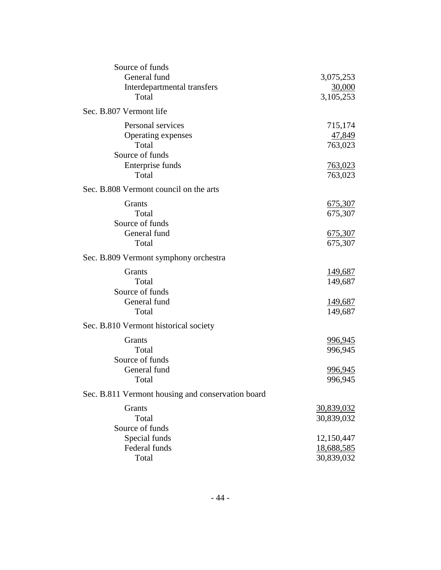| Source of funds<br>General fund                   | 3,075,253         |
|---------------------------------------------------|-------------------|
| Interdepartmental transfers                       | 30,000            |
| Total                                             | 3,105,253         |
|                                                   |                   |
| Sec. B.807 Vermont life                           |                   |
| Personal services                                 | 715,174           |
| Operating expenses                                | 47,849            |
| Total                                             | 763,023           |
| Source of funds                                   |                   |
| Enterprise funds                                  | <u>763,023</u>    |
| Total                                             | 763,023           |
| Sec. B.808 Vermont council on the arts            |                   |
| <b>Grants</b>                                     | <u>675,307</u>    |
| Total                                             | 675,307           |
| Source of funds                                   |                   |
| General fund                                      | 675,307           |
| Total                                             | 675,307           |
| Sec. B.809 Vermont symphony orchestra             |                   |
| Grants                                            | 149,687           |
| Total                                             | 149,687           |
| Source of funds                                   |                   |
| General fund                                      | 149,687           |
| Total                                             | 149,687           |
| Sec. B.810 Vermont historical society             |                   |
|                                                   |                   |
| Grants                                            | 996,945           |
| Total                                             | 996,945           |
| Source of funds                                   |                   |
| General fund                                      | <u>996,945</u>    |
| Total                                             | 996,945           |
| Sec. B.811 Vermont housing and conservation board |                   |
| Grants                                            | <u>30,839,032</u> |
| Total                                             | 30,839,032        |
| Source of funds                                   |                   |
| Special funds                                     | 12,150,447        |
| Federal funds                                     | 18,688,585        |
| Total                                             | 30,839,032        |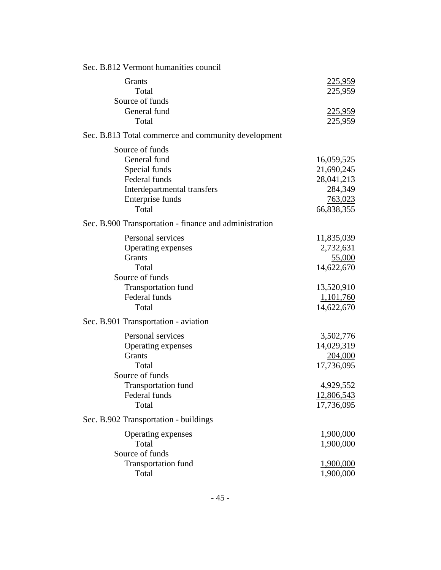| Sec. B.812 Vermont humanities council                  |            |
|--------------------------------------------------------|------------|
| Grants                                                 | 225,959    |
| Total                                                  | 225,959    |
| Source of funds                                        |            |
| General fund                                           | 225,959    |
| Total                                                  | 225,959    |
| Sec. B.813 Total commerce and community development    |            |
| Source of funds                                        |            |
| General fund                                           | 16,059,525 |
| Special funds                                          | 21,690,245 |
| Federal funds                                          | 28,041,213 |
| Interdepartmental transfers                            | 284,349    |
| Enterprise funds                                       | 763,023    |
| Total                                                  | 66,838,355 |
| Sec. B.900 Transportation - finance and administration |            |
| Personal services                                      | 11,835,039 |
| Operating expenses                                     | 2,732,631  |
| Grants                                                 | 55,000     |
| Total                                                  | 14,622,670 |
| Source of funds                                        |            |
| <b>Transportation fund</b>                             | 13,520,910 |
| Federal funds                                          | 1,101,760  |
| Total                                                  | 14,622,670 |
| Sec. B.901 Transportation - aviation                   |            |
| Personal services                                      | 3,502,776  |
| Operating expenses                                     | 14,029,319 |
| Grants                                                 | 204,000    |
| Total                                                  | 17,736,095 |
| Source of funds                                        |            |
| <b>Transportation fund</b>                             | 4,929,552  |
| Federal funds                                          | 12,806,543 |
| Total                                                  | 17,736,095 |
| Sec. B.902 Transportation - buildings                  |            |
| Operating expenses                                     | 1,900,000  |
| Total                                                  | 1,900,000  |
| Source of funds                                        |            |
| <b>Transportation fund</b>                             | 1,900,000  |
| Total                                                  | 1,900,000  |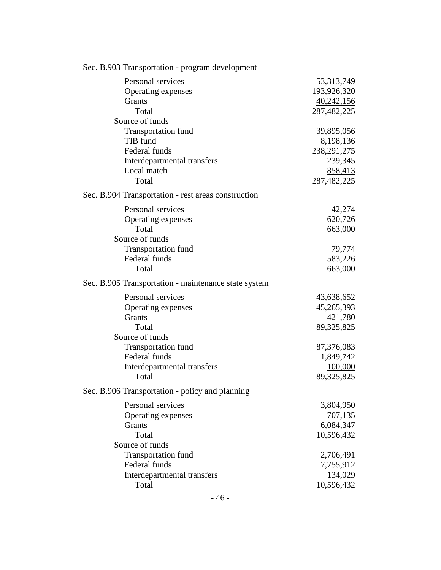| Sec. B.903 Transportation - program development      |               |
|------------------------------------------------------|---------------|
| Personal services                                    | 53, 313, 749  |
| Operating expenses                                   | 193,926,320   |
| Grants                                               | 40,242,156    |
| Total                                                | 287,482,225   |
| Source of funds                                      |               |
| <b>Transportation fund</b>                           | 39,895,056    |
| TIB fund                                             | 8,198,136     |
| Federal funds                                        | 238, 291, 275 |
| Interdepartmental transfers                          | 239,345       |
| Local match                                          | 858,413       |
| Total                                                | 287,482,225   |
| Sec. B.904 Transportation - rest areas construction  |               |
| Personal services                                    | 42,274        |
| Operating expenses                                   | 620,726       |
| Total                                                | 663,000       |
| Source of funds                                      |               |
| <b>Transportation fund</b>                           | 79,774        |
| Federal funds                                        | 583,226       |
| Total                                                | 663,000       |
| Sec. B.905 Transportation - maintenance state system |               |
| Personal services                                    | 43,638,652    |
| Operating expenses                                   | 45,265,393    |
| <b>Grants</b>                                        | 421,780       |
| Total                                                | 89,325,825    |
| Source of funds                                      |               |
| <b>Transportation fund</b>                           | 87,376,083    |
| Federal funds                                        | 1,849,742     |
| Interdepartmental transfers                          | 100,000       |
| Total                                                | 89,325,825    |
| Sec. B.906 Transportation - policy and planning      |               |
| Personal services                                    | 3,804,950     |
| Operating expenses                                   | 707,135       |
| <b>Grants</b>                                        | 6,084,347     |
| Total                                                | 10,596,432    |
| Source of funds                                      |               |
| <b>Transportation fund</b>                           | 2,706,491     |
| Federal funds                                        | 7,755,912     |
| Interdepartmental transfers                          | 134,029       |
| Total                                                | 10,596,432    |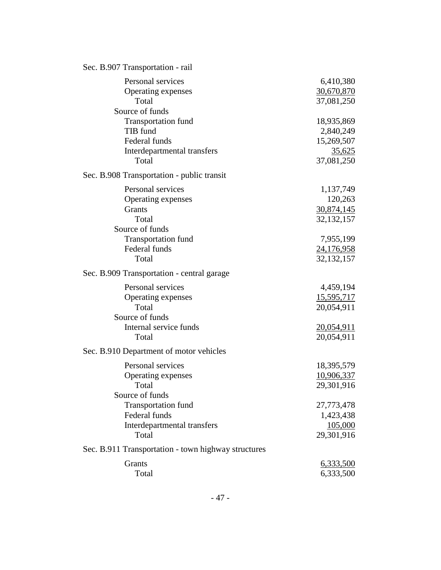| Sec. B.907 Transportation - rail                    |                   |
|-----------------------------------------------------|-------------------|
| Personal services                                   | 6,410,380         |
| Operating expenses                                  | 30,670,870        |
| Total                                               | 37,081,250        |
| Source of funds                                     |                   |
| <b>Transportation fund</b>                          | 18,935,869        |
| TIB fund                                            | 2,840,249         |
| Federal funds                                       | 15,269,507        |
| Interdepartmental transfers                         | 35,625            |
| Total                                               | 37,081,250        |
| Sec. B.908 Transportation - public transit          |                   |
| Personal services                                   | 1,137,749         |
| Operating expenses                                  | 120,263           |
| <b>Grants</b>                                       | 30,874,145        |
| Total                                               | 32, 132, 157      |
| Source of funds                                     |                   |
| <b>Transportation fund</b>                          | 7,955,199         |
| Federal funds<br>Total                              | 24,176,958        |
|                                                     | 32, 132, 157      |
| Sec. B.909 Transportation - central garage          |                   |
| Personal services                                   | 4,459,194         |
| Operating expenses                                  | <u>15,595,717</u> |
| Total                                               | 20,054,911        |
| Source of funds                                     |                   |
| Internal service funds                              | 20,054,911        |
| Total                                               | 20,054,911        |
| Sec. B.910 Department of motor vehicles             |                   |
| Personal services                                   | 18,395,579        |
| Operating expenses                                  | 10,906,337        |
| Total                                               | 29,301,916        |
| Source of funds                                     |                   |
| <b>Transportation fund</b>                          | 27,773,478        |
| Federal funds                                       | 1,423,438         |
| Interdepartmental transfers                         | 105,000           |
| Total                                               | 29,301,916        |
| Sec. B.911 Transportation - town highway structures |                   |
| Grants                                              | 6,333,500         |
| Total                                               | 6,333,500         |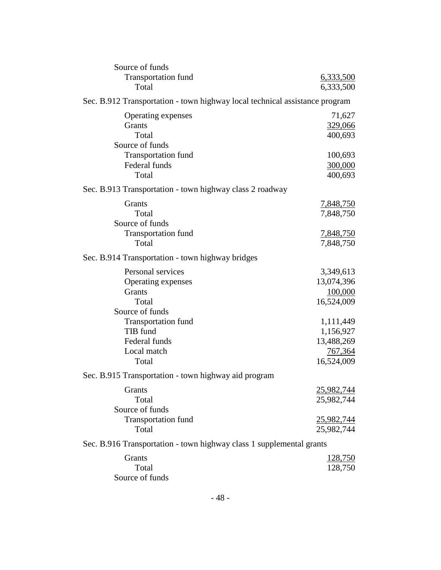| Source of funds                                                             |                  |
|-----------------------------------------------------------------------------|------------------|
| <b>Transportation fund</b>                                                  | 6,333,500        |
| Total                                                                       | 6,333,500        |
| Sec. B.912 Transportation - town highway local technical assistance program |                  |
| Operating expenses                                                          | 71,627           |
| Grants                                                                      | 329,066          |
| Total                                                                       | 400,693          |
| Source of funds                                                             |                  |
| <b>Transportation fund</b>                                                  | 100,693          |
| Federal funds                                                               | 300,000          |
| Total                                                                       | 400,693          |
| Sec. B.913 Transportation - town highway class 2 roadway                    |                  |
|                                                                             |                  |
| Grants                                                                      | <u>7,848,750</u> |
| Total                                                                       | 7,848,750        |
| Source of funds                                                             |                  |
| <b>Transportation fund</b>                                                  | 7,848,750        |
| Total                                                                       | 7,848,750        |
| Sec. B.914 Transportation - town highway bridges                            |                  |
| Personal services                                                           | 3,349,613        |
| Operating expenses                                                          | 13,074,396       |
| Grants                                                                      | 100,000          |
| Total                                                                       | 16,524,009       |
| Source of funds                                                             |                  |
| <b>Transportation fund</b>                                                  | 1,111,449        |
| TIB fund                                                                    | 1,156,927        |
| Federal funds                                                               | 13,488,269       |
| Local match                                                                 | 767,364          |
| Total                                                                       | 16,524,009       |
| Sec. B.915 Transportation - town highway aid program                        |                  |
| Grants                                                                      | 25,982,744       |
| Total                                                                       | 25,982,744       |
| Source of funds                                                             |                  |
| <b>Transportation fund</b>                                                  | 25,982,744       |
| Total                                                                       | 25,982,744       |
|                                                                             |                  |
| Sec. B.916 Transportation - town highway class 1 supplemental grants        |                  |
| Grants                                                                      | <u>128,750</u>   |
| Total                                                                       | 128,750          |
| Source of funds                                                             |                  |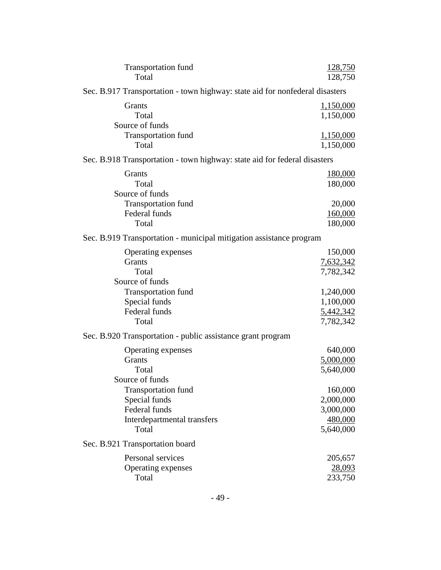| <b>Transportation fund</b><br>Total                                          | <u>128,750</u><br>128,750 |
|------------------------------------------------------------------------------|---------------------------|
| Sec. B.917 Transportation - town highway: state aid for nonfederal disasters |                           |
| Grants<br>Total<br>Source of funds                                           | 1,150,000<br>1,150,000    |
| <b>Transportation fund</b><br>Total                                          | 1,150,000<br>1,150,000    |
| Sec. B.918 Transportation - town highway: state aid for federal disasters    |                           |
| Grants<br>Total<br>Source of funds                                           | <u>180,000</u><br>180,000 |
| <b>Transportation fund</b>                                                   | 20,000                    |
| Federal funds                                                                | 160,000                   |
| Total                                                                        | 180,000                   |
| Sec. B.919 Transportation - municipal mitigation assistance program          |                           |
| Operating expenses                                                           | 150,000                   |
| Grants                                                                       | 7,632,342                 |
| Total<br>Source of funds                                                     | 7,782,342                 |
| <b>Transportation fund</b>                                                   | 1,240,000                 |
| Special funds                                                                | 1,100,000                 |
| Federal funds                                                                | 5,442,342                 |
| Total                                                                        | 7,782,342                 |
| Sec. B.920 Transportation - public assistance grant program                  |                           |
| Operating expenses                                                           | 640,000                   |
| Grants                                                                       | 5,000,000                 |
| Total                                                                        | 5,640,000                 |
| Source of funds<br><b>Transportation fund</b>                                | 160,000                   |
| Special funds                                                                | 2,000,000                 |
| Federal funds                                                                | 3,000,000                 |
| Interdepartmental transfers                                                  | 480,000                   |
| Total                                                                        | 5,640,000                 |
| Sec. B.921 Transportation board                                              |                           |
| Personal services                                                            | 205,657                   |
| Operating expenses                                                           | <u>28,093</u>             |
| Total                                                                        | 233,750                   |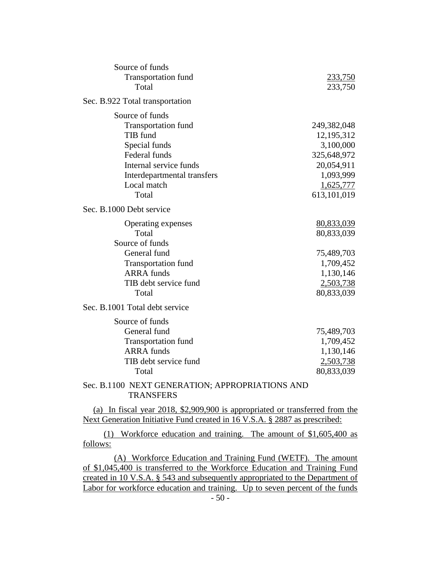| Source of funds                                                                     |             |
|-------------------------------------------------------------------------------------|-------------|
| <b>Transportation fund</b>                                                          | 233,750     |
| Total                                                                               | 233,750     |
| Sec. B.922 Total transportation                                                     |             |
| Source of funds                                                                     |             |
| <b>Transportation fund</b>                                                          | 249,382,048 |
| TIB fund                                                                            | 12,195,312  |
| Special funds                                                                       | 3,100,000   |
| Federal funds                                                                       | 325,648,972 |
| Internal service funds                                                              | 20,054,911  |
| Interdepartmental transfers                                                         | 1,093,999   |
| Local match                                                                         | 1,625,777   |
| Total                                                                               | 613,101,019 |
| Sec. B.1000 Debt service                                                            |             |
| Operating expenses                                                                  | 80,833,039  |
| Total                                                                               | 80,833,039  |
| Source of funds                                                                     |             |
| General fund                                                                        | 75,489,703  |
| <b>Transportation fund</b>                                                          | 1,709,452   |
| <b>ARRA</b> funds                                                                   | 1,130,146   |
| TIB debt service fund                                                               | 2,503,738   |
| Total                                                                               | 80,833,039  |
| Sec. B.1001 Total debt service                                                      |             |
| Source of funds                                                                     |             |
| General fund                                                                        | 75,489,703  |
| <b>Transportation fund</b>                                                          | 1,709,452   |
| <b>ARRA</b> funds                                                                   | 1,130,146   |
| TIB debt service fund                                                               | 2,503,738   |
| Total                                                                               | 80,833,039  |
| Sec. B.1100 NEXT GENERATION; APPROPRIATIONS AND<br><b>TRANSFERS</b>                 |             |
| (a) In fiscal year 2018, $\Diamond$ 000,000 is appropriated or transferred from the |             |

(a) In fiscal year 2018, \$2,909,900 is appropriated or transferred from the Next Generation Initiative Fund created in 16 V.S.A. § 2887 as prescribed:

(1) Workforce education and training. The amount of \$1,605,400 as follows:

(A) Workforce Education and Training Fund (WETF). The amount of \$1,045,400 is transferred to the Workforce Education and Training Fund created in 10 V.S.A. § 543 and subsequently appropriated to the Department of Labor for workforce education and training. Up to seven percent of the funds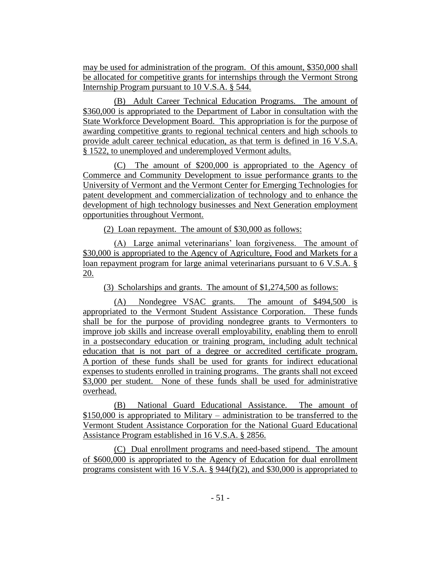may be used for administration of the program. Of this amount, \$350,000 shall be allocated for competitive grants for internships through the Vermont Strong Internship Program pursuant to 10 V.S.A. § 544.

(B) Adult Career Technical Education Programs. The amount of \$360,000 is appropriated to the Department of Labor in consultation with the State Workforce Development Board. This appropriation is for the purpose of awarding competitive grants to regional technical centers and high schools to provide adult career technical education, as that term is defined in 16 V.S.A. § 1522, to unemployed and underemployed Vermont adults.

(C) The amount of \$200,000 is appropriated to the Agency of Commerce and Community Development to issue performance grants to the University of Vermont and the Vermont Center for Emerging Technologies for patent development and commercialization of technology and to enhance the development of high technology businesses and Next Generation employment opportunities throughout Vermont.

(2) Loan repayment. The amount of \$30,000 as follows:

(A) Large animal veterinarians' loan forgiveness. The amount of \$30,000 is appropriated to the Agency of Agriculture, Food and Markets for a loan repayment program for large animal veterinarians pursuant to 6 V.S.A. § 20.

(3) Scholarships and grants. The amount of \$1,274,500 as follows:

(A) Nondegree VSAC grants. The amount of \$494,500 is appropriated to the Vermont Student Assistance Corporation. These funds shall be for the purpose of providing nondegree grants to Vermonters to improve job skills and increase overall employability, enabling them to enroll in a postsecondary education or training program, including adult technical education that is not part of a degree or accredited certificate program. A portion of these funds shall be used for grants for indirect educational expenses to students enrolled in training programs. The grants shall not exceed \$3,000 per student. None of these funds shall be used for administrative overhead.

(B) National Guard Educational Assistance. The amount of \$150,000 is appropriated to Military – administration to be transferred to the Vermont Student Assistance Corporation for the National Guard Educational Assistance Program established in 16 V.S.A. § 2856.

(C) Dual enrollment programs and need-based stipend. The amount of \$600,000 is appropriated to the Agency of Education for dual enrollment programs consistent with 16 V.S.A.  $\S$  944(f)(2), and \$30,000 is appropriated to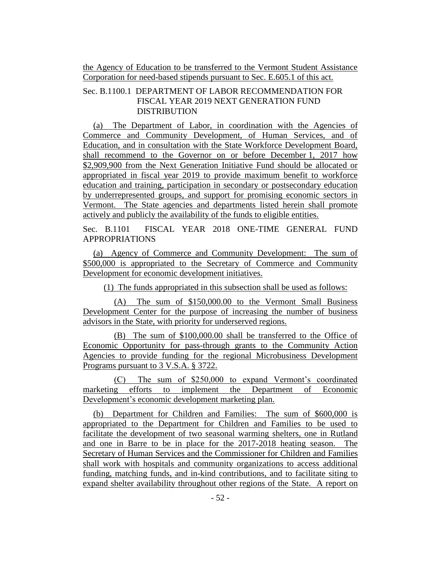the Agency of Education to be transferred to the Vermont Student Assistance Corporation for need-based stipends pursuant to Sec. E.605.1 of this act.

# Sec. B.1100.1 DEPARTMENT OF LABOR RECOMMENDATION FOR FISCAL YEAR 2019 NEXT GENERATION FUND DISTRIBUTION

(a) The Department of Labor, in coordination with the Agencies of Commerce and Community Development, of Human Services, and of Education, and in consultation with the State Workforce Development Board, shall recommend to the Governor on or before December 1, 2017 how \$2,909,900 from the Next Generation Initiative Fund should be allocated or appropriated in fiscal year 2019 to provide maximum benefit to workforce education and training, participation in secondary or postsecondary education by underrepresented groups, and support for promising economic sectors in Vermont. The State agencies and departments listed herein shall promote actively and publicly the availability of the funds to eligible entities.

Sec. B.1101 FISCAL YEAR 2018 ONE-TIME GENERAL FUND APPROPRIATIONS

(a) Agency of Commerce and Community Development: The sum of \$500,000 is appropriated to the Secretary of Commerce and Community Development for economic development initiatives.

(1) The funds appropriated in this subsection shall be used as follows:

(A) The sum of \$150,000.00 to the Vermont Small Business Development Center for the purpose of increasing the number of business advisors in the State, with priority for underserved regions.

(B) The sum of \$100,000.00 shall be transferred to the Office of Economic Opportunity for pass-through grants to the Community Action Agencies to provide funding for the regional Microbusiness Development Programs pursuant to 3 V.S.A. § 3722.

(C) The sum of \$250,000 to expand Vermont's coordinated marketing efforts to implement the Department of Economic Development's economic development marketing plan.

(b) Department for Children and Families: The sum of \$600,000 is appropriated to the Department for Children and Families to be used to facilitate the development of two seasonal warming shelters, one in Rutland and one in Barre to be in place for the 2017-2018 heating season. The Secretary of Human Services and the Commissioner for Children and Families shall work with hospitals and community organizations to access additional funding, matching funds, and in-kind contributions, and to facilitate siting to expand shelter availability throughout other regions of the State. A report on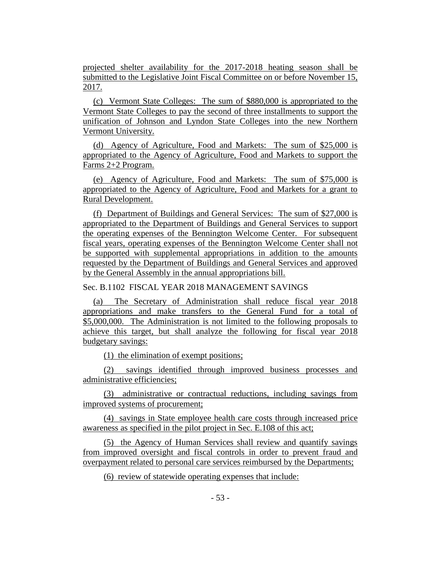projected shelter availability for the 2017-2018 heating season shall be submitted to the Legislative Joint Fiscal Committee on or before November 15, 2017.

(c) Vermont State Colleges: The sum of \$880,000 is appropriated to the Vermont State Colleges to pay the second of three installments to support the unification of Johnson and Lyndon State Colleges into the new Northern Vermont University.

(d) Agency of Agriculture, Food and Markets: The sum of \$25,000 is appropriated to the Agency of Agriculture, Food and Markets to support the Farms 2+2 Program.

(e) Agency of Agriculture, Food and Markets: The sum of \$75,000 is appropriated to the Agency of Agriculture, Food and Markets for a grant to Rural Development.

(f) Department of Buildings and General Services: The sum of \$27,000 is appropriated to the Department of Buildings and General Services to support the operating expenses of the Bennington Welcome Center. For subsequent fiscal years, operating expenses of the Bennington Welcome Center shall not be supported with supplemental appropriations in addition to the amounts requested by the Department of Buildings and General Services and approved by the General Assembly in the annual appropriations bill.

Sec. B.1102 FISCAL YEAR 2018 MANAGEMENT SAVINGS

(a) The Secretary of Administration shall reduce fiscal year 2018 appropriations and make transfers to the General Fund for a total of \$5,000,000. The Administration is not limited to the following proposals to achieve this target, but shall analyze the following for fiscal year 2018 budgetary savings:

(1) the elimination of exempt positions;

(2) savings identified through improved business processes and administrative efficiencies;

(3) administrative or contractual reductions, including savings from improved systems of procurement;

(4) savings in State employee health care costs through increased price awareness as specified in the pilot project in Sec. E.108 of this act;

(5) the Agency of Human Services shall review and quantify savings from improved oversight and fiscal controls in order to prevent fraud and overpayment related to personal care services reimbursed by the Departments;

(6) review of statewide operating expenses that include: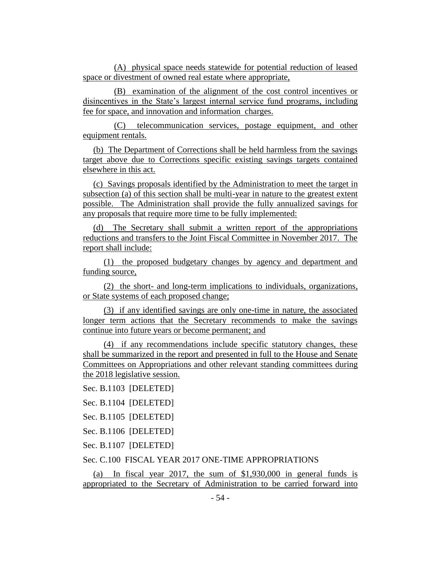(A) physical space needs statewide for potential reduction of leased space or divestment of owned real estate where appropriate,

(B) examination of the alignment of the cost control incentives or disincentives in the State's largest internal service fund programs, including fee for space, and innovation and information charges.

(C) telecommunication services, postage equipment, and other equipment rentals.

(b) The Department of Corrections shall be held harmless from the savings target above due to Corrections specific existing savings targets contained elsewhere in this act.

(c) Savings proposals identified by the Administration to meet the target in subsection (a) of this section shall be multi-year in nature to the greatest extent possible. The Administration shall provide the fully annualized savings for any proposals that require more time to be fully implemented:

(d) The Secretary shall submit a written report of the appropriations reductions and transfers to the Joint Fiscal Committee in November 2017. The report shall include:

(1) the proposed budgetary changes by agency and department and funding source,

(2) the short- and long-term implications to individuals, organizations, or State systems of each proposed change;

(3) if any identified savings are only one-time in nature, the associated longer term actions that the Secretary recommends to make the savings continue into future years or become permanent; and

(4) if any recommendations include specific statutory changes, these shall be summarized in the report and presented in full to the House and Senate Committees on Appropriations and other relevant standing committees during the 2018 legislative session.

Sec. B.1103 [DELETED]

Sec. B.1104 [DELETED]

Sec. B.1105 [DELETED]

Sec. B.1106 [DELETED]

Sec. B.1107 [DELETED]

# Sec. C.100 FISCAL YEAR 2017 ONE-TIME APPROPRIATIONS

(a) In fiscal year 2017, the sum of \$1,930,000 in general funds is appropriated to the Secretary of Administration to be carried forward into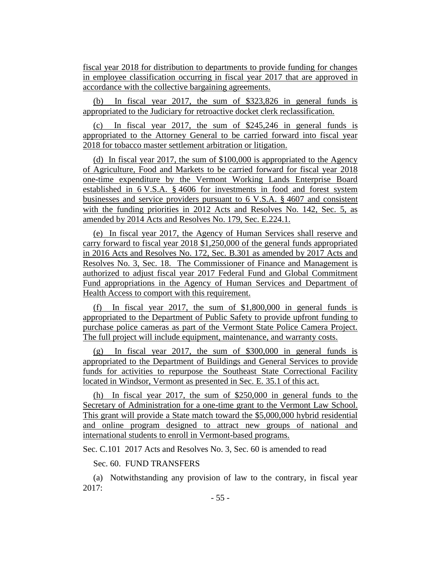fiscal year 2018 for distribution to departments to provide funding for changes in employee classification occurring in fiscal year 2017 that are approved in accordance with the collective bargaining agreements.

(b) In fiscal year 2017, the sum of \$323,826 in general funds is appropriated to the Judiciary for retroactive docket clerk reclassification.

(c) In fiscal year 2017, the sum of \$245,246 in general funds is appropriated to the Attorney General to be carried forward into fiscal year 2018 for tobacco master settlement arbitration or litigation.

(d) In fiscal year 2017, the sum of \$100,000 is appropriated to the Agency of Agriculture, Food and Markets to be carried forward for fiscal year 2018 one-time expenditure by the Vermont Working Lands Enterprise Board established in 6 V.S.A. § 4606 for investments in food and forest system businesses and service providers pursuant to 6 V.S.A. § 4607 and consistent with the funding priorities in 2012 Acts and Resolves No. 142, Sec. 5, as amended by 2014 Acts and Resolves No. 179, Sec. E.224.1.

(e) In fiscal year 2017, the Agency of Human Services shall reserve and carry forward to fiscal year 2018 \$1,250,000 of the general funds appropriated in 2016 Acts and Resolves No. 172, Sec. B.301 as amended by 2017 Acts and Resolves No. 3, Sec. 18. The Commissioner of Finance and Management is authorized to adjust fiscal year 2017 Federal Fund and Global Commitment Fund appropriations in the Agency of Human Services and Department of Health Access to comport with this requirement.

(f) In fiscal year 2017, the sum of \$1,800,000 in general funds is appropriated to the Department of Public Safety to provide upfront funding to purchase police cameras as part of the Vermont State Police Camera Project. The full project will include equipment, maintenance, and warranty costs.

(g) In fiscal year 2017, the sum of \$300,000 in general funds is appropriated to the Department of Buildings and General Services to provide funds for activities to repurpose the Southeast State Correctional Facility located in Windsor, Vermont as presented in Sec. E. 35.1 of this act.

(h) In fiscal year 2017, the sum of \$250,000 in general funds to the Secretary of Administration for a one-time grant to the Vermont Law School. This grant will provide a State match toward the \$5,000,000 hybrid residential and online program designed to attract new groups of national and international students to enroll in Vermont-based programs.

Sec. C.101 2017 Acts and Resolves No. 3, Sec. 60 is amended to read

Sec. 60. FUND TRANSFERS

(a) Notwithstanding any provision of law to the contrary, in fiscal year 2017: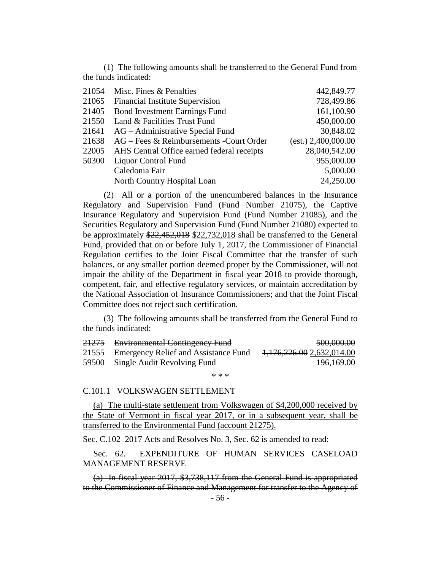(1) The following amounts shall be transferred to the General Fund from the funds indicated:

| 21054 | Misc. Fines & Penalties                    | 442,849.77          |
|-------|--------------------------------------------|---------------------|
| 21065 | <b>Financial Institute Supervision</b>     | 728,499.86          |
| 21405 | <b>Bond Investment Earnings Fund</b>       | 161,100.90          |
| 21550 | Land & Facilities Trust Fund               | 450,000.00          |
| 21641 | AG – Administrative Special Fund           | 30,848.02           |
| 21638 | AG – Fees & Reimbursements - Court Order   | (est.) 2,400,000.00 |
| 22005 | AHS Central Office earned federal receipts | 28,040,542.00       |
| 50300 | <b>Liquor Control Fund</b>                 | 955,000.00          |
|       | Caledonia Fair                             | 5,000.00            |
|       | North Country Hospital Loan                | 24,250.00           |
|       |                                            |                     |

(2) All or a portion of the unencumbered balances in the Insurance Regulatory and Supervision Fund (Fund Number 21075), the Captive Insurance Regulatory and Supervision Fund (Fund Number 21085), and the Securities Regulatory and Supervision Fund (Fund Number 21080) expected to be approximately \$22,452,018 \$22,732,018 shall be transferred to the General Fund, provided that on or before July 1, 2017, the Commissioner of Financial Regulation certifies to the Joint Fiscal Committee that the transfer of such balances, or any smaller portion deemed proper by the Commissioner, will not impair the ability of the Department in fiscal year 2018 to provide thorough, competent, fair, and effective regulatory services, or maintain accreditation by the National Association of Insurance Commissioners; and that the Joint Fiscal Committee does not reject such certification.

(3) The following amounts shall be transferred from the General Fund to the funds indicated:

| <del>21275</del> | <b>Environmental Contingency Fund</b>      | 500,000.00                           |
|------------------|--------------------------------------------|--------------------------------------|
|                  | 21555 Emergency Relief and Assistance Fund | <del>1,176,226.00</del> 2,632,014.00 |
|                  | 59500 Single Audit Revolving Fund          | 196,169.00                           |

\* \* \*

#### C.101.1 VOLKSWAGEN SETTLEMENT

(a) The multi-state settlement from Volkswagen of \$4,200,000 received by the State of Vermont in fiscal year 2017, or in a subsequent year, shall be transferred to the Environmental Fund (account 21275).

Sec. C.102 2017 Acts and Resolves No. 3, Sec. 62 is amended to read:

Sec. 62. EXPENDITURE OF HUMAN SERVICES CASELOAD MANAGEMENT RESERVE

(a) In fiscal year 2017, \$3,738,117 from the General Fund is appropriated to the Commissioner of Finance and Management for transfer to the Agency of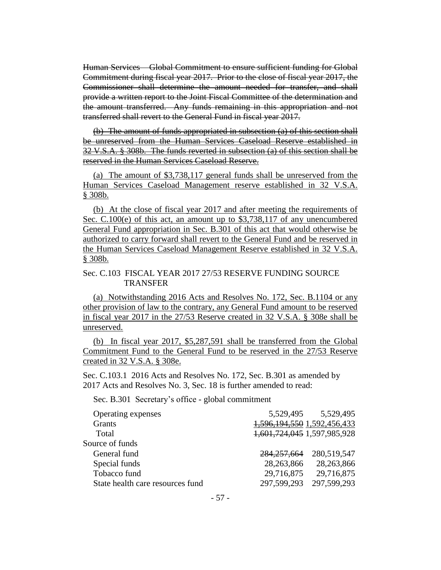Human Services – Global Commitment to ensure sufficient funding for Global Commitment during fiscal year 2017. Prior to the close of fiscal year 2017, the Commissioner shall determine the amount needed for transfer, and shall provide a written report to the Joint Fiscal Committee of the determination and the amount transferred. Any funds remaining in this appropriation and not transferred shall revert to the General Fund in fiscal year 2017.

(b) The amount of funds appropriated in subsection (a) of this section shall be unreserved from the Human Services Caseload Reserve established in 32 V.S.A. § 308b. The funds reverted in subsection (a) of this section shall be reserved in the Human Services Caseload Reserve.

(a) The amount of \$3,738,117 general funds shall be unreserved from the Human Services Caseload Management reserve established in 32 V.S.A. § 308b.

(b) At the close of fiscal year 2017 and after meeting the requirements of Sec. C.100(e) of this act, an amount up to \$3,738,117 of any unencumbered General Fund appropriation in Sec. B.301 of this act that would otherwise be authorized to carry forward shall revert to the General Fund and be reserved in the Human Services Caseload Management Reserve established in 32 V.S.A. § 308b.

### Sec. C.103 FISCAL YEAR 2017 27/53 RESERVE FUNDING SOURCE TRANSFER

(a) Notwithstanding 2016 Acts and Resolves No. 172, Sec. B.1104 or any other provision of law to the contrary, any General Fund amount to be reserved in fiscal year 2017 in the 27/53 Reserve created in 32 V.S.A. § 308e shall be unreserved.

(b) In fiscal year 2017, \$5,287,591 shall be transferred from the Global Commitment Fund to the General Fund to be reserved in the 27/53 Reserve created in 32 V.S.A. § 308e.

Sec. C.103.1 2016 Acts and Resolves No. 172, Sec. B.301 as amended by 2017 Acts and Resolves No. 3, Sec. 18 is further amended to read:

Sec. B.301 Secretary's office - global commitment

| Operating expenses               | 5,529,495                   | 5,529,495   |
|----------------------------------|-----------------------------|-------------|
| <b>Grants</b>                    | 1,596,194,550 1,592,456,433 |             |
| Total                            | 1,601,724,045 1,597,985,928 |             |
| Source of funds                  |                             |             |
| General fund                     | 284, 257, 664               | 280,519,547 |
| Special funds                    | 28,263,866                  | 28,263,866  |
| Tobacco fund                     | 29,716,875                  | 29,716,875  |
| State health care resources fund | 297,599,293                 | 297,599,293 |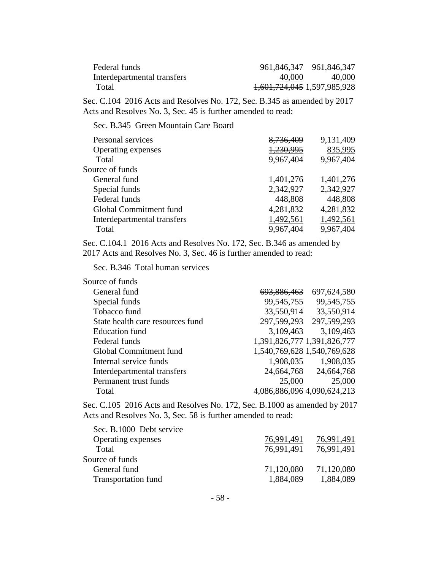| Federal funds               |                             | 961,846,347 961,846,347 |
|-----------------------------|-----------------------------|-------------------------|
| Interdepartmental transfers | 40,000                      | 40,000                  |
| Total                       | 1,601,724,045 1,597,985,928 |                         |

Sec. C.104 2016 Acts and Resolves No. 172, Sec. B.345 as amended by 2017 Acts and Resolves No. 3, Sec. 45 is further amended to read:

Sec. B.345 Green Mountain Care Board

| Personal services           | 8,736,409 | 9,131,409 |
|-----------------------------|-----------|-----------|
| Operating expenses          | 1,230,995 | 835,995   |
| Total                       | 9,967,404 | 9,967,404 |
| Source of funds             |           |           |
| General fund                | 1,401,276 | 1,401,276 |
| Special funds               | 2,342,927 | 2,342,927 |
| Federal funds               | 448,808   | 448,808   |
| Global Commitment fund      | 4,281,832 | 4,281,832 |
| Interdepartmental transfers | 1,492,561 | 1,492,561 |
| Total                       | 9,967,404 | 9,967,404 |

Sec. C.104.1 2016 Acts and Resolves No. 172, Sec. B.346 as amended by 2017 Acts and Resolves No. 3, Sec. 46 is further amended to read:

Sec. B.346 Total human services

| Source of funds                  |                             |                             |
|----------------------------------|-----------------------------|-----------------------------|
| General fund                     | <del>693,886,463</del>      | 697,624,580                 |
| Special funds                    | 99,545,755                  | 99,545,755                  |
| Tobacco fund                     | 33,550,914                  | 33,550,914                  |
| State health care resources fund | 297,599,293                 | 297,599,293                 |
| <b>Education</b> fund            | 3,109,463                   | 3,109,463                   |
| Federal funds                    | 1,391,826,777 1,391,826,777 |                             |
| Global Commitment fund           |                             | 1,540,769,628 1,540,769,628 |
| Internal service funds           | 1,908,035                   | 1,908,035                   |
| Interdepartmental transfers      |                             | 24,664,768 24,664,768       |
| Permanent trust funds            | 25,000                      | 25,000                      |
| Total                            |                             | 086,886,096 4,090,624,213   |
|                                  |                             |                             |

Sec. C.105 2016 Acts and Resolves No. 172, Sec. B.1000 as amended by 2017 Acts and Resolves No. 3, Sec. 58 is further amended to read:

| Sec. B.1000 Debt service   |            |            |
|----------------------------|------------|------------|
| Operating expenses         | 76,991,491 | 76,991,491 |
| Total                      | 76,991,491 | 76,991,491 |
| Source of funds            |            |            |
| General fund               | 71,120,080 | 71,120,080 |
| <b>Transportation fund</b> | 1,884,089  | 1,884,089  |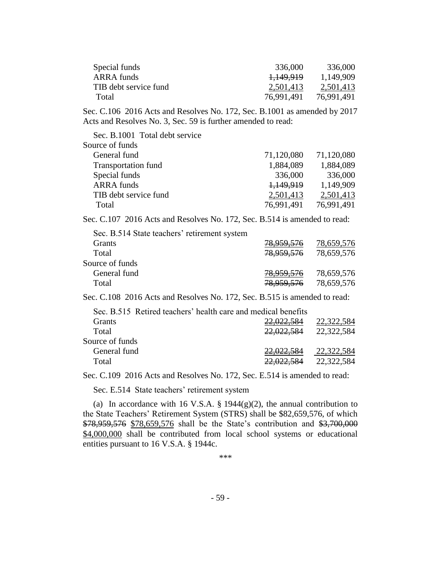| Special funds         | 336,000              | 336,000    |
|-----------------------|----------------------|------------|
| ARRA funds            | <del>1,149,919</del> | 1,149,909  |
| TIB debt service fund | 2.501,413            | 2,501,413  |
| Total                 | 76.991.491           | 76,991,491 |

Sec. C.106 2016 Acts and Resolves No. 172, Sec. B.1001 as amended by 2017 Acts and Resolves No. 3, Sec. 59 is further amended to read:

| Sec. B.1001 Total debt service |            |            |
|--------------------------------|------------|------------|
| Source of funds                |            |            |
| General fund                   | 71,120,080 | 71,120,080 |
| <b>Transportation fund</b>     | 1,884,089  | 1,884,089  |
| Special funds                  | 336,000    | 336,000    |
| <b>ARRA</b> funds              | 1,149,919  | 1,149,909  |
| TIB debt service fund          | 2,501,413  | 2,501,413  |
| Total                          | 76,991,491 | 76,991,491 |
|                                |            |            |

Sec. C.107 2016 Acts and Resolves No. 172, Sec. B.514 is amended to read:

| Sec. B.514 State teachers' retirement system |            |            |
|----------------------------------------------|------------|------------|
| <b>Grants</b>                                | 78,959,576 | 78,659,576 |
| Total                                        | 78,959,576 | 78,659,576 |
| Source of funds                              |            |            |
| General fund                                 | 78,959,576 | 78,659,576 |
| Total                                        | 78,959,576 | 78,659,576 |

Sec. C.108 2016 Acts and Resolves No. 172, Sec. B.515 is amended to read:

| Sec. B.515 Retired teachers' health care and medical benefits |            |
|---------------------------------------------------------------|------------|
| <del>22,022.384</del>                                         | 22,322,584 |
| <del>22,022,584</del>                                         | 22,322,584 |
|                                                               |            |
| 22,022,584                                                    | 22,322,584 |
| 22.022.JOT                                                    | 22,322,584 |
|                                                               |            |

Sec. C.109 2016 Acts and Resolves No. 172, Sec. E.514 is amended to read:

Sec. E.514 State teachers' retirement system

(a) In accordance with 16 V.S.A.  $\S$  1944(g)(2), the annual contribution to the State Teachers' Retirement System (STRS) shall be \$82,659,576, of which \$78,959,576 \$78,659,576 shall be the State's contribution and \$3,700,000 \$4,000,000 shall be contributed from local school systems or educational entities pursuant to 16 V.S.A. § 1944c.

\*\*\*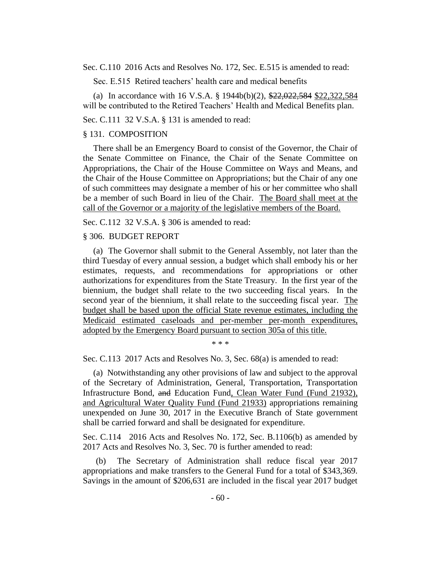Sec. C.110 2016 Acts and Resolves No. 172, Sec. E.515 is amended to read:

Sec. E.515 Retired teachers' health care and medical benefits

(a) In accordance with 16 V.S.A. § 1944b(b)(2), \$22,022,584 \$22,322,584 will be contributed to the Retired Teachers' Health and Medical Benefits plan.

Sec. C.111 32 V.S.A. § 131 is amended to read:

### § 131. COMPOSITION

There shall be an Emergency Board to consist of the Governor, the Chair of the Senate Committee on Finance, the Chair of the Senate Committee on Appropriations, the Chair of the House Committee on Ways and Means, and the Chair of the House Committee on Appropriations; but the Chair of any one of such committees may designate a member of his or her committee who shall be a member of such Board in lieu of the Chair. The Board shall meet at the call of the Governor or a majority of the legislative members of the Board.

Sec. C.112 32 V.S.A. § 306 is amended to read:

#### § 306. BUDGET REPORT

(a) The Governor shall submit to the General Assembly, not later than the third Tuesday of every annual session, a budget which shall embody his or her estimates, requests, and recommendations for appropriations or other authorizations for expenditures from the State Treasury. In the first year of the biennium, the budget shall relate to the two succeeding fiscal years. In the second year of the biennium, it shall relate to the succeeding fiscal year. The budget shall be based upon the official State revenue estimates, including the Medicaid estimated caseloads and per-member per-month expenditures, adopted by the Emergency Board pursuant to section 305a of this title.

\* \* \*

Sec. C.113 2017 Acts and Resolves No. 3, Sec. 68(a) is amended to read:

(a) Notwithstanding any other provisions of law and subject to the approval of the Secretary of Administration, General, Transportation, Transportation Infrastructure Bond, and Education Fund, Clean Water Fund (Fund 21932), and Agricultural Water Quality Fund (Fund 21933) appropriations remaining unexpended on June 30, 2017 in the Executive Branch of State government shall be carried forward and shall be designated for expenditure.

Sec. C.114 2016 Acts and Resolves No. 172, Sec. B.1106(b) as amended by 2017 Acts and Resolves No. 3, Sec. 70 is further amended to read:

(b) The Secretary of Administration shall reduce fiscal year 2017 appropriations and make transfers to the General Fund for a total of \$343,369. Savings in the amount of \$206,631 are included in the fiscal year 2017 budget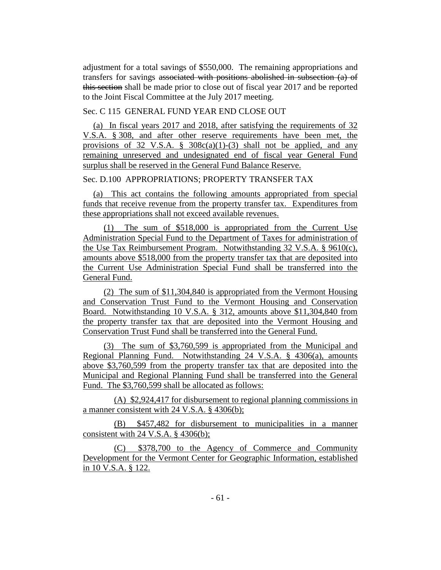adjustment for a total savings of \$550,000. The remaining appropriations and transfers for savings associated with positions abolished in subsection (a) of this section shall be made prior to close out of fiscal year 2017 and be reported to the Joint Fiscal Committee at the July 2017 meeting.

### Sec. C 115 GENERAL FUND YEAR END CLOSE OUT

(a) In fiscal years 2017 and 2018, after satisfying the requirements of 32 V.S.A. § 308, and after other reserve requirements have been met, the provisions of 32 V.S.A. §  $308c(a)(1)-(3)$  shall not be applied, and any remaining unreserved and undesignated end of fiscal year General Fund surplus shall be reserved in the General Fund Balance Reserve.

# Sec. D.100 APPROPRIATIONS; PROPERTY TRANSFER TAX

(a) This act contains the following amounts appropriated from special funds that receive revenue from the property transfer tax. Expenditures from these appropriations shall not exceed available revenues.

(1) The sum of \$518,000 is appropriated from the Current Use Administration Special Fund to the Department of Taxes for administration of the Use Tax Reimbursement Program. Notwithstanding 32 V.S.A. § 9610(c), amounts above \$518,000 from the property transfer tax that are deposited into the Current Use Administration Special Fund shall be transferred into the General Fund.

(2) The sum of \$11,304,840 is appropriated from the Vermont Housing and Conservation Trust Fund to the Vermont Housing and Conservation Board. Notwithstanding 10 V.S.A. § 312, amounts above \$11,304,840 from the property transfer tax that are deposited into the Vermont Housing and Conservation Trust Fund shall be transferred into the General Fund.

(3) The sum of \$3,760,599 is appropriated from the Municipal and Regional Planning Fund. Notwithstanding 24 V.S.A. § 4306(a), amounts above \$3,760,599 from the property transfer tax that are deposited into the Municipal and Regional Planning Fund shall be transferred into the General Fund. The \$3,760,599 shall be allocated as follows:

(A) \$2,924,417 for disbursement to regional planning commissions in a manner consistent with 24 V.S.A. § 4306(b);

(B) \$457,482 for disbursement to municipalities in a manner consistent with 24 V.S.A.  $\S$  4306(b);

(C) \$378,700 to the Agency of Commerce and Community Development for the Vermont Center for Geographic Information, established in 10 V.S.A. § 122.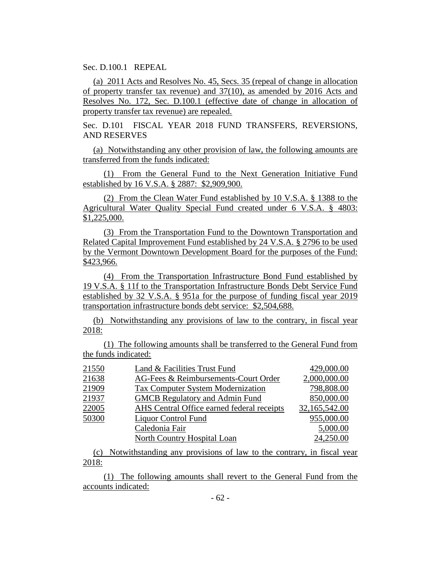Sec. D.100.1 REPEAL

(a) 2011 Acts and Resolves No. 45, Secs. 35 (repeal of change in allocation of property transfer tax revenue) and 37(10), as amended by 2016 Acts and Resolves No. 172, Sec. D.100.1 (effective date of change in allocation of property transfer tax revenue) are repealed.

Sec. D.101 FISCAL YEAR 2018 FUND TRANSFERS, REVERSIONS, AND RESERVES

(a) Notwithstanding any other provision of law, the following amounts are transferred from the funds indicated:

(1) From the General Fund to the Next Generation Initiative Fund established by 16 V.S.A. § 2887: \$2,909,900.

(2) From the Clean Water Fund established by 10 V.S.A. § 1388 to the Agricultural Water Quality Special Fund created under 6 V.S.A. § 4803: \$1,225,000.

(3) From the Transportation Fund to the Downtown Transportation and Related Capital Improvement Fund established by 24 V.S.A. § 2796 to be used by the Vermont Downtown Development Board for the purposes of the Fund: \$423,966.

(4) From the Transportation Infrastructure Bond Fund established by 19 V.S.A. § 11f to the Transportation Infrastructure Bonds Debt Service Fund established by 32 V.S.A. § 951a for the purpose of funding fiscal year 2019 transportation infrastructure bonds debt service: \$2,504,688.

(b) Notwithstanding any provisions of law to the contrary, in fiscal year 2018:

(1) The following amounts shall be transferred to the General Fund from the funds indicated:

| 21550 | Land & Facilities Trust Fund               | 429,000.00    |
|-------|--------------------------------------------|---------------|
| 21638 | AG-Fees & Reimbursements-Court Order       | 2,000,000.00  |
| 21909 | <b>Tax Computer System Modernization</b>   | 798,808.00    |
| 21937 | <b>GMCB Regulatory and Admin Fund</b>      | 850,000.00    |
| 22005 | AHS Central Office earned federal receipts | 32,165,542.00 |
| 50300 | Liquor Control Fund                        | 955,000.00    |
|       | Caledonia Fair                             | 5,000.00      |
|       | North Country Hospital Loan                | 24,250.00     |

(c) Notwithstanding any provisions of law to the contrary, in fiscal year 2018:

(1) The following amounts shall revert to the General Fund from the accounts indicated: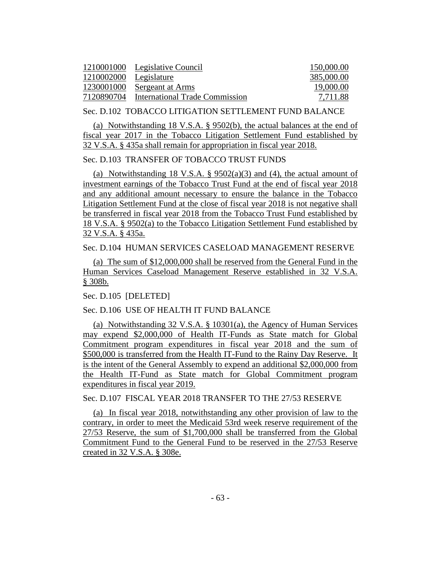|                        | 1210001000 Legislative Council | 150,000.00 |
|------------------------|--------------------------------|------------|
| 1210002000 Legislature |                                | 385,000.00 |
|                        | 1230001000 Sergeant at Arms    | 19,000.00  |
| 7120890704             | International Trade Commission | 7.711.88   |

Sec. D.102 TOBACCO LITIGATION SETTLEMENT FUND BALANCE

(a) Notwithstanding 18 V.S.A. § 9502(b), the actual balances at the end of fiscal year 2017 in the Tobacco Litigation Settlement Fund established by 32 V.S.A. § 435a shall remain for appropriation in fiscal year 2018.

### Sec. D.103 TRANSFER OF TOBACCO TRUST FUNDS

(a) Notwithstanding 18 V.S.A.  $\S$  9502(a)(3) and (4), the actual amount of investment earnings of the Tobacco Trust Fund at the end of fiscal year 2018 and any additional amount necessary to ensure the balance in the Tobacco Litigation Settlement Fund at the close of fiscal year 2018 is not negative shall be transferred in fiscal year 2018 from the Tobacco Trust Fund established by 18 V.S.A. § 9502(a) to the Tobacco Litigation Settlement Fund established by 32 V.S.A. § 435a.

#### Sec. D.104 HUMAN SERVICES CASELOAD MANAGEMENT RESERVE

(a) The sum of \$12,000,000 shall be reserved from the General Fund in the Human Services Caseload Management Reserve established in 32 V.S.A. § 308b.

Sec. D.105 [DELETED]

#### Sec. D.106 USE OF HEALTH IT FUND BALANCE

(a) Notwithstanding 32 V.S.A. § 10301(a), the Agency of Human Services may expend \$2,000,000 of Health IT-Funds as State match for Global Commitment program expenditures in fiscal year 2018 and the sum of \$500,000 is transferred from the Health IT-Fund to the Rainy Day Reserve. It is the intent of the General Assembly to expend an additional \$2,000,000 from the Health IT-Fund as State match for Global Commitment program expenditures in fiscal year 2019.

Sec. D.107 FISCAL YEAR 2018 TRANSFER TO THE 27/53 RESERVE

(a) In fiscal year 2018, notwithstanding any other provision of law to the contrary, in order to meet the Medicaid 53rd week reserve requirement of the 27/53 Reserve, the sum of \$1,700,000 shall be transferred from the Global Commitment Fund to the General Fund to be reserved in the 27/53 Reserve created in 32 V.S.A. § 308e.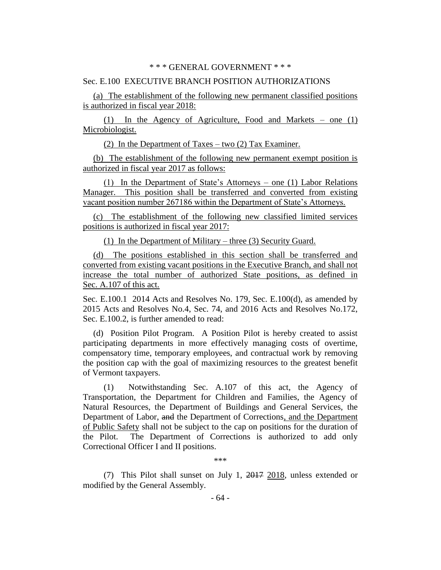#### \* \* \* GENERAL GOVERNMENT \* \* \*

#### Sec. E.100 EXECUTIVE BRANCH POSITION AUTHORIZATIONS

(a) The establishment of the following new permanent classified positions is authorized in fiscal year 2018:

(1) In the Agency of Agriculture, Food and Markets – one (1) Microbiologist.

(2) In the Department of Taxes – two (2) Tax Examiner.

(b) The establishment of the following new permanent exempt position is authorized in fiscal year 2017 as follows:

(1) In the Department of State's Attorneys – one (1) Labor Relations Manager. This position shall be transferred and converted from existing vacant position number 267186 within the Department of State's Attorneys.

(c) The establishment of the following new classified limited services positions is authorized in fiscal year 2017:

(1) In the Department of Military – three (3) Security Guard.

(d) The positions established in this section shall be transferred and converted from existing vacant positions in the Executive Branch, and shall not increase the total number of authorized State positions, as defined in Sec. A.107 of this act.

Sec. E.100.1 2014 Acts and Resolves No. 179, Sec. E.100(d), as amended by 2015 Acts and Resolves No.4, Sec. 74, and 2016 Acts and Resolves No.172, Sec. E.100.2, is further amended to read:

(d) Position Pilot Program. A Position Pilot is hereby created to assist participating departments in more effectively managing costs of overtime, compensatory time, temporary employees, and contractual work by removing the position cap with the goal of maximizing resources to the greatest benefit of Vermont taxpayers.

(1) Notwithstanding Sec. A.107 of this act, the Agency of Transportation, the Department for Children and Families, the Agency of Natural Resources, the Department of Buildings and General Services, the Department of Labor, and the Department of Corrections, and the Department of Public Safety shall not be subject to the cap on positions for the duration of the Pilot. The Department of Corrections is authorized to add only Correctional Officer I and II positions.

\*\*\*

(7) This Pilot shall sunset on July 1, 2017 2018, unless extended or modified by the General Assembly.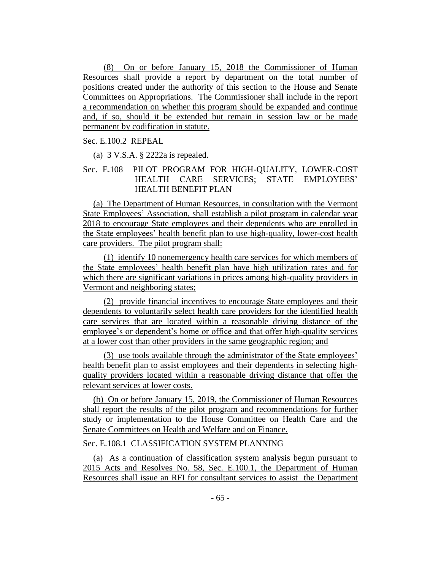(8) On or before January 15, 2018 the Commissioner of Human Resources shall provide a report by department on the total number of positions created under the authority of this section to the House and Senate Committees on Appropriations. The Commissioner shall include in the report a recommendation on whether this program should be expanded and continue and, if so, should it be extended but remain in session law or be made permanent by codification in statute.

### Sec. E.100.2 REPEAL

(a)  $3 \text{ V.S.A.}$   $\S$   $2222a$  is repealed.

# Sec. E.108 PILOT PROGRAM FOR HIGH-QUALITY, LOWER-COST HEALTH CARE SERVICES; STATE EMPLOYEES' HEALTH BENEFIT PLAN

(a) The Department of Human Resources, in consultation with the Vermont State Employees' Association, shall establish a pilot program in calendar year 2018 to encourage State employees and their dependents who are enrolled in the State employees' health benefit plan to use high-quality, lower-cost health care providers. The pilot program shall:

(1) identify 10 nonemergency health care services for which members of the State employees' health benefit plan have high utilization rates and for which there are significant variations in prices among high-quality providers in Vermont and neighboring states;

(2) provide financial incentives to encourage State employees and their dependents to voluntarily select health care providers for the identified health care services that are located within a reasonable driving distance of the employee's or dependent's home or office and that offer high-quality services at a lower cost than other providers in the same geographic region; and

(3) use tools available through the administrator of the State employees' health benefit plan to assist employees and their dependents in selecting highquality providers located within a reasonable driving distance that offer the relevant services at lower costs.

(b) On or before January 15, 2019, the Commissioner of Human Resources shall report the results of the pilot program and recommendations for further study or implementation to the House Committee on Health Care and the Senate Committees on Health and Welfare and on Finance.

# Sec. E.108.1 CLASSIFICATION SYSTEM PLANNING

(a) As a continuation of classification system analysis begun pursuant to 2015 Acts and Resolves No. 58, Sec. E.100.1, the Department of Human Resources shall issue an RFI for consultant services to assist the Department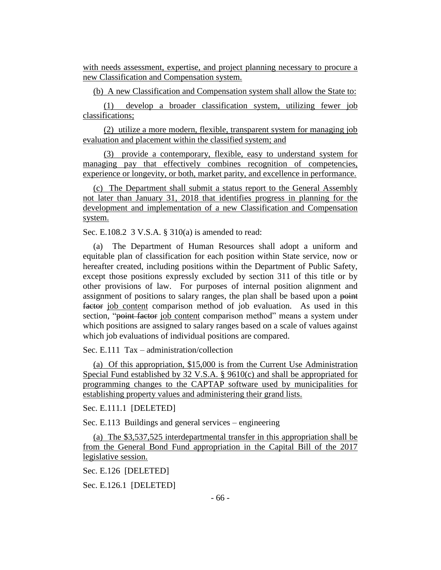with needs assessment, expertise, and project planning necessary to procure a new Classification and Compensation system.

(b) A new Classification and Compensation system shall allow the State to:

(1) develop a broader classification system, utilizing fewer job classifications;

(2) utilize a more modern, flexible, transparent system for managing job evaluation and placement within the classified system; and

(3) provide a contemporary, flexible, easy to understand system for managing pay that effectively combines recognition of competencies, experience or longevity, or both, market parity, and excellence in performance.

(c) The Department shall submit a status report to the General Assembly not later than January 31, 2018 that identifies progress in planning for the development and implementation of a new Classification and Compensation system.

Sec. E.108.2 3 V.S.A. § 310(a) is amended to read:

(a) The Department of Human Resources shall adopt a uniform and equitable plan of classification for each position within State service, now or hereafter created, including positions within the Department of Public Safety, except those positions expressly excluded by section 311 of this title or by other provisions of law. For purposes of internal position alignment and assignment of positions to salary ranges, the plan shall be based upon a point factor job content comparison method of job evaluation. As used in this section, "point factor job content comparison method" means a system under which positions are assigned to salary ranges based on a scale of values against which job evaluations of individual positions are compared.

Sec. E.111 Tax – administration/collection

(a) Of this appropriation, \$15,000 is from the Current Use Administration Special Fund established by 32 V.S.A. § 9610(c) and shall be appropriated for programming changes to the CAPTAP software used by municipalities for establishing property values and administering their grand lists.

Sec. E.111.1 [DELETED]

Sec. E.113 Buildings and general services – engineering

(a) The \$3,537,525 interdepartmental transfer in this appropriation shall be from the General Bond Fund appropriation in the Capital Bill of the 2017 legislative session.

Sec. E.126 [DELETED]

Sec. E.126.1 [DELETED]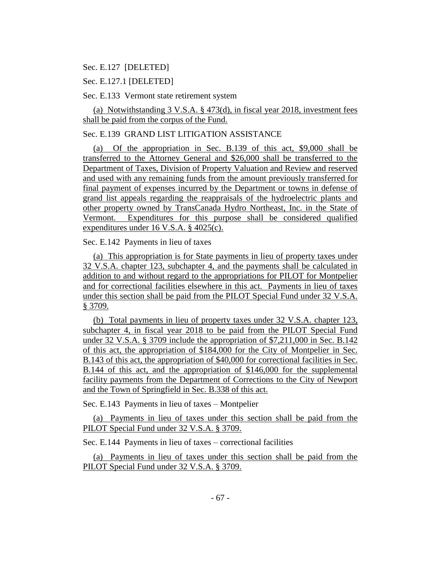### Sec. E.127 [DELETED]

Sec. E.127.1 [DELETED]

Sec. E.133 Vermont state retirement system

(a) Notwithstanding 3 V.S.A. § 473(d), in fiscal year 2018, investment fees shall be paid from the corpus of the Fund.

# Sec. E.139 GRAND LIST LITIGATION ASSISTANCE

(a) Of the appropriation in Sec. B.139 of this act, \$9,000 shall be transferred to the Attorney General and \$26,000 shall be transferred to the Department of Taxes, Division of Property Valuation and Review and reserved and used with any remaining funds from the amount previously transferred for final payment of expenses incurred by the Department or towns in defense of grand list appeals regarding the reappraisals of the hydroelectric plants and other property owned by TransCanada Hydro Northeast, Inc. in the State of Vermont. Expenditures for this purpose shall be considered qualified expenditures under 16 V.S.A. § 4025(c).

Sec. E.142 Payments in lieu of taxes

(a) This appropriation is for State payments in lieu of property taxes under 32 V.S.A. chapter 123, subchapter 4, and the payments shall be calculated in addition to and without regard to the appropriations for PILOT for Montpelier and for correctional facilities elsewhere in this act. Payments in lieu of taxes under this section shall be paid from the PILOT Special Fund under 32 V.S.A. § 3709.

(b) Total payments in lieu of property taxes under 32 V.S.A. chapter 123, subchapter 4, in fiscal year 2018 to be paid from the PILOT Special Fund under 32 V.S.A. § 3709 include the appropriation of \$7,211,000 in Sec. B.142 of this act, the appropriation of \$184,000 for the City of Montpelier in Sec. B.143 of this act, the appropriation of \$40,000 for correctional facilities in Sec. B.144 of this act, and the appropriation of \$146,000 for the supplemental facility payments from the Department of Corrections to the City of Newport and the Town of Springfield in Sec. B.338 of this act.

Sec. E.143 Payments in lieu of taxes – Montpelier

(a) Payments in lieu of taxes under this section shall be paid from the PILOT Special Fund under 32 V.S.A. § 3709.

Sec. E.144 Payments in lieu of taxes – correctional facilities

(a) Payments in lieu of taxes under this section shall be paid from the PILOT Special Fund under 32 V.S.A. § 3709.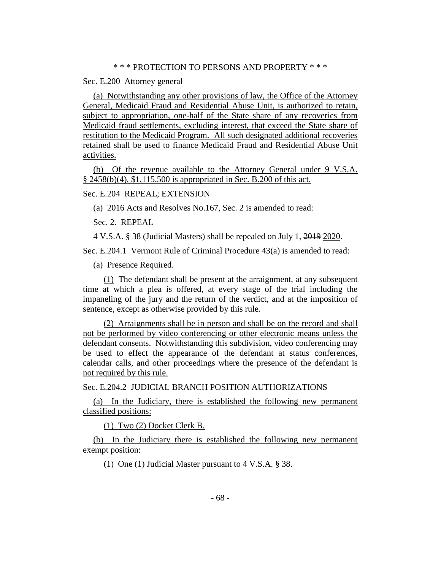#### \* \* \* PROTECTION TO PERSONS AND PROPERTY \* \* \*

Sec. E.200 Attorney general

(a) Notwithstanding any other provisions of law, the Office of the Attorney General, Medicaid Fraud and Residential Abuse Unit, is authorized to retain, subject to appropriation, one-half of the State share of any recoveries from Medicaid fraud settlements, excluding interest, that exceed the State share of restitution to the Medicaid Program. All such designated additional recoveries retained shall be used to finance Medicaid Fraud and Residential Abuse Unit activities.

(b) Of the revenue available to the Attorney General under 9 V.S.A. § 2458(b)(4), \$1,115,500 is appropriated in Sec. B.200 of this act.

Sec. E.204 REPEAL; EXTENSION

(a) 2016 Acts and Resolves No.167, Sec. 2 is amended to read:

Sec. 2. REPEAL

4 V.S.A. § 38 (Judicial Masters) shall be repealed on July 1, 2019 2020.

Sec. E.204.1 Vermont Rule of Criminal Procedure 43(a) is amended to read:

(a) Presence Required.

(1) The defendant shall be present at the arraignment, at any subsequent time at which a plea is offered, at every stage of the trial including the impaneling of the jury and the return of the verdict, and at the imposition of sentence, except as otherwise provided by this rule.

(2) Arraignments shall be in person and shall be on the record and shall not be performed by video conferencing or other electronic means unless the defendant consents. Notwithstanding this subdivision, video conferencing may be used to effect the appearance of the defendant at status conferences, calendar calls, and other proceedings where the presence of the defendant is not required by this rule.

Sec. E.204.2 JUDICIAL BRANCH POSITION AUTHORIZATIONS

(a) In the Judiciary, there is established the following new permanent classified positions:

(1) Two (2) Docket Clerk B.

(b) In the Judiciary there is established the following new permanent exempt position:

(1) One (1) Judicial Master pursuant to 4 V.S.A. § 38.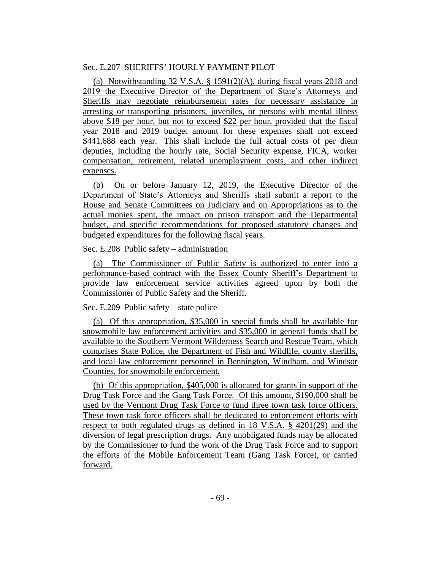# Sec. E.207 SHERIFFS' HOURLY PAYMENT PILOT

(a) Notwithstanding 32 V.S.A. § 1591(2)(A), during fiscal years 2018 and 2019 the Executive Director of the Department of State's Attorneys and Sheriffs may negotiate reimbursement rates for necessary assistance in arresting or transporting prisoners, juveniles, or persons with mental illness above \$18 per hour, but not to exceed \$22 per hour, provided that the fiscal year 2018 and 2019 budget amount for these expenses shall not exceed \$441,688 each year. This shall include the full actual costs of per diem deputies, including the hourly rate, Social Security expense, FICA, worker compensation, retirement, related unemployment costs, and other indirect expenses.

(b) On or before January 12, 2019, the Executive Director of the Department of State's Attorneys and Sheriffs shall submit a report to the House and Senate Committees on Judiciary and on Appropriations as to the actual monies spent, the impact on prison transport and the Departmental budget, and specific recommendations for proposed statutory changes and budgeted expenditures for the following fiscal years.

Sec. E.208 Public safety – administration

(a) The Commissioner of Public Safety is authorized to enter into a performance-based contract with the Essex County Sheriff's Department to provide law enforcement service activities agreed upon by both the Commissioner of Public Safety and the Sheriff.

Sec. E.209 Public safety – state police

(a) Of this appropriation, \$35,000 in special funds shall be available for snowmobile law enforcement activities and \$35,000 in general funds shall be available to the Southern Vermont Wilderness Search and Rescue Team, which comprises State Police, the Department of Fish and Wildlife, county sheriffs, and local law enforcement personnel in Bennington, Windham, and Windsor Counties, for snowmobile enforcement.

(b) Of this appropriation, \$405,000 is allocated for grants in support of the Drug Task Force and the Gang Task Force. Of this amount, \$190,000 shall be used by the Vermont Drug Task Force to fund three town task force officers. These town task force officers shall be dedicated to enforcement efforts with respect to both regulated drugs as defined in 18 V.S.A. § 4201(29) and the diversion of legal prescription drugs. Any unobligated funds may be allocated by the Commissioner to fund the work of the Drug Task Force and to support the efforts of the Mobile Enforcement Team (Gang Task Force), or carried forward.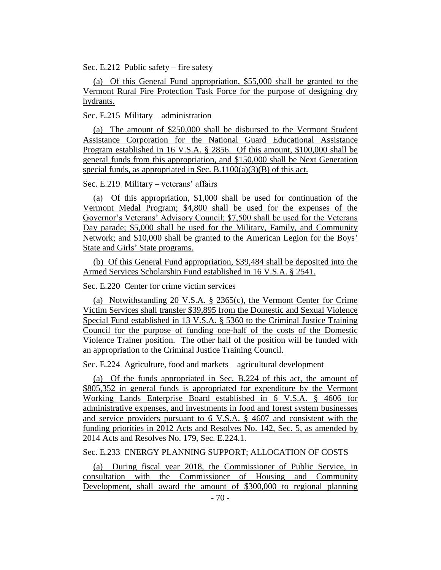Sec. E.212 Public safety – fire safety

(a) Of this General Fund appropriation, \$55,000 shall be granted to the Vermont Rural Fire Protection Task Force for the purpose of designing dry hydrants.

Sec. E.215 Military – administration

(a) The amount of \$250,000 shall be disbursed to the Vermont Student Assistance Corporation for the National Guard Educational Assistance Program established in 16 V.S.A. § 2856. Of this amount, \$100,000 shall be general funds from this appropriation, and \$150,000 shall be Next Generation special funds, as appropriated in Sec. B.1100(a)(3)(B) of this act.

Sec. E.219 Military – veterans' affairs

(a) Of this appropriation, \$1,000 shall be used for continuation of the Vermont Medal Program; \$4,800 shall be used for the expenses of the Governor's Veterans' Advisory Council; \$7,500 shall be used for the Veterans Day parade; \$5,000 shall be used for the Military, Family, and Community Network; and \$10,000 shall be granted to the American Legion for the Boys' State and Girls' State programs.

(b) Of this General Fund appropriation, \$39,484 shall be deposited into the Armed Services Scholarship Fund established in 16 V.S.A. § 2541.

Sec. E.220 Center for crime victim services

(a) Notwithstanding 20 V.S.A. § 2365(c), the Vermont Center for Crime Victim Services shall transfer \$39,895 from the Domestic and Sexual Violence Special Fund established in 13 V.S.A. § 5360 to the Criminal Justice Training Council for the purpose of funding one-half of the costs of the Domestic Violence Trainer position. The other half of the position will be funded with an appropriation to the Criminal Justice Training Council.

Sec. E.224 Agriculture, food and markets – agricultural development

(a) Of the funds appropriated in Sec. B.224 of this act, the amount of \$805,352 in general funds is appropriated for expenditure by the Vermont Working Lands Enterprise Board established in 6 V.S.A. § 4606 for administrative expenses, and investments in food and forest system businesses and service providers pursuant to 6 V.S.A. § 4607 and consistent with the funding priorities in 2012 Acts and Resolves No. 142, Sec. 5, as amended by 2014 Acts and Resolves No. 179, Sec. E.224.1.

Sec. E.233 ENERGY PLANNING SUPPORT; ALLOCATION OF COSTS

(a) During fiscal year 2018, the Commissioner of Public Service, in consultation with the Commissioner of Housing and Community Development, shall award the amount of \$300,000 to regional planning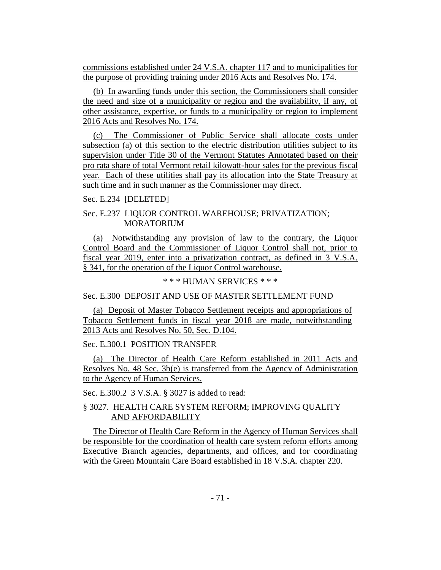commissions established under 24 V.S.A. chapter 117 and to municipalities for the purpose of providing training under 2016 Acts and Resolves No. 174.

(b) In awarding funds under this section, the Commissioners shall consider the need and size of a municipality or region and the availability, if any, of other assistance, expertise, or funds to a municipality or region to implement 2016 Acts and Resolves No. 174.

(c) The Commissioner of Public Service shall allocate costs under subsection (a) of this section to the electric distribution utilities subject to its supervision under Title 30 of the Vermont Statutes Annotated based on their pro rata share of total Vermont retail kilowatt-hour sales for the previous fiscal year. Each of these utilities shall pay its allocation into the State Treasury at such time and in such manner as the Commissioner may direct.

Sec. E.234 [DELETED]

Sec. E.237 LIQUOR CONTROL WAREHOUSE; PRIVATIZATION; **MORATORIUM** 

(a) Notwithstanding any provision of law to the contrary, the Liquor Control Board and the Commissioner of Liquor Control shall not, prior to fiscal year 2019, enter into a privatization contract, as defined in 3 V.S.A. § 341, for the operation of the Liquor Control warehouse.

\* \* \* HUMAN SERVICES \* \* \*

Sec. E.300 DEPOSIT AND USE OF MASTER SETTLEMENT FUND

(a) Deposit of Master Tobacco Settlement receipts and appropriations of Tobacco Settlement funds in fiscal year 2018 are made, notwithstanding 2013 Acts and Resolves No. 50, Sec. D.104.

Sec. E.300.1 POSITION TRANSFER

(a) The Director of Health Care Reform established in 2011 Acts and Resolves No. 48 Sec. 3b(e) is transferred from the Agency of Administration to the Agency of Human Services.

Sec. E.300.2 3 V.S.A. § 3027 is added to read:

# § 3027. HEALTH CARE SYSTEM REFORM; IMPROVING QUALITY AND AFFORDABILITY

The Director of Health Care Reform in the Agency of Human Services shall be responsible for the coordination of health care system reform efforts among Executive Branch agencies, departments, and offices, and for coordinating with the Green Mountain Care Board established in 18 V.S.A. chapter 220.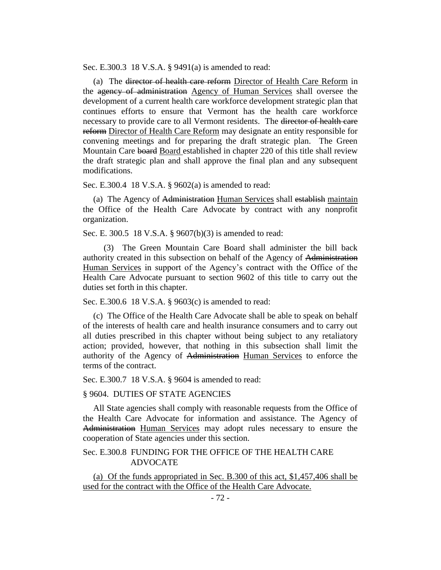Sec. E.300.3 18 V.S.A. § 9491(a) is amended to read:

(a) The director of health care reform Director of Health Care Reform in the agency of administration Agency of Human Services shall oversee the development of a current health care workforce development strategic plan that continues efforts to ensure that Vermont has the health care workforce necessary to provide care to all Vermont residents. The director of health care reform Director of Health Care Reform may designate an entity responsible for convening meetings and for preparing the draft strategic plan. The Green Mountain Care board Board established in chapter 220 of this title shall review the draft strategic plan and shall approve the final plan and any subsequent modifications.

Sec. E.300.4 18 V.S.A. § 9602(a) is amended to read:

(a) The Agency of Administration Human Services shall establish maintain the Office of the Health Care Advocate by contract with any nonprofit organization.

Sec. E. 300.5 18 V.S.A. § 9607(b)(3) is amended to read:

(3) The Green Mountain Care Board shall administer the bill back authority created in this subsection on behalf of the Agency of Administration Human Services in support of the Agency's contract with the Office of the Health Care Advocate pursuant to section 9602 of this title to carry out the duties set forth in this chapter.

Sec. E.300.6 18 V.S.A. § 9603(c) is amended to read:

(c) The Office of the Health Care Advocate shall be able to speak on behalf of the interests of health care and health insurance consumers and to carry out all duties prescribed in this chapter without being subject to any retaliatory action; provided, however, that nothing in this subsection shall limit the authority of the Agency of Administration Human Services to enforce the terms of the contract.

Sec. E.300.7 18 V.S.A. § 9604 is amended to read:

§ 9604. DUTIES OF STATE AGENCIES

All State agencies shall comply with reasonable requests from the Office of the Health Care Advocate for information and assistance. The Agency of Administration Human Services may adopt rules necessary to ensure the cooperation of State agencies under this section.

# Sec. E.300.8 FUNDING FOR THE OFFICE OF THE HEALTH CARE ADVOCATE

(a) Of the funds appropriated in Sec. B.300 of this act, \$1,457,406 shall be used for the contract with the Office of the Health Care Advocate.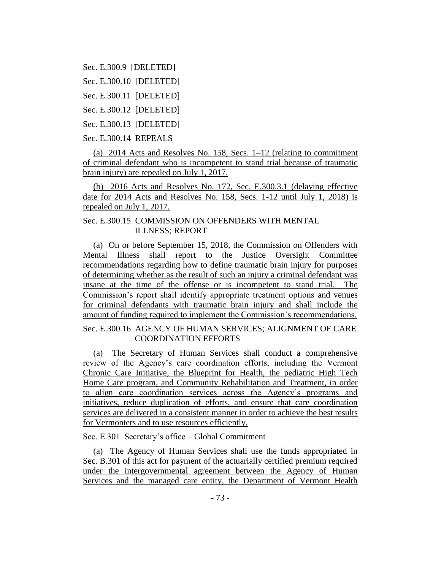Sec. E.300.9 [DELETED]

Sec. E.300.10 [DELETED]

Sec. E.300.11 [DELETED]

Sec. E.300.12 [DELETED]

Sec. E.300.13 [DELETED]

Sec. E.300.14 REPEALS

(a) 2014 Acts and Resolves No. 158, Secs. 1–12 (relating to commitment of criminal defendant who is incompetent to stand trial because of traumatic brain injury) are repealed on July 1, 2017.

(b) 2016 Acts and Resolves No. 172, Sec. E.300.3.1 (delaying effective date for 2014 Acts and Resolves No. 158, Secs. 1-12 until July 1, 2018) is repealed on July 1, 2017.

# Sec. E.300.15 COMMISSION ON OFFENDERS WITH MENTAL ILLNESS; REPORT

(a) On or before September 15, 2018, the Commission on Offenders with Mental Illness shall report to the Justice Oversight Committee recommendations regarding how to define traumatic brain injury for purposes of determining whether as the result of such an injury a criminal defendant was insane at the time of the offense or is incompetent to stand trial. The Commission's report shall identify appropriate treatment options and venues for criminal defendants with traumatic brain injury and shall include the amount of funding required to implement the Commission's recommendations.

Sec. E.300.16 AGENCY OF HUMAN SERVICES; ALIGNMENT OF CARE COORDINATION EFFORTS

(a) The Secretary of Human Services shall conduct a comprehensive review of the Agency's care coordination efforts, including the Vermont Chronic Care Initiative, the Blueprint for Health, the pediatric High Tech Home Care program, and Community Rehabilitation and Treatment, in order to align care coordination services across the Agency's programs and initiatives, reduce duplication of efforts, and ensure that care coordination services are delivered in a consistent manner in order to achieve the best results for Vermonters and to use resources efficiently.

Sec. E.301 Secretary's office – Global Commitment

(a) The Agency of Human Services shall use the funds appropriated in Sec. B.301 of this act for payment of the actuarially certified premium required under the intergovernmental agreement between the Agency of Human Services and the managed care entity, the Department of Vermont Health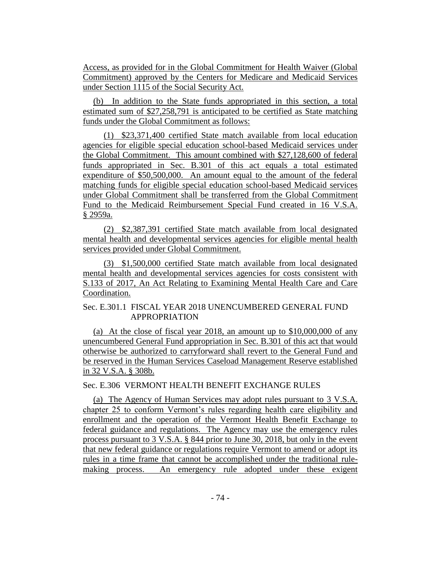Access, as provided for in the Global Commitment for Health Waiver (Global Commitment) approved by the Centers for Medicare and Medicaid Services under Section 1115 of the Social Security Act.

(b) In addition to the State funds appropriated in this section, a total estimated sum of \$27,258,791 is anticipated to be certified as State matching funds under the Global Commitment as follows:

(1) \$23,371,400 certified State match available from local education agencies for eligible special education school-based Medicaid services under the Global Commitment. This amount combined with \$27,128,600 of federal funds appropriated in Sec. B.301 of this act equals a total estimated expenditure of \$50,500,000. An amount equal to the amount of the federal matching funds for eligible special education school-based Medicaid services under Global Commitment shall be transferred from the Global Commitment Fund to the Medicaid Reimbursement Special Fund created in 16 V.S.A. § 2959a.

(2) \$2,387,391 certified State match available from local designated mental health and developmental services agencies for eligible mental health services provided under Global Commitment.

(3) \$1,500,000 certified State match available from local designated mental health and developmental services agencies for costs consistent with S.133 of 2017, An Act Relating to Examining Mental Health Care and Care Coordination.

## Sec. E.301.1 FISCAL YEAR 2018 UNENCUMBERED GENERAL FUND APPROPRIATION

(a) At the close of fiscal year  $2018$ , an amount up to \$10,000,000 of any unencumbered General Fund appropriation in Sec. B.301 of this act that would otherwise be authorized to carryforward shall revert to the General Fund and be reserved in the Human Services Caseload Management Reserve established in 32 V.S.A. § 308b.

# Sec. E.306 VERMONT HEALTH BENEFIT EXCHANGE RULES

(a) The Agency of Human Services may adopt rules pursuant to 3 V.S.A. chapter 25 to conform Vermont's rules regarding health care eligibility and enrollment and the operation of the Vermont Health Benefit Exchange to federal guidance and regulations. The Agency may use the emergency rules process pursuant to 3 V.S.A. § 844 prior to June 30, 2018, but only in the event that new federal guidance or regulations require Vermont to amend or adopt its rules in a time frame that cannot be accomplished under the traditional rulemaking process. An emergency rule adopted under these exigent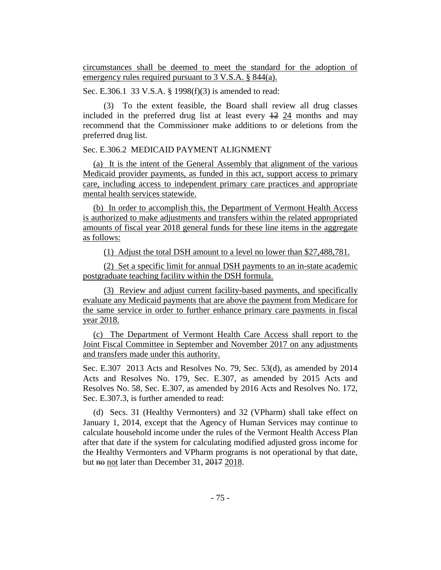circumstances shall be deemed to meet the standard for the adoption of emergency rules required pursuant to 3 V.S.A. § 844(a).

Sec. E.306.1 33 V.S.A. § 1998(f)(3) is amended to read:

(3) To the extent feasible, the Board shall review all drug classes included in the preferred drug list at least every 12 24 months and may recommend that the Commissioner make additions to or deletions from the preferred drug list.

#### Sec. E.306.2 MEDICAID PAYMENT ALIGNMENT

(a) It is the intent of the General Assembly that alignment of the various Medicaid provider payments, as funded in this act, support access to primary care, including access to independent primary care practices and appropriate mental health services statewide.

(b) In order to accomplish this, the Department of Vermont Health Access is authorized to make adjustments and transfers within the related appropriated amounts of fiscal year 2018 general funds for these line items in the aggregate as follows:

(1) Adjust the total DSH amount to a level no lower than \$27,488,781.

(2) Set a specific limit for annual DSH payments to an in-state academic postgraduate teaching facility within the DSH formula.

(3) Review and adjust current facility-based payments, and specifically evaluate any Medicaid payments that are above the payment from Medicare for the same service in order to further enhance primary care payments in fiscal year 2018.

(c) The Department of Vermont Health Care Access shall report to the Joint Fiscal Committee in September and November 2017 on any adjustments and transfers made under this authority.

Sec. E.307 2013 Acts and Resolves No. 79, Sec. 53(d), as amended by 2014 Acts and Resolves No. 179, Sec. E.307, as amended by 2015 Acts and Resolves No. 58, Sec. E.307, as amended by 2016 Acts and Resolves No. 172, Sec. E.307.3, is further amended to read:

(d) Secs. 31 (Healthy Vermonters) and 32 (VPharm) shall take effect on January 1, 2014, except that the Agency of Human Services may continue to calculate household income under the rules of the Vermont Health Access Plan after that date if the system for calculating modified adjusted gross income for the Healthy Vermonters and VPharm programs is not operational by that date, but no not later than December 31, 2017 2018.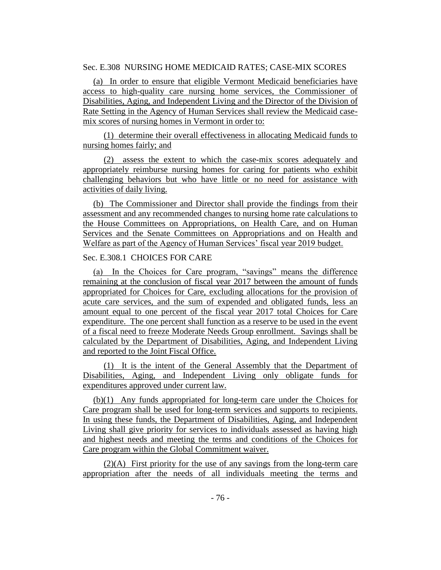## Sec. E.308 NURSING HOME MEDICAID RATES; CASE-MIX SCORES

(a) In order to ensure that eligible Vermont Medicaid beneficiaries have access to high-quality care nursing home services, the Commissioner of Disabilities, Aging, and Independent Living and the Director of the Division of Rate Setting in the Agency of Human Services shall review the Medicaid casemix scores of nursing homes in Vermont in order to:

(1) determine their overall effectiveness in allocating Medicaid funds to nursing homes fairly; and

(2) assess the extent to which the case-mix scores adequately and appropriately reimburse nursing homes for caring for patients who exhibit challenging behaviors but who have little or no need for assistance with activities of daily living.

(b) The Commissioner and Director shall provide the findings from their assessment and any recommended changes to nursing home rate calculations to the House Committees on Appropriations, on Health Care, and on Human Services and the Senate Committees on Appropriations and on Health and Welfare as part of the Agency of Human Services' fiscal year 2019 budget.

## Sec. E.308.1 CHOICES FOR CARE

(a) In the Choices for Care program, "savings" means the difference remaining at the conclusion of fiscal year 2017 between the amount of funds appropriated for Choices for Care, excluding allocations for the provision of acute care services, and the sum of expended and obligated funds, less an amount equal to one percent of the fiscal year 2017 total Choices for Care expenditure. The one percent shall function as a reserve to be used in the event of a fiscal need to freeze Moderate Needs Group enrollment. Savings shall be calculated by the Department of Disabilities, Aging, and Independent Living and reported to the Joint Fiscal Office.

(1) It is the intent of the General Assembly that the Department of Disabilities, Aging, and Independent Living only obligate funds for expenditures approved under current law.

(b)(1) Any funds appropriated for long-term care under the Choices for Care program shall be used for long-term services and supports to recipients. In using these funds, the Department of Disabilities, Aging, and Independent Living shall give priority for services to individuals assessed as having high and highest needs and meeting the terms and conditions of the Choices for Care program within the Global Commitment waiver.

(2)(A) First priority for the use of any savings from the long-term care appropriation after the needs of all individuals meeting the terms and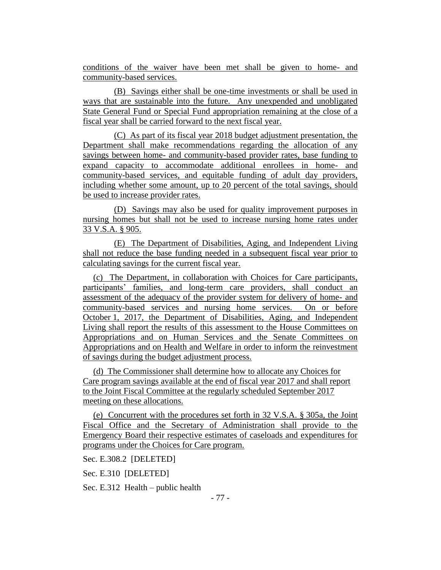conditions of the waiver have been met shall be given to home- and community-based services.

(B) Savings either shall be one-time investments or shall be used in ways that are sustainable into the future. Any unexpended and unobligated State General Fund or Special Fund appropriation remaining at the close of a fiscal year shall be carried forward to the next fiscal year.

(C) As part of its fiscal year 2018 budget adjustment presentation, the Department shall make recommendations regarding the allocation of any savings between home- and community-based provider rates, base funding to expand capacity to accommodate additional enrollees in home- and community-based services, and equitable funding of adult day providers, including whether some amount, up to 20 percent of the total savings, should be used to increase provider rates.

(D) Savings may also be used for quality improvement purposes in nursing homes but shall not be used to increase nursing home rates under 33 V.S.A. § 905.

(E) The Department of Disabilities, Aging, and Independent Living shall not reduce the base funding needed in a subsequent fiscal year prior to calculating savings for the current fiscal year.

(c) The Department, in collaboration with Choices for Care participants, participants' families, and long-term care providers, shall conduct an assessment of the adequacy of the provider system for delivery of home- and community-based services and nursing home services. On or before October 1, 2017, the Department of Disabilities, Aging, and Independent Living shall report the results of this assessment to the House Committees on Appropriations and on Human Services and the Senate Committees on Appropriations and on Health and Welfare in order to inform the reinvestment of savings during the budget adjustment process.

(d) The Commissioner shall determine how to allocate any Choices for Care program savings available at the end of fiscal year 2017 and shall report to the Joint Fiscal Committee at the regularly scheduled September 2017 meeting on these allocations.

(e) Concurrent with the procedures set forth in 32 V.S.A. § 305a, the Joint Fiscal Office and the Secretary of Administration shall provide to the Emergency Board their respective estimates of caseloads and expenditures for programs under the Choices for Care program.

Sec. E.308.2 [DELETED]

Sec. E.310 [DELETED]

Sec. E.312 Health – public health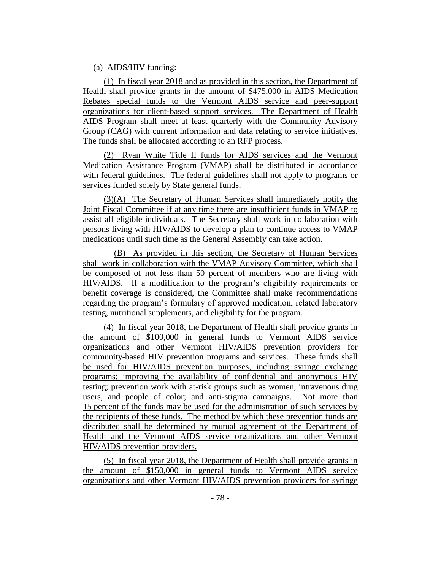### (a) AIDS/HIV funding:

(1) In fiscal year 2018 and as provided in this section, the Department of Health shall provide grants in the amount of \$475,000 in AIDS Medication Rebates special funds to the Vermont AIDS service and peer-support organizations for client-based support services. The Department of Health AIDS Program shall meet at least quarterly with the Community Advisory Group (CAG) with current information and data relating to service initiatives. The funds shall be allocated according to an RFP process.

(2) Ryan White Title II funds for AIDS services and the Vermont Medication Assistance Program (VMAP) shall be distributed in accordance with federal guidelines. The federal guidelines shall not apply to programs or services funded solely by State general funds.

(3)(A) The Secretary of Human Services shall immediately notify the Joint Fiscal Committee if at any time there are insufficient funds in VMAP to assist all eligible individuals. The Secretary shall work in collaboration with persons living with HIV/AIDS to develop a plan to continue access to VMAP medications until such time as the General Assembly can take action.

(B) As provided in this section, the Secretary of Human Services shall work in collaboration with the VMAP Advisory Committee, which shall be composed of not less than 50 percent of members who are living with HIV/AIDS. If a modification to the program's eligibility requirements or benefit coverage is considered, the Committee shall make recommendations regarding the program's formulary of approved medication, related laboratory testing, nutritional supplements, and eligibility for the program.

(4) In fiscal year 2018, the Department of Health shall provide grants in the amount of \$100,000 in general funds to Vermont AIDS service organizations and other Vermont HIV/AIDS prevention providers for community-based HIV prevention programs and services. These funds shall be used for HIV/AIDS prevention purposes, including syringe exchange programs; improving the availability of confidential and anonymous HIV testing; prevention work with at-risk groups such as women, intravenous drug users, and people of color; and anti-stigma campaigns. Not more than 15 percent of the funds may be used for the administration of such services by the recipients of these funds. The method by which these prevention funds are distributed shall be determined by mutual agreement of the Department of Health and the Vermont AIDS service organizations and other Vermont HIV/AIDS prevention providers.

(5) In fiscal year 2018, the Department of Health shall provide grants in the amount of \$150,000 in general funds to Vermont AIDS service organizations and other Vermont HIV/AIDS prevention providers for syringe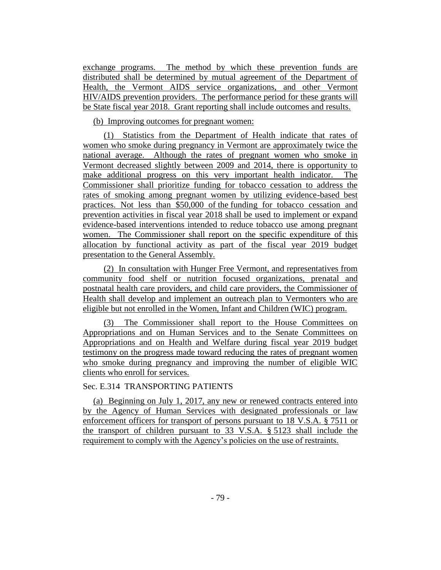exchange programs. The method by which these prevention funds are distributed shall be determined by mutual agreement of the Department of Health, the Vermont AIDS service organizations, and other Vermont HIV/AIDS prevention providers. The performance period for these grants will be State fiscal year 2018. Grant reporting shall include outcomes and results.

#### (b) Improving outcomes for pregnant women:

(1) Statistics from the Department of Health indicate that rates of women who smoke during pregnancy in Vermont are approximately twice the national average. Although the rates of pregnant women who smoke in Vermont decreased slightly between 2009 and 2014, there is opportunity to make additional progress on this very important health indicator. The Commissioner shall prioritize funding for tobacco cessation to address the rates of smoking among pregnant women by utilizing evidence-based best practices. Not less than \$50,000 of the funding for tobacco cessation and prevention activities in fiscal year 2018 shall be used to implement or expand evidence-based interventions intended to reduce tobacco use among pregnant women. The Commissioner shall report on the specific expenditure of this allocation by functional activity as part of the fiscal year 2019 budget presentation to the General Assembly.

(2) In consultation with Hunger Free Vermont, and representatives from community food shelf or nutrition focused organizations, prenatal and postnatal health care providers, and child care providers, the Commissioner of Health shall develop and implement an outreach plan to Vermonters who are eligible but not enrolled in the Women, Infant and Children (WIC) program.

(3) The Commissioner shall report to the House Committees on Appropriations and on Human Services and to the Senate Committees on Appropriations and on Health and Welfare during fiscal year 2019 budget testimony on the progress made toward reducing the rates of pregnant women who smoke during pregnancy and improving the number of eligible WIC clients who enroll for services.

#### Sec. E.314 TRANSPORTING PATIENTS

(a) Beginning on July 1, 2017, any new or renewed contracts entered into by the Agency of Human Services with designated professionals or law enforcement officers for transport of persons pursuant to 18 V.S.A. § 7511 or the transport of children pursuant to 33 V.S.A. § 5123 shall include the requirement to comply with the Agency's policies on the use of restraints.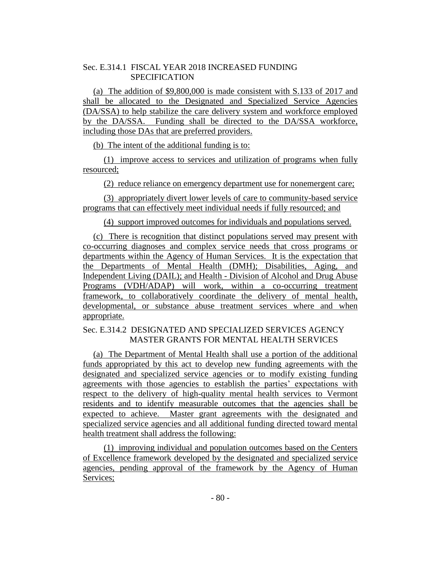# Sec. E.314.1 FISCAL YEAR 2018 INCREASED FUNDING SPECIFICATION

(a) The addition of \$9,800,000 is made consistent with S.133 of 2017 and shall be allocated to the Designated and Specialized Service Agencies (DA/SSA) to help stabilize the care delivery system and workforce employed by the DA/SSA. Funding shall be directed to the DA/SSA workforce, including those DAs that are preferred providers.

(b) The intent of the additional funding is to:

(1) improve access to services and utilization of programs when fully resourced;

(2) reduce reliance on emergency department use for nonemergent care;

(3) appropriately divert lower levels of care to community-based service programs that can effectively meet individual needs if fully resourced; and

(4) support improved outcomes for individuals and populations served.

(c) There is recognition that distinct populations served may present with co-occurring diagnoses and complex service needs that cross programs or departments within the Agency of Human Services. It is the expectation that the Departments of Mental Health (DMH); Disabilities, Aging, and Independent Living (DAIL); and Health - Division of Alcohol and Drug Abuse Programs (VDH/ADAP) will work, within a co-occurring treatment framework, to collaboratively coordinate the delivery of mental health, developmental, or substance abuse treatment services where and when appropriate.

## Sec. E.314.2 DESIGNATED AND SPECIALIZED SERVICES AGENCY MASTER GRANTS FOR MENTAL HEALTH SERVICES

(a) The Department of Mental Health shall use a portion of the additional funds appropriated by this act to develop new funding agreements with the designated and specialized service agencies or to modify existing funding agreements with those agencies to establish the parties' expectations with respect to the delivery of high-quality mental health services to Vermont residents and to identify measurable outcomes that the agencies shall be expected to achieve. Master grant agreements with the designated and specialized service agencies and all additional funding directed toward mental health treatment shall address the following:

(1) improving individual and population outcomes based on the Centers of Excellence framework developed by the designated and specialized service agencies, pending approval of the framework by the Agency of Human Services;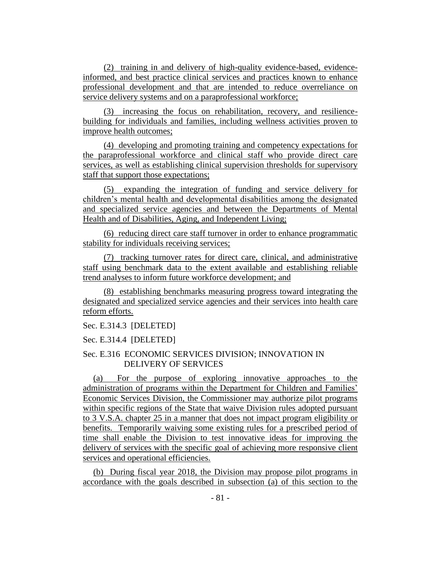(2) training in and delivery of high-quality evidence-based, evidenceinformed, and best practice clinical services and practices known to enhance professional development and that are intended to reduce overreliance on service delivery systems and on a paraprofessional workforce;

(3) increasing the focus on rehabilitation, recovery, and resiliencebuilding for individuals and families, including wellness activities proven to improve health outcomes;

(4) developing and promoting training and competency expectations for the paraprofessional workforce and clinical staff who provide direct care services, as well as establishing clinical supervision thresholds for supervisory staff that support those expectations;

(5) expanding the integration of funding and service delivery for children's mental health and developmental disabilities among the designated and specialized service agencies and between the Departments of Mental Health and of Disabilities, Aging, and Independent Living;

(6) reducing direct care staff turnover in order to enhance programmatic stability for individuals receiving services;

(7) tracking turnover rates for direct care, clinical, and administrative staff using benchmark data to the extent available and establishing reliable trend analyses to inform future workforce development; and

(8) establishing benchmarks measuring progress toward integrating the designated and specialized service agencies and their services into health care reform efforts.

Sec. E.314.3 [DELETED]

Sec. E.314.4 [DELETED]

## Sec. E.316 ECONOMIC SERVICES DIVISION; INNOVATION IN DELIVERY OF SERVICES

(a) For the purpose of exploring innovative approaches to the administration of programs within the Department for Children and Families' Economic Services Division, the Commissioner may authorize pilot programs within specific regions of the State that waive Division rules adopted pursuant to 3 V.S.A. chapter 25 in a manner that does not impact program eligibility or benefits. Temporarily waiving some existing rules for a prescribed period of time shall enable the Division to test innovative ideas for improving the delivery of services with the specific goal of achieving more responsive client services and operational efficiencies.

(b) During fiscal year 2018, the Division may propose pilot programs in accordance with the goals described in subsection (a) of this section to the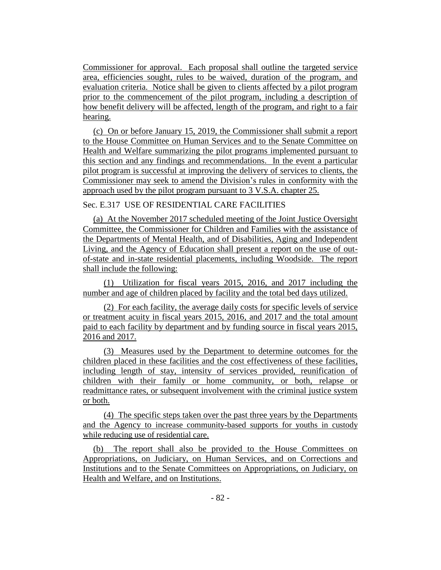Commissioner for approval. Each proposal shall outline the targeted service area, efficiencies sought, rules to be waived, duration of the program, and evaluation criteria. Notice shall be given to clients affected by a pilot program prior to the commencement of the pilot program, including a description of how benefit delivery will be affected, length of the program, and right to a fair hearing.

(c) On or before January 15, 2019, the Commissioner shall submit a report to the House Committee on Human Services and to the Senate Committee on Health and Welfare summarizing the pilot programs implemented pursuant to this section and any findings and recommendations. In the event a particular pilot program is successful at improving the delivery of services to clients, the Commissioner may seek to amend the Division's rules in conformity with the approach used by the pilot program pursuant to 3 V.S.A. chapter 25.

## Sec. E.317 USE OF RESIDENTIAL CARE FACILITIES

(a) At the November 2017 scheduled meeting of the Joint Justice Oversight Committee, the Commissioner for Children and Families with the assistance of the Departments of Mental Health, and of Disabilities, Aging and Independent Living, and the Agency of Education shall present a report on the use of outof-state and in-state residential placements, including Woodside. The report shall include the following:

(1) Utilization for fiscal years 2015, 2016, and 2017 including the number and age of children placed by facility and the total bed days utilized.

(2) For each facility, the average daily costs for specific levels of service or treatment acuity in fiscal years 2015, 2016, and 2017 and the total amount paid to each facility by department and by funding source in fiscal years 2015, 2016 and 2017.

(3) Measures used by the Department to determine outcomes for the children placed in these facilities and the cost effectiveness of these facilities, including length of stay, intensity of services provided, reunification of children with their family or home community, or both, relapse or readmittance rates, or subsequent involvement with the criminal justice system or both.

(4) The specific steps taken over the past three years by the Departments and the Agency to increase community-based supports for youths in custody while reducing use of residential care.

(b) The report shall also be provided to the House Committees on Appropriations, on Judiciary, on Human Services, and on Corrections and Institutions and to the Senate Committees on Appropriations, on Judiciary, on Health and Welfare, and on Institutions.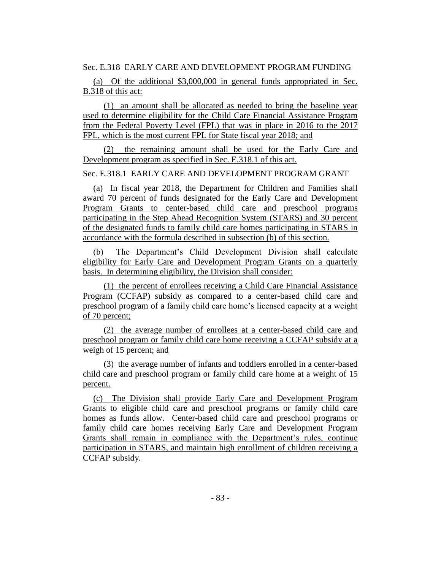Sec. E.318 EARLY CARE AND DEVELOPMENT PROGRAM FUNDING

(a) Of the additional \$3,000,000 in general funds appropriated in Sec. B.318 of this act:

(1) an amount shall be allocated as needed to bring the baseline year used to determine eligibility for the Child Care Financial Assistance Program from the Federal Poverty Level (FPL) that was in place in 2016 to the 2017 FPL, which is the most current FPL for State fiscal year 2018; and

(2) the remaining amount shall be used for the Early Care and Development program as specified in Sec. E.318.1 of this act.

Sec. E.318.1 EARLY CARE AND DEVELOPMENT PROGRAM GRANT

(a) In fiscal year 2018, the Department for Children and Families shall award 70 percent of funds designated for the Early Care and Development Program Grants to center-based child care and preschool programs participating in the Step Ahead Recognition System (STARS) and 30 percent of the designated funds to family child care homes participating in STARS in accordance with the formula described in subsection (b) of this section.

(b) The Department's Child Development Division shall calculate eligibility for Early Care and Development Program Grants on a quarterly basis. In determining eligibility, the Division shall consider:

(1) the percent of enrollees receiving a Child Care Financial Assistance Program (CCFAP) subsidy as compared to a center-based child care and preschool program of a family child care home's licensed capacity at a weight of 70 percent;

(2) the average number of enrollees at a center-based child care and preschool program or family child care home receiving a CCFAP subsidy at a weigh of 15 percent; and

(3) the average number of infants and toddlers enrolled in a center-based child care and preschool program or family child care home at a weight of 15 percent.

(c) The Division shall provide Early Care and Development Program Grants to eligible child care and preschool programs or family child care homes as funds allow. Center-based child care and preschool programs or family child care homes receiving Early Care and Development Program Grants shall remain in compliance with the Department's rules, continue participation in STARS, and maintain high enrollment of children receiving a CCFAP subsidy.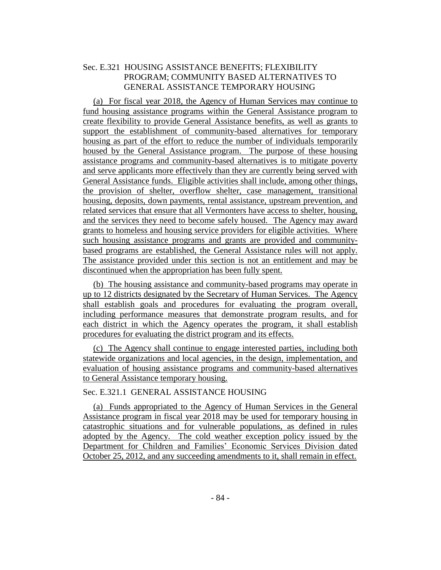# Sec. E.321 HOUSING ASSISTANCE BENEFITS; FLEXIBILITY PROGRAM; COMMUNITY BASED ALTERNATIVES TO GENERAL ASSISTANCE TEMPORARY HOUSING

(a) For fiscal year 2018, the Agency of Human Services may continue to fund housing assistance programs within the General Assistance program to create flexibility to provide General Assistance benefits, as well as grants to support the establishment of community-based alternatives for temporary housing as part of the effort to reduce the number of individuals temporarily housed by the General Assistance program. The purpose of these housing assistance programs and community-based alternatives is to mitigate poverty and serve applicants more effectively than they are currently being served with General Assistance funds. Eligible activities shall include, among other things, the provision of shelter, overflow shelter, case management, transitional housing, deposits, down payments, rental assistance, upstream prevention, and related services that ensure that all Vermonters have access to shelter, housing, and the services they need to become safely housed. The Agency may award grants to homeless and housing service providers for eligible activities. Where such housing assistance programs and grants are provided and communitybased programs are established, the General Assistance rules will not apply. The assistance provided under this section is not an entitlement and may be discontinued when the appropriation has been fully spent.

(b) The housing assistance and community-based programs may operate in up to 12 districts designated by the Secretary of Human Services. The Agency shall establish goals and procedures for evaluating the program overall, including performance measures that demonstrate program results, and for each district in which the Agency operates the program, it shall establish procedures for evaluating the district program and its effects.

(c) The Agency shall continue to engage interested parties, including both statewide organizations and local agencies, in the design, implementation, and evaluation of housing assistance programs and community-based alternatives to General Assistance temporary housing.

## Sec. E.321.1 GENERAL ASSISTANCE HOUSING

(a) Funds appropriated to the Agency of Human Services in the General Assistance program in fiscal year 2018 may be used for temporary housing in catastrophic situations and for vulnerable populations, as defined in rules adopted by the Agency. The cold weather exception policy issued by the Department for Children and Families' Economic Services Division dated October 25, 2012, and any succeeding amendments to it, shall remain in effect.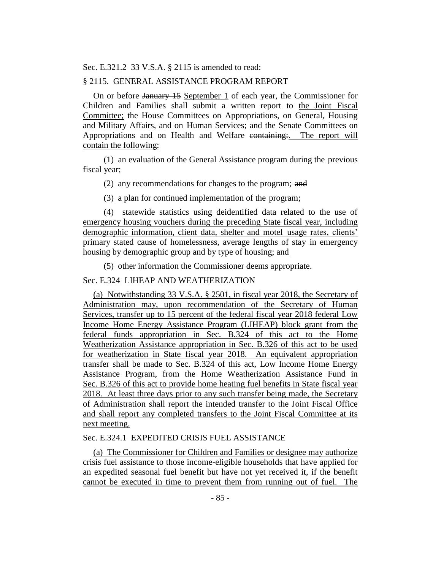Sec. E.321.2 33 V.S.A. § 2115 is amended to read:

#### § 2115. GENERAL ASSISTANCE PROGRAM REPORT

On or before January 15 September 1 of each year, the Commissioner for Children and Families shall submit a written report to the Joint Fiscal Committee; the House Committees on Appropriations, on General, Housing and Military Affairs, and on Human Services; and the Senate Committees on Appropriations and on Health and Welfare containing:. The report will contain the following:

(1) an evaluation of the General Assistance program during the previous fiscal year;

(2) any recommendations for changes to the program; and

(3) a plan for continued implementation of the program;

(4) statewide statistics using deidentified data related to the use of emergency housing vouchers during the preceding State fiscal year, including demographic information, client data, shelter and motel usage rates, clients' primary stated cause of homelessness, average lengths of stay in emergency housing by demographic group and by type of housing; and

(5) other information the Commissioner deems appropriate.

### Sec. E.324 LIHEAP AND WEATHERIZATION

(a) Notwithstanding 33 V.S.A. § 2501, in fiscal year 2018, the Secretary of Administration may, upon recommendation of the Secretary of Human Services, transfer up to 15 percent of the federal fiscal year 2018 federal Low Income Home Energy Assistance Program (LIHEAP) block grant from the federal funds appropriation in Sec. B.324 of this act to the Home Weatherization Assistance appropriation in Sec. B.326 of this act to be used for weatherization in State fiscal year 2018. An equivalent appropriation transfer shall be made to Sec. B.324 of this act, Low Income Home Energy Assistance Program, from the Home Weatherization Assistance Fund in Sec. B.326 of this act to provide home heating fuel benefits in State fiscal year 2018. At least three days prior to any such transfer being made, the Secretary of Administration shall report the intended transfer to the Joint Fiscal Office and shall report any completed transfers to the Joint Fiscal Committee at its next meeting.

## Sec. E.324.1 EXPEDITED CRISIS FUEL ASSISTANCE

(a) The Commissioner for Children and Families or designee may authorize crisis fuel assistance to those income-eligible households that have applied for an expedited seasonal fuel benefit but have not yet received it, if the benefit cannot be executed in time to prevent them from running out of fuel. The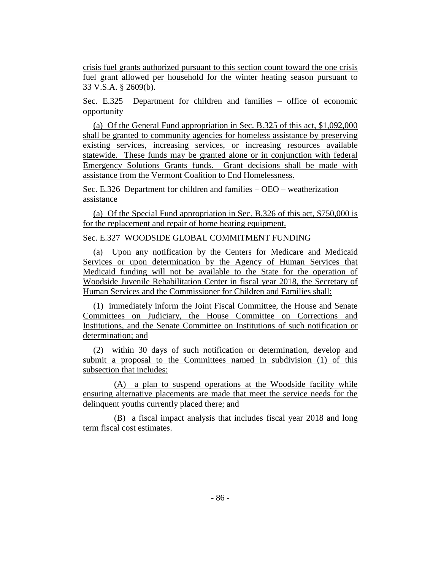crisis fuel grants authorized pursuant to this section count toward the one crisis fuel grant allowed per household for the winter heating season pursuant to 33 V.S.A. § 2609(b).

Sec. E.325 Department for children and families – office of economic opportunity

(a) Of the General Fund appropriation in Sec. B.325 of this act, \$1,092,000 shall be granted to community agencies for homeless assistance by preserving existing services, increasing services, or increasing resources available statewide. These funds may be granted alone or in conjunction with federal Emergency Solutions Grants funds. Grant decisions shall be made with assistance from the Vermont Coalition to End Homelessness.

Sec. E.326 Department for children and families – OEO – weatherization assistance

(a) Of the Special Fund appropriation in Sec. B.326 of this act, \$750,000 is for the replacement and repair of home heating equipment.

Sec. E.327 WOODSIDE GLOBAL COMMITMENT FUNDING

(a) Upon any notification by the Centers for Medicare and Medicaid Services or upon determination by the Agency of Human Services that Medicaid funding will not be available to the State for the operation of Woodside Juvenile Rehabilitation Center in fiscal year 2018, the Secretary of Human Services and the Commissioner for Children and Families shall:

(1) immediately inform the Joint Fiscal Committee, the House and Senate Committees on Judiciary, the House Committee on Corrections and Institutions, and the Senate Committee on Institutions of such notification or determination; and

(2) within 30 days of such notification or determination, develop and submit a proposal to the Committees named in subdivision (1) of this subsection that includes:

(A) a plan to suspend operations at the Woodside facility while ensuring alternative placements are made that meet the service needs for the delinquent youths currently placed there; and

(B) a fiscal impact analysis that includes fiscal year 2018 and long term fiscal cost estimates.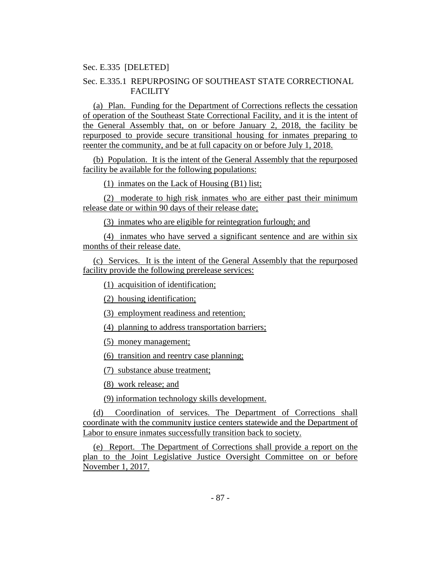Sec. E.335 [DELETED]

## Sec. E.335.1 REPURPOSING OF SOUTHEAST STATE CORRECTIONAL FACILITY

(a) Plan. Funding for the Department of Corrections reflects the cessation of operation of the Southeast State Correctional Facility, and it is the intent of the General Assembly that, on or before January 2, 2018, the facility be repurposed to provide secure transitional housing for inmates preparing to reenter the community, and be at full capacity on or before July 1, 2018.

(b) Population. It is the intent of the General Assembly that the repurposed facility be available for the following populations:

(1) inmates on the Lack of Housing (B1) list;

(2) moderate to high risk inmates who are either past their minimum release date or within 90 days of their release date;

(3) inmates who are eligible for reintegration furlough; and

(4) inmates who have served a significant sentence and are within six months of their release date.

(c) Services. It is the intent of the General Assembly that the repurposed facility provide the following prerelease services:

(1) acquisition of identification;

(2) housing identification;

(3) employment readiness and retention;

(4) planning to address transportation barriers;

(5) money management;

(6) transition and reentry case planning;

(7) substance abuse treatment;

(8) work release; and

(9) information technology skills development.

(d) Coordination of services. The Department of Corrections shall coordinate with the community justice centers statewide and the Department of Labor to ensure inmates successfully transition back to society.

(e) Report. The Department of Corrections shall provide a report on the plan to the Joint Legislative Justice Oversight Committee on or before November 1, 2017.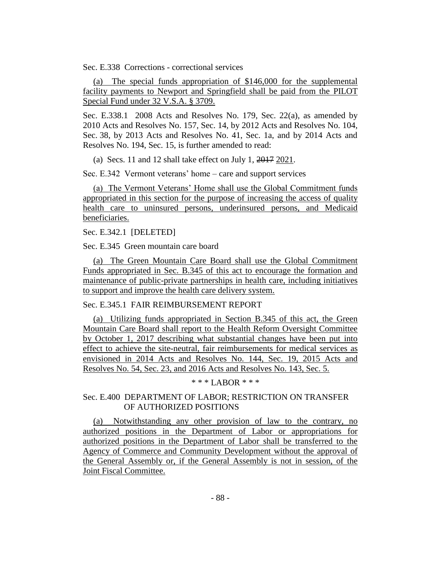Sec. E.338 Corrections - correctional services

(a) The special funds appropriation of \$146,000 for the supplemental facility payments to Newport and Springfield shall be paid from the PILOT Special Fund under 32 V.S.A. § 3709.

Sec. E.338.1 2008 Acts and Resolves No. 179, Sec. 22(a), as amended by 2010 Acts and Resolves No. 157, Sec. 14, by 2012 Acts and Resolves No. 104, Sec. 38, by 2013 Acts and Resolves No. 41, Sec. 1a, and by 2014 Acts and Resolves No. 194, Sec. 15, is further amended to read:

(a) Secs. 11 and 12 shall take effect on July 1, 2017 2021.

Sec. E.342 Vermont veterans' home – care and support services

(a) The Vermont Veterans' Home shall use the Global Commitment funds appropriated in this section for the purpose of increasing the access of quality health care to uninsured persons, underinsured persons, and Medicaid beneficiaries.

Sec. E.342.1 [DELETED]

Sec. E.345 Green mountain care board

(a) The Green Mountain Care Board shall use the Global Commitment Funds appropriated in Sec. B.345 of this act to encourage the formation and maintenance of public-private partnerships in health care, including initiatives to support and improve the health care delivery system.

Sec. E.345.1 FAIR REIMBURSEMENT REPORT

(a) Utilizing funds appropriated in Section B.345 of this act, the Green Mountain Care Board shall report to the Health Reform Oversight Committee by October 1, 2017 describing what substantial changes have been put into effect to achieve the site-neutral, fair reimbursements for medical services as envisioned in 2014 Acts and Resolves No. 144, Sec. 19, 2015 Acts and Resolves No. 54, Sec. 23, and 2016 Acts and Resolves No. 143, Sec. 5.

 $* * * I AROR * * *$ 

### Sec. E.400 DEPARTMENT OF LABOR; RESTRICTION ON TRANSFER OF AUTHORIZED POSITIONS

(a) Notwithstanding any other provision of law to the contrary, no authorized positions in the Department of Labor or appropriations for authorized positions in the Department of Labor shall be transferred to the Agency of Commerce and Community Development without the approval of the General Assembly or, if the General Assembly is not in session, of the Joint Fiscal Committee.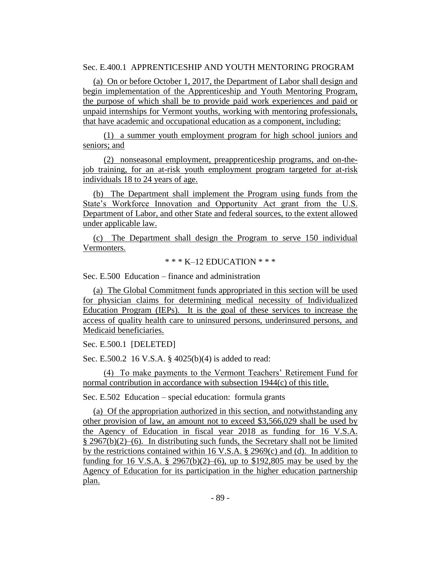Sec. E.400.1 APPRENTICESHIP AND YOUTH MENTORING PROGRAM

(a) On or before October 1, 2017, the Department of Labor shall design and begin implementation of the Apprenticeship and Youth Mentoring Program, the purpose of which shall be to provide paid work experiences and paid or unpaid internships for Vermont youths, working with mentoring professionals, that have academic and occupational education as a component, including:

(1) a summer youth employment program for high school juniors and seniors; and

(2) nonseasonal employment, preapprenticeship programs, and on-thejob training, for an at-risk youth employment program targeted for at-risk individuals 18 to 24 years of age.

(b) The Department shall implement the Program using funds from the State's Workforce Innovation and Opportunity Act grant from the U.S. Department of Labor, and other State and federal sources, to the extent allowed under applicable law.

(c) The Department shall design the Program to serve 150 individual Vermonters.

 $*** K-12$  EDUCATION  $***$ 

Sec. E.500 Education – finance and administration

(a) The Global Commitment funds appropriated in this section will be used for physician claims for determining medical necessity of Individualized Education Program (IEPs). It is the goal of these services to increase the access of quality health care to uninsured persons, underinsured persons, and Medicaid beneficiaries.

Sec. E.500.1 [DELETED]

Sec. E.500.2 16 V.S.A. § 4025(b)(4) is added to read:

(4) To make payments to the Vermont Teachers' Retirement Fund for normal contribution in accordance with subsection 1944(c) of this title.

Sec. E.502 Education – special education: formula grants

(a) Of the appropriation authorized in this section, and notwithstanding any other provision of law, an amount not to exceed \$3,566,029 shall be used by the Agency of Education in fiscal year 2018 as funding for 16 V.S.A. § 2967(b)(2)–(6). In distributing such funds, the Secretary shall not be limited by the restrictions contained within 16 V.S.A. § 2969(c) and (d). In addition to funding for 16 V.S.A. § 2967(b)(2)–(6), up to \$192,805 may be used by the Agency of Education for its participation in the higher education partnership plan.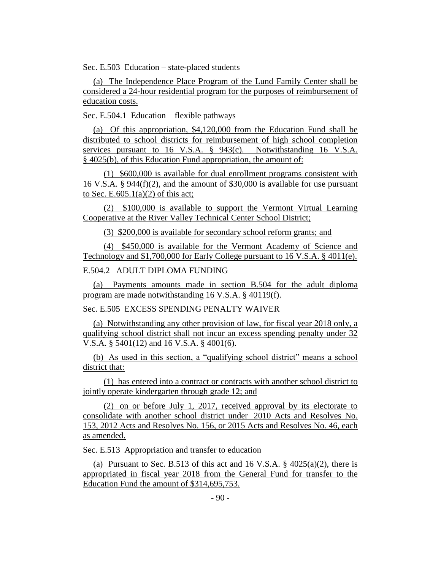Sec. E.503 Education – state-placed students

(a) The Independence Place Program of the Lund Family Center shall be considered a 24-hour residential program for the purposes of reimbursement of education costs.

Sec. E.504.1 Education – flexible pathways

(a) Of this appropriation, \$4,120,000 from the Education Fund shall be distributed to school districts for reimbursement of high school completion services pursuant to 16 V.S.A.  $\S$  943(c). Notwithstanding 16 V.S.A. § 4025(b), of this Education Fund appropriation, the amount of:

(1) \$600,000 is available for dual enrollment programs consistent with 16 V.S.A. § 944(f)(2), and the amount of \$30,000 is available for use pursuant to Sec. E.605.1(a)(2) of this act;

(2) \$100,000 is available to support the Vermont Virtual Learning Cooperative at the River Valley Technical Center School District;

(3) \$200,000 is available for secondary school reform grants; and

(4) \$450,000 is available for the Vermont Academy of Science and Technology and \$1,700,000 for Early College pursuant to 16 V.S.A. § 4011(e).

#### E.504.2 ADULT DIPLOMA FUNDING

(a) Payments amounts made in section B.504 for the adult diploma program are made notwithstanding 16 V.S.A. § 40119(f).

Sec. E.505 EXCESS SPENDING PENALTY WAIVER

(a) Notwithstanding any other provision of law, for fiscal year 2018 only, a qualifying school district shall not incur an excess spending penalty under 32 V.S.A. § 5401(12) and 16 V.S.A. § 4001(6).

(b) As used in this section, a "qualifying school district" means a school district that:

(1) has entered into a contract or contracts with another school district to jointly operate kindergarten through grade 12; and

(2) on or before July 1, 2017, received approval by its electorate to consolidate with another school district under 2010 Acts and Resolves No. 153, 2012 Acts and Resolves No. 156, or 2015 Acts and Resolves No. 46, each as amended.

Sec. E.513 Appropriation and transfer to education

(a) Pursuant to Sec. B.513 of this act and 16 V.S.A.  $\S$  4025(a)(2), there is appropriated in fiscal year 2018 from the General Fund for transfer to the Education Fund the amount of \$314,695,753.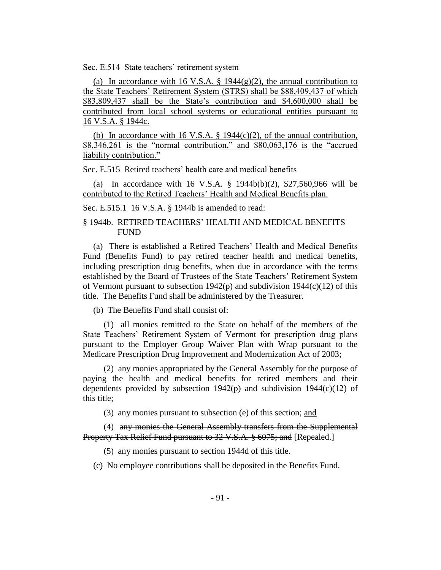Sec. E.514 State teachers' retirement system

(a) In accordance with 16 V.S.A.  $\S$  1944(g)(2), the annual contribution to the State Teachers' Retirement System (STRS) shall be \$88,409,437 of which \$83,809,437 shall be the State's contribution and \$4,600,000 shall be contributed from local school systems or educational entities pursuant to 16 V.S.A. § 1944c.

(b) In accordance with 16 V.S.A.  $\S$  1944(c)(2), of the annual contribution, \$8,346,261 is the "normal contribution," and \$80,063,176 is the "accrued" liability contribution."

Sec. E.515 Retired teachers' health care and medical benefits

(a) In accordance with 16 V.S.A. § 1944b(b)(2), \$27,560,966 will be contributed to the Retired Teachers' Health and Medical Benefits plan.

Sec. E.515.1 16 V.S.A. § 1944b is amended to read:

### § 1944b. RETIRED TEACHERS' HEALTH AND MEDICAL BENEFITS FUND

(a) There is established a Retired Teachers' Health and Medical Benefits Fund (Benefits Fund) to pay retired teacher health and medical benefits, including prescription drug benefits, when due in accordance with the terms established by the Board of Trustees of the State Teachers' Retirement System of Vermont pursuant to subsection 1942(p) and subdivision 1944(c)(12) of this title. The Benefits Fund shall be administered by the Treasurer.

(b) The Benefits Fund shall consist of:

(1) all monies remitted to the State on behalf of the members of the State Teachers' Retirement System of Vermont for prescription drug plans pursuant to the Employer Group Waiver Plan with Wrap pursuant to the Medicare Prescription Drug Improvement and Modernization Act of 2003;

(2) any monies appropriated by the General Assembly for the purpose of paying the health and medical benefits for retired members and their dependents provided by subsection  $1942(p)$  and subdivision  $1944(c)(12)$  of this title;

(3) any monies pursuant to subsection (e) of this section; and

(4) any monies the General Assembly transfers from the Supplemental Property Tax Relief Fund pursuant to 32 V.S.A. § 6075; and [Repealed.]

(5) any monies pursuant to section 1944d of this title.

(c) No employee contributions shall be deposited in the Benefits Fund.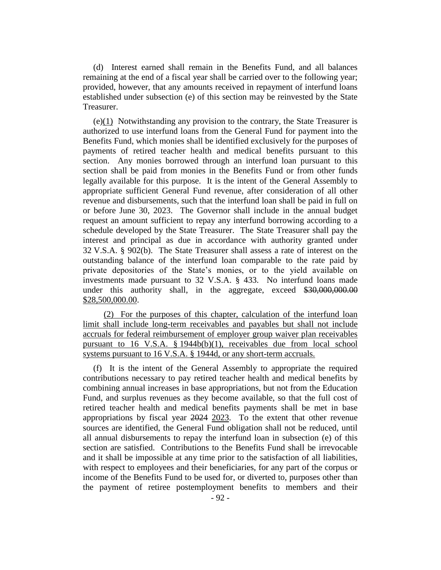(d) Interest earned shall remain in the Benefits Fund, and all balances remaining at the end of a fiscal year shall be carried over to the following year; provided, however, that any amounts received in repayment of interfund loans established under subsection (e) of this section may be reinvested by the State Treasurer.

(e)(1) Notwithstanding any provision to the contrary, the State Treasurer is authorized to use interfund loans from the General Fund for payment into the Benefits Fund, which monies shall be identified exclusively for the purposes of payments of retired teacher health and medical benefits pursuant to this section. Any monies borrowed through an interfund loan pursuant to this section shall be paid from monies in the Benefits Fund or from other funds legally available for this purpose. It is the intent of the General Assembly to appropriate sufficient General Fund revenue, after consideration of all other revenue and disbursements, such that the interfund loan shall be paid in full on or before June 30, 2023. The Governor shall include in the annual budget request an amount sufficient to repay any interfund borrowing according to a schedule developed by the State Treasurer. The State Treasurer shall pay the interest and principal as due in accordance with authority granted under 32 V.S.A. § 902(b). The State Treasurer shall assess a rate of interest on the outstanding balance of the interfund loan comparable to the rate paid by private depositories of the State's monies, or to the yield available on investments made pursuant to 32 V.S.A. § 433. No interfund loans made under this authority shall, in the aggregate, exceed \$30,000,000.00 \$28,500,000.00.

(2) For the purposes of this chapter, calculation of the interfund loan limit shall include long-term receivables and payables but shall not include accruals for federal reimbursement of employer group waiver plan receivables pursuant to 16 V.S.A. § 1944b(b)(1), receivables due from local school systems pursuant to 16 V.S.A. § 1944d, or any short-term accruals.

(f) It is the intent of the General Assembly to appropriate the required contributions necessary to pay retired teacher health and medical benefits by combining annual increases in base appropriations, but not from the Education Fund, and surplus revenues as they become available, so that the full cost of retired teacher health and medical benefits payments shall be met in base appropriations by fiscal year 2024 2023. To the extent that other revenue sources are identified, the General Fund obligation shall not be reduced, until all annual disbursements to repay the interfund loan in subsection (e) of this section are satisfied. Contributions to the Benefits Fund shall be irrevocable and it shall be impossible at any time prior to the satisfaction of all liabilities, with respect to employees and their beneficiaries, for any part of the corpus or income of the Benefits Fund to be used for, or diverted to, purposes other than the payment of retiree postemployment benefits to members and their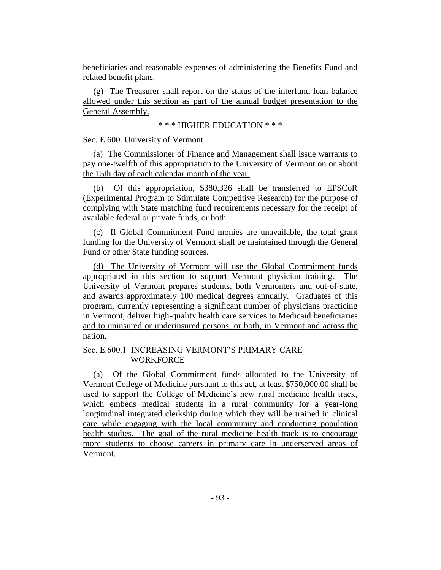beneficiaries and reasonable expenses of administering the Benefits Fund and related benefit plans.

(g) The Treasurer shall report on the status of the interfund loan balance allowed under this section as part of the annual budget presentation to the General Assembly.

\* \* \* HIGHER EDUCATION \* \* \*

Sec. E.600 University of Vermont

(a) The Commissioner of Finance and Management shall issue warrants to pay one-twelfth of this appropriation to the University of Vermont on or about the 15th day of each calendar month of the year.

(b) Of this appropriation, \$380,326 shall be transferred to EPSCoR (Experimental Program to Stimulate Competitive Research) for the purpose of complying with State matching fund requirements necessary for the receipt of available federal or private funds, or both.

(c) If Global Commitment Fund monies are unavailable, the total grant funding for the University of Vermont shall be maintained through the General Fund or other State funding sources.

(d) The University of Vermont will use the Global Commitment funds appropriated in this section to support Vermont physician training. The University of Vermont prepares students, both Vermonters and out-of-state, and awards approximately 100 medical degrees annually. Graduates of this program, currently representing a significant number of physicians practicing in Vermont, deliver high-quality health care services to Medicaid beneficiaries and to uninsured or underinsured persons, or both, in Vermont and across the nation.

### Sec. E.600.1 INCREASING VERMONT'S PRIMARY CARE **WORKFORCE**

(a) Of the Global Commitment funds allocated to the University of Vermont College of Medicine pursuant to this act, at least \$750,000.00 shall be used to support the College of Medicine's new rural medicine health track, which embeds medical students in a rural community for a year-long longitudinal integrated clerkship during which they will be trained in clinical care while engaging with the local community and conducting population health studies. The goal of the rural medicine health track is to encourage more students to choose careers in primary care in underserved areas of Vermont.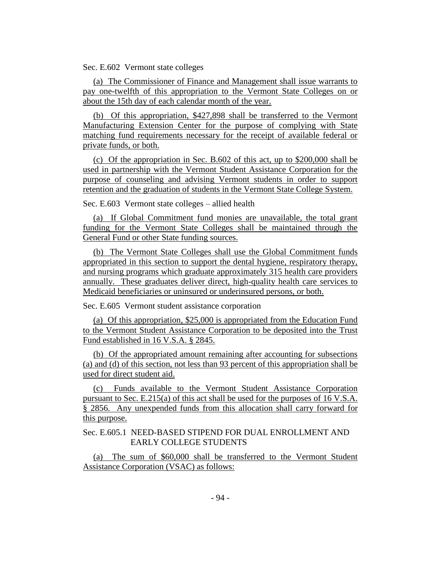Sec. E.602 Vermont state colleges

(a) The Commissioner of Finance and Management shall issue warrants to pay one-twelfth of this appropriation to the Vermont State Colleges on or about the 15th day of each calendar month of the year.

(b) Of this appropriation, \$427,898 shall be transferred to the Vermont Manufacturing Extension Center for the purpose of complying with State matching fund requirements necessary for the receipt of available federal or private funds, or both.

(c) Of the appropriation in Sec. B.602 of this act, up to \$200,000 shall be used in partnership with the Vermont Student Assistance Corporation for the purpose of counseling and advising Vermont students in order to support retention and the graduation of students in the Vermont State College System.

Sec. E.603 Vermont state colleges – allied health

(a) If Global Commitment fund monies are unavailable, the total grant funding for the Vermont State Colleges shall be maintained through the General Fund or other State funding sources.

(b) The Vermont State Colleges shall use the Global Commitment funds appropriated in this section to support the dental hygiene, respiratory therapy, and nursing programs which graduate approximately 315 health care providers annually. These graduates deliver direct, high-quality health care services to Medicaid beneficiaries or uninsured or underinsured persons, or both.

Sec. E.605 Vermont student assistance corporation

(a) Of this appropriation, \$25,000 is appropriated from the Education Fund to the Vermont Student Assistance Corporation to be deposited into the Trust Fund established in 16 V.S.A. § 2845.

(b) Of the appropriated amount remaining after accounting for subsections (a) and (d) of this section, not less than 93 percent of this appropriation shall be used for direct student aid.

(c) Funds available to the Vermont Student Assistance Corporation pursuant to Sec. E.215(a) of this act shall be used for the purposes of 16 V.S.A. § 2856. Any unexpended funds from this allocation shall carry forward for this purpose.

Sec. E.605.1 NEED-BASED STIPEND FOR DUAL ENROLLMENT AND EARLY COLLEGE STUDENTS

(a) The sum of \$60,000 shall be transferred to the Vermont Student Assistance Corporation (VSAC) as follows: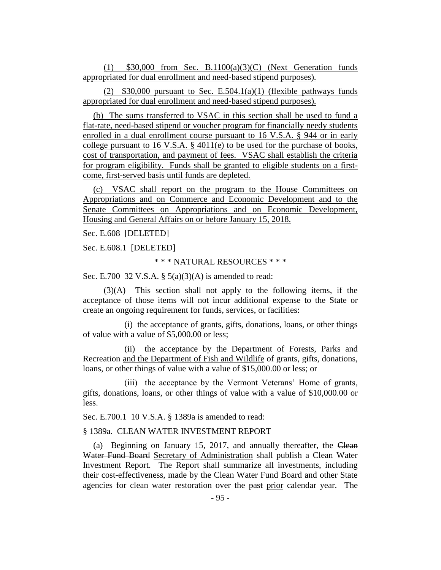(1) \$30,000 from Sec. B.1100(a)(3)(C) (Next Generation funds appropriated for dual enrollment and need-based stipend purposes).

(2)  $$30,000$  pursuant to Sec. E.504.1(a)(1) (flexible pathways funds appropriated for dual enrollment and need-based stipend purposes).

(b) The sums transferred to VSAC in this section shall be used to fund a flat-rate, need-based stipend or voucher program for financially needy students enrolled in a dual enrollment course pursuant to 16 V.S.A. § 944 or in early college pursuant to 16 V.S.A. § 4011(e) to be used for the purchase of books, cost of transportation, and payment of fees. VSAC shall establish the criteria for program eligibility. Funds shall be granted to eligible students on a firstcome, first-served basis until funds are depleted.

(c) VSAC shall report on the program to the House Committees on Appropriations and on Commerce and Economic Development and to the Senate Committees on Appropriations and on Economic Development, Housing and General Affairs on or before January 15, 2018.

Sec. E.608 [DELETED]

Sec. E.608.1 [DELETED]

\* \* \* NATURAL RESOURCES \* \* \*

Sec. E.700 32 V.S.A. §  $5(a)(3)(A)$  is amended to read:

(3)(A) This section shall not apply to the following items, if the acceptance of those items will not incur additional expense to the State or create an ongoing requirement for funds, services, or facilities:

(i) the acceptance of grants, gifts, donations, loans, or other things of value with a value of \$5,000.00 or less;

(ii) the acceptance by the Department of Forests, Parks and Recreation and the Department of Fish and Wildlife of grants, gifts, donations, loans, or other things of value with a value of \$15,000.00 or less; or

(iii) the acceptance by the Vermont Veterans' Home of grants, gifts, donations, loans, or other things of value with a value of \$10,000.00 or less.

Sec. E.700.1 10 V.S.A. § 1389a is amended to read:

§ 1389a. CLEAN WATER INVESTMENT REPORT

(a) Beginning on January 15, 2017, and annually thereafter, the Clean Water Fund Board Secretary of Administration shall publish a Clean Water Investment Report. The Report shall summarize all investments, including their cost-effectiveness, made by the Clean Water Fund Board and other State agencies for clean water restoration over the past prior calendar year. The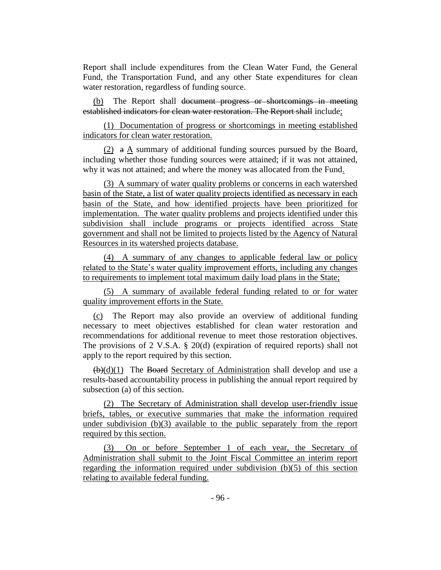Report shall include expenditures from the Clean Water Fund, the General Fund, the Transportation Fund, and any other State expenditures for clean water restoration, regardless of funding source.

(b) The Report shall document progress or shortcomings in meeting established indicators for clean water restoration. The Report shall include;

(1) Documentation of progress or shortcomings in meeting established indicators for clean water restoration.

(2) a A summary of additional funding sources pursued by the Board, including whether those funding sources were attained; if it was not attained, why it was not attained; and where the money was allocated from the Fund.

(3) A summary of water quality problems or concerns in each watershed basin of the State, a list of water quality projects identified as necessary in each basin of the State, and how identified projects have been prioritized for implementation. The water quality problems and projects identified under this subdivision shall include programs or projects identified across State government and shall not be limited to projects listed by the Agency of Natural Resources in its watershed projects database.

(4) A summary of any changes to applicable federal law or policy related to the State's water quality improvement efforts, including any changes to requirements to implement total maximum daily load plans in the State;

(5) A summary of available federal funding related to or for water quality improvement efforts in the State.

(c) The Report may also provide an overview of additional funding necessary to meet objectives established for clean water restoration and recommendations for additional revenue to meet those restoration objectives. The provisions of 2 V.S.A. § 20(d) (expiration of required reports) shall not apply to the report required by this section.

 $(\frac{b}{d})(d)(1)$  The Board Secretary of Administration shall develop and use a results-based accountability process in publishing the annual report required by subsection (a) of this section.

(2) The Secretary of Administration shall develop user-friendly issue briefs, tables, or executive summaries that make the information required under subdivision (b)(3) available to the public separately from the report required by this section.

(3) On or before September 1 of each year, the Secretary of Administration shall submit to the Joint Fiscal Committee an interim report regarding the information required under subdivision (b)(5) of this section relating to available federal funding.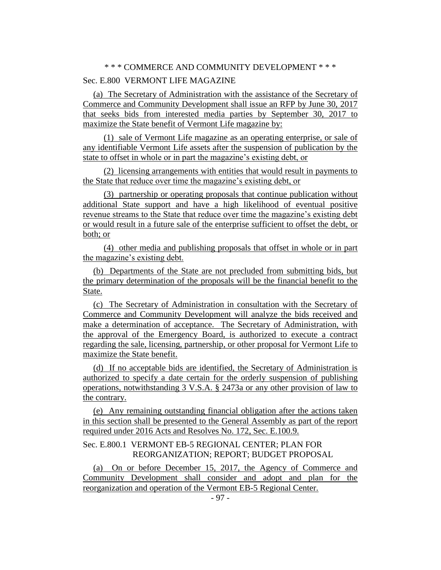### \* \* \* COMMERCE AND COMMUNITY DEVELOPMENT \* \* \*

### Sec. E.800 VERMONT LIFE MAGAZINE

(a) The Secretary of Administration with the assistance of the Secretary of Commerce and Community Development shall issue an RFP by June 30, 2017 that seeks bids from interested media parties by September 30, 2017 to maximize the State benefit of Vermont Life magazine by:

(1) sale of Vermont Life magazine as an operating enterprise, or sale of any identifiable Vermont Life assets after the suspension of publication by the state to offset in whole or in part the magazine's existing debt, or

(2) licensing arrangements with entities that would result in payments to the State that reduce over time the magazine's existing debt, or

(3) partnership or operating proposals that continue publication without additional State support and have a high likelihood of eventual positive revenue streams to the State that reduce over time the magazine's existing debt or would result in a future sale of the enterprise sufficient to offset the debt, or both; or

(4) other media and publishing proposals that offset in whole or in part the magazine's existing debt.

(b) Departments of the State are not precluded from submitting bids, but the primary determination of the proposals will be the financial benefit to the State.

(c) The Secretary of Administration in consultation with the Secretary of Commerce and Community Development will analyze the bids received and make a determination of acceptance. The Secretary of Administration, with the approval of the Emergency Board, is authorized to execute a contract regarding the sale, licensing, partnership, or other proposal for Vermont Life to maximize the State benefit.

(d) If no acceptable bids are identified, the Secretary of Administration is authorized to specify a date certain for the orderly suspension of publishing operations, notwithstanding 3 V.S.A. § 2473a or any other provision of law to the contrary.

(e) Any remaining outstanding financial obligation after the actions taken in this section shall be presented to the General Assembly as part of the report required under 2016 Acts and Resolves No. 172, Sec. E.100.9.

### Sec. E.800.1 VERMONT EB-5 REGIONAL CENTER; PLAN FOR REORGANIZATION; REPORT; BUDGET PROPOSAL

(a) On or before December 15, 2017, the Agency of Commerce and Community Development shall consider and adopt and plan for the reorganization and operation of the Vermont EB-5 Regional Center.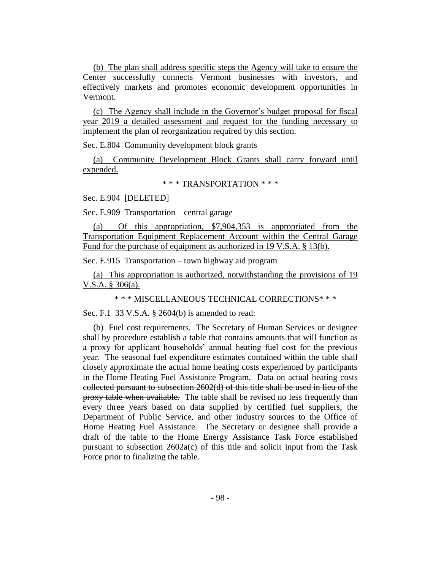(b) The plan shall address specific steps the Agency will take to ensure the Center successfully connects Vermont businesses with investors, and effectively markets and promotes economic development opportunities in Vermont.

(c) The Agency shall include in the Governor's budget proposal for fiscal year 2019 a detailed assessment and request for the funding necessary to implement the plan of reorganization required by this section.

Sec. E.804 Community development block grants

(a) Community Development Block Grants shall carry forward until expended.

\* \* \* TRANSPORTATION \* \* \*

Sec. E.904 [DELETED]

Sec. E.909 Transportation – central garage

(a) Of this appropriation, \$7,904,353 is appropriated from the Transportation Equipment Replacement Account within the Central Garage Fund for the purchase of equipment as authorized in 19 V.S.A. § 13(b).

Sec. E.915 Transportation – town highway aid program

(a) This appropriation is authorized, notwithstanding the provisions of 19 V.S.A. § 306(a).

\* \* \* MISCELLANEOUS TECHNICAL CORRECTIONS\* \* \*

Sec. F.1 33 V.S.A. § 2604(b) is amended to read:

(b) Fuel cost requirements. The Secretary of Human Services or designee shall by procedure establish a table that contains amounts that will function as a proxy for applicant households' annual heating fuel cost for the previous year. The seasonal fuel expenditure estimates contained within the table shall closely approximate the actual home heating costs experienced by participants in the Home Heating Fuel Assistance Program. Data on actual heating costs collected pursuant to subsection 2602(d) of this title shall be used in lieu of the proxy table when available. The table shall be revised no less frequently than every three years based on data supplied by certified fuel suppliers, the Department of Public Service, and other industry sources to the Office of Home Heating Fuel Assistance. The Secretary or designee shall provide a draft of the table to the Home Energy Assistance Task Force established pursuant to subsection 2602a(c) of this title and solicit input from the Task Force prior to finalizing the table.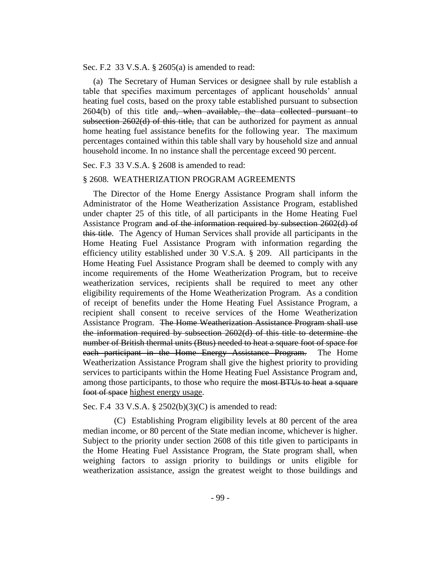Sec. F.2 33 V.S.A. § 2605(a) is amended to read:

(a) The Secretary of Human Services or designee shall by rule establish a table that specifies maximum percentages of applicant households' annual heating fuel costs, based on the proxy table established pursuant to subsection  $2604(b)$  of this title and, when available, the data collected pursuant to subsection 2602(d) of this title, that can be authorized for payment as annual home heating fuel assistance benefits for the following year. The maximum percentages contained within this table shall vary by household size and annual household income. In no instance shall the percentage exceed 90 percent.

#### Sec. F.3 33 V.S.A. § 2608 is amended to read:

#### § 2608. WEATHERIZATION PROGRAM AGREEMENTS

The Director of the Home Energy Assistance Program shall inform the Administrator of the Home Weatherization Assistance Program, established under chapter 25 of this title, of all participants in the Home Heating Fuel Assistance Program and of the information required by subsection 2602(d) of this title. The Agency of Human Services shall provide all participants in the Home Heating Fuel Assistance Program with information regarding the efficiency utility established under 30 V.S.A. § 209. All participants in the Home Heating Fuel Assistance Program shall be deemed to comply with any income requirements of the Home Weatherization Program, but to receive weatherization services, recipients shall be required to meet any other eligibility requirements of the Home Weatherization Program. As a condition of receipt of benefits under the Home Heating Fuel Assistance Program, a recipient shall consent to receive services of the Home Weatherization Assistance Program. The Home Weatherization Assistance Program shall use the information required by subsection 2602(d) of this title to determine the number of British thermal units (Btus) needed to heat a square foot of space for each participant in the Home Energy Assistance Program. The Home Weatherization Assistance Program shall give the highest priority to providing services to participants within the Home Heating Fuel Assistance Program and, among those participants, to those who require the most BTUs to heat a square foot of space highest energy usage.

Sec. F.4 33 V.S.A. § 2502(b)(3)(C) is amended to read:

(C) Establishing Program eligibility levels at 80 percent of the area median income, or 80 percent of the State median income, whichever is higher. Subject to the priority under section 2608 of this title given to participants in the Home Heating Fuel Assistance Program, the State program shall, when weighing factors to assign priority to buildings or units eligible for weatherization assistance, assign the greatest weight to those buildings and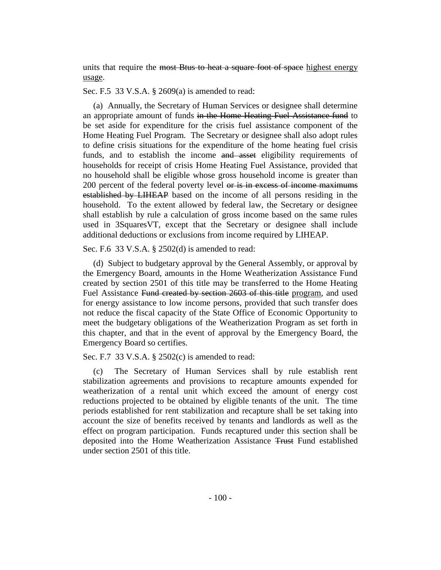units that require the most Btus to heat a square foot of space highest energy usage.

Sec. F.5 33 V.S.A. § 2609(a) is amended to read:

(a) Annually, the Secretary of Human Services or designee shall determine an appropriate amount of funds in the Home Heating Fuel Assistance fund to be set aside for expenditure for the crisis fuel assistance component of the Home Heating Fuel Program. The Secretary or designee shall also adopt rules to define crisis situations for the expenditure of the home heating fuel crisis funds, and to establish the income and asset eligibility requirements of households for receipt of crisis Home Heating Fuel Assistance, provided that no household shall be eligible whose gross household income is greater than 200 percent of the federal poverty level or is in excess of income maximums established by LIHEAP based on the income of all persons residing in the household. To the extent allowed by federal law, the Secretary or designee shall establish by rule a calculation of gross income based on the same rules used in 3SquaresVT, except that the Secretary or designee shall include additional deductions or exclusions from income required by LIHEAP.

Sec. F.6 33 V.S.A. § 2502(d) is amended to read:

(d) Subject to budgetary approval by the General Assembly, or approval by the Emergency Board, amounts in the Home Weatherization Assistance Fund created by section 2501 of this title may be transferred to the Home Heating Fuel Assistance Fund created by section 2603 of this title program, and used for energy assistance to low income persons, provided that such transfer does not reduce the fiscal capacity of the State Office of Economic Opportunity to meet the budgetary obligations of the Weatherization Program as set forth in this chapter, and that in the event of approval by the Emergency Board, the Emergency Board so certifies.

Sec. F.7 33 V.S.A. § 2502(c) is amended to read:

(c) The Secretary of Human Services shall by rule establish rent stabilization agreements and provisions to recapture amounts expended for weatherization of a rental unit which exceed the amount of energy cost reductions projected to be obtained by eligible tenants of the unit. The time periods established for rent stabilization and recapture shall be set taking into account the size of benefits received by tenants and landlords as well as the effect on program participation. Funds recaptured under this section shall be deposited into the Home Weatherization Assistance Trust Fund established under section 2501 of this title.